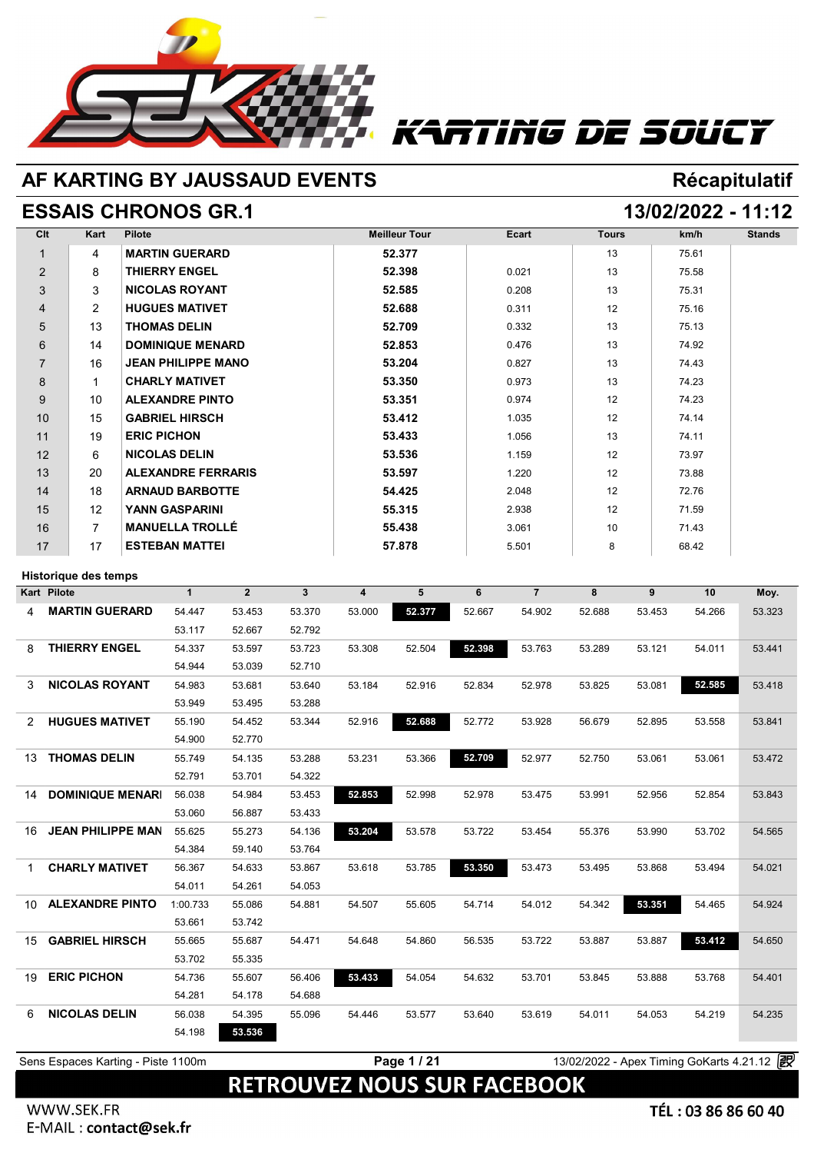

# Tiñg DE SOUCY

## **AF KARTING BY JAUSSAUD EVENTS Récapitulatif**

### **ESSAIS CHRONOS GR.1 13/02/2022 - 11:12**

| Clt            | Kart            | <b>Pilote</b>             | <b>Meilleur Tour</b> | Ecart | <b>Tours</b>    | km/h  | <b>Stands</b> |
|----------------|-----------------|---------------------------|----------------------|-------|-----------------|-------|---------------|
| 1              | 4               | <b>MARTIN GUERARD</b>     | 52.377               |       | 13              | 75.61 |               |
| $\overline{2}$ | 8               | <b>THIERRY ENGEL</b>      | 52.398               | 0.021 | 13              | 75.58 |               |
| 3              | 3               | <b>NICOLAS ROYANT</b>     | 52.585               | 0.208 | 13              | 75.31 |               |
| $\overline{4}$ | $\overline{2}$  | <b>HUGUES MATIVET</b>     | 52.688               | 0.311 | 12              | 75.16 |               |
| 5              | 13              | <b>THOMAS DELIN</b>       | 52.709               | 0.332 | 13              | 75.13 |               |
| 6              | 14              | <b>DOMINIQUE MENARD</b>   | 52.853               | 0.476 | 13              | 74.92 |               |
| $\overline{7}$ | 16              | <b>JEAN PHILIPPE MANO</b> | 53.204               | 0.827 | 13              | 74.43 |               |
| 8              | 1               | <b>CHARLY MATIVET</b>     | 53.350               | 0.973 | 13              | 74.23 |               |
| 9              | 10 <sup>°</sup> | <b>ALEXANDRE PINTO</b>    | 53.351               | 0.974 | 12              | 74.23 |               |
| 10             | 15              | <b>GABRIEL HIRSCH</b>     | 53.412               | 1.035 | 12              | 74.14 |               |
| 11             | 19              | <b>ERIC PICHON</b>        | 53.433               | 1.056 | 13              | 74.11 |               |
| 12             | 6               | <b>NICOLAS DELIN</b>      | 53.536               | 1.159 | 12              | 73.97 |               |
| 13             | 20              | <b>ALEXANDRE FERRARIS</b> | 53.597               | 1.220 | 12              | 73.88 |               |
| 14             | 18              | <b>ARNAUD BARBOTTE</b>    | 54.425               | 2.048 | 12              | 72.76 |               |
| 15             | 12              | <b>YANN GASPARINI</b>     | 55.315               | 2.938 | 12              | 71.59 |               |
| 16             | $\overline{7}$  | <b>MANUELLA TROLLÉ</b>    | 55.438               | 3.061 | 10 <sup>1</sup> | 71.43 |               |
| 17             | 17              | <b>ESTEBAN MATTEI</b>     | 57.878               | 5.501 | 8               | 68.42 |               |

### **Historique des temps**

|                          | $\mathbf{1}$                                      | $\overline{2}$ | $\mathbf{3}$ | $\overline{\mathbf{4}}$ | 5      | 6      | $\overline{7}$ | 8      | 9      | 10     | Moy.   |
|--------------------------|---------------------------------------------------|----------------|--------------|-------------------------|--------|--------|----------------|--------|--------|--------|--------|
| <b>MARTIN GUERARD</b>    | 54.447                                            | 53.453         | 53.370       | 53.000                  | 52.377 | 52.667 | 54.902         | 52.688 | 53.453 | 54.266 | 53.323 |
|                          | 53.117                                            | 52.667         | 52.792       |                         |        |        |                |        |        |        |        |
| <b>THIERRY ENGEL</b>     | 54.337                                            | 53.597         | 53.723       | 53.308                  | 52.504 | 52.398 | 53.763         | 53.289 | 53.121 | 54.011 | 53.441 |
|                          | 54.944                                            | 53.039         | 52.710       |                         |        |        |                |        |        |        |        |
| <b>NICOLAS ROYANT</b>    | 54.983                                            | 53.681         | 53.640       | 53.184                  | 52.916 | 52.834 | 52.978         | 53.825 | 53.081 | 52.585 | 53.418 |
|                          | 53.949                                            | 53.495         | 53.288       |                         |        |        |                |        |        |        |        |
| <b>HUGUES MATIVET</b>    | 55.190                                            | 54.452         | 53.344       | 52.916                  | 52.688 | 52.772 | 53.928         | 56.679 | 52.895 | 53.558 | 53.841 |
|                          | 54.900                                            | 52.770         |              |                         |        |        |                |        |        |        |        |
| <b>THOMAS DELIN</b>      | 55.749                                            | 54.135         | 53.288       | 53.231                  | 53.366 | 52.709 | 52.977         | 52.750 | 53.061 | 53.061 | 53.472 |
|                          | 52.791                                            | 53.701         | 54.322       |                         |        |        |                |        |        |        |        |
| <b>DOMINIQUE MENARI</b>  | 56.038                                            | 54.984         | 53.453       | 52,853                  | 52.998 | 52.978 | 53.475         | 53.991 | 52.956 | 52.854 | 53.843 |
|                          | 53.060                                            | 56.887         | 53.433       |                         |        |        |                |        |        |        |        |
| <b>JEAN PHILIPPE MAN</b> | 55.625                                            | 55.273         | 54.136       | 53.204                  | 53.578 | 53.722 | 53.454         | 55.376 | 53.990 | 53.702 | 54.565 |
|                          | 54.384                                            | 59.140         | 53.764       |                         |        |        |                |        |        |        |        |
| <b>CHARLY MATIVET</b>    | 56.367                                            | 54.633         | 53.867       | 53.618                  | 53.785 | 53.350 | 53.473         | 53.495 | 53.868 | 53.494 | 54.021 |
|                          | 54.011                                            | 54.261         | 54.053       |                         |        |        |                |        |        |        |        |
| <b>ALEXANDRE PINTO</b>   | 1:00.733                                          | 55.086         | 54.881       | 54.507                  | 55.605 | 54.714 | 54.012         | 54.342 | 53.351 | 54.465 | 54.924 |
|                          | 53.661                                            | 53.742         |              |                         |        |        |                |        |        |        |        |
| <b>GABRIEL HIRSCH</b>    | 55.665                                            | 55.687         | 54.471       | 54.648                  | 54.860 | 56.535 | 53.722         | 53.887 | 53.887 | 53.412 | 54.650 |
|                          | 53.702                                            | 55.335         |              |                         |        |        |                |        |        |        |        |
| <b>ERIC PICHON</b>       | 54.736                                            | 55.607         | 56.406       | 53.433                  | 54.054 | 54.632 | 53.701         | 53.845 | 53.888 | 53.768 | 54.401 |
|                          | 54.281                                            | 54.178         | 54.688       |                         |        |        |                |        |        |        |        |
| <b>NICOLAS DELIN</b>     | 56.038                                            | 54.395         | 55.096       | 54.446                  | 53.577 | 53.640 | 53.619         | 54.011 | 54.053 | 54.219 | 54.235 |
|                          | 54.198                                            | 53.536         |              |                         |        |        |                |        |        |        |        |
|                          | <b>Historique des temps</b><br><b>Kart Pilote</b> |                |              |                         |        |        |                |        |        |        |        |

**Page 1 / 21** 13/02/2022 - Apex Timing GoKarts 4.21.12 <sup>2</sup>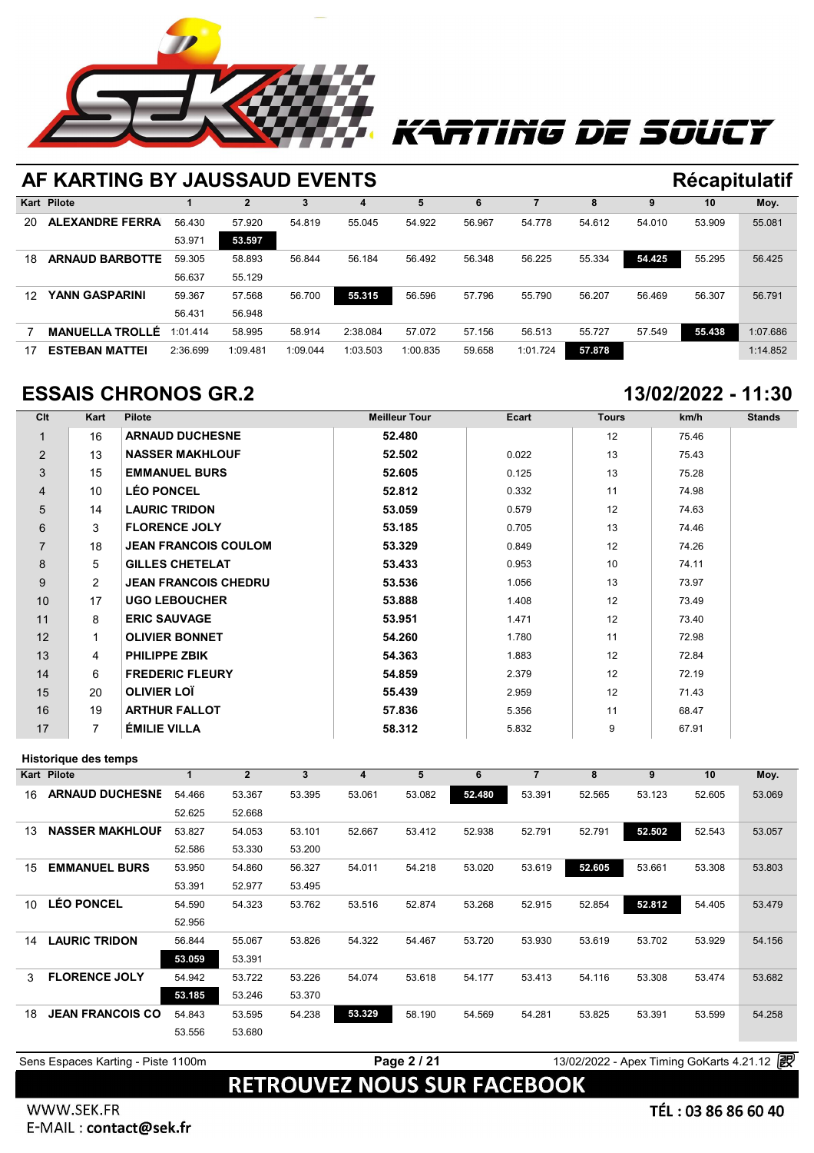

# Ting DE SOUCT

### **AF KARTING BY JAUSSAUD EVENTS Récapitulatif Kart Pilote 1 2 3 4 5 6 7 8 9 10 Moy.** 20 **ALEXANDRE FERRARIS**56.430 57.920 54.819 55.045 54.922 56.967 54.778 54.612 54.010 53.909 55.081 53.971 **53.597** 18 **ARNAUD BARBOTTE** 59.305 58.893 56.844 56.184 56.492 56.348 56.225 55.334 **54.425** 55.295 56.425 56.430 57.920 54.8<br>
53.971 53.597<br>
59.305 58.893 56.84<br>
56.637 55.129<br>
59.367 57.588 56.74 12 **YANN GASPARINI** 59.367 57.568 56.700 **55.315** 56.596 57.796 55.790 56.207 56.469 56.307 56.791 59.305 58.893 56.84<br>56.637 55.129<br>59.367 57.568 56.70<br>56.431 56.948 7 **MANUELLA TROLLÉ** 1:01.414 58.995 58.914 2:38.084 57.072 57.156 56.513 55.727 57.549 **55.438** 1:07.686 17 **ESTEBAN MATTEI** 2:36.699 1:09.481 1:09.044 1:03.503 1:00.835 59.658 1:01.724 **57.878** 1:14.852

## **ESSAIS CHRONOS GR.2 13/02/2022 - 11:30**

| Clt            | Kart           | <b>Pilote</b>               | <b>Meilleur Tour</b> | Ecart | <b>Tours</b> | km/h  | <b>Stands</b> |
|----------------|----------------|-----------------------------|----------------------|-------|--------------|-------|---------------|
| $\mathbf{1}$   | 16             | <b>ARNAUD DUCHESNE</b>      | 52.480               |       | 12           | 75.46 |               |
| $\overline{2}$ | 13             | <b>NASSER MAKHLOUF</b>      | 52.502               | 0.022 | 13           | 75.43 |               |
| 3              | 15             | <b>EMMANUEL BURS</b>        | 52.605               | 0.125 | 13           | 75.28 |               |
| 4              | 10             | <b>LÉO PONCEL</b>           | 52.812               | 0.332 | 11           | 74.98 |               |
| 5              | 14             | <b>LAURIC TRIDON</b>        | 53.059               | 0.579 | 12           | 74.63 |               |
| 6              | 3              | <b>FLORENCE JOLY</b>        | 53.185               | 0.705 | 13           | 74.46 |               |
| $\overline{7}$ | 18             | <b>JEAN FRANCOIS COULOM</b> | 53.329               | 0.849 | 12           | 74.26 |               |
| 8              | 5              | <b>GILLES CHETELAT</b>      | 53.433               | 0.953 | 10           | 74.11 |               |
| 9              | $\overline{2}$ | <b>JEAN FRANCOIS CHEDRU</b> | 53.536               | 1.056 | 13           | 73.97 |               |
| 10             | 17             | <b>UGO LEBOUCHER</b>        | 53.888               | 1.408 | 12           | 73.49 |               |
| 11             | 8              | <b>ERIC SAUVAGE</b>         | 53.951               | 1.471 | 12           | 73.40 |               |
| 12             | 1              | <b>OLIVIER BONNET</b>       | 54.260               | 1.780 | 11           | 72.98 |               |
| 13             | 4              | <b>PHILIPPE ZBIK</b>        | 54.363               | 1.883 | 12           | 72.84 |               |
| 14             | 6              | <b>FREDERIC FLEURY</b>      | 54.859               | 2.379 | 12           | 72.19 |               |
| 15             | 20             | <b>OLIVIER LOT</b>          | 55.439               | 2.959 | 12           | 71.43 |               |
| 16             | 19             | <b>ARTHUR FALLOT</b>        | 57.836               | 5.356 | 11           | 68.47 |               |
| 17             | 7              | <b>ÉMILIE VILLA</b>         | 58.312               | 5.832 | 9            | 67.91 |               |

### **Historique des temps**

|                 | Historique des temps    |        |                |        |        |        |        |                |        |        |        |        |
|-----------------|-------------------------|--------|----------------|--------|--------|--------|--------|----------------|--------|--------|--------|--------|
|                 | Kart Pilote             | 1      | $\overline{2}$ | 3      | 4      | 5      | 6      | $\overline{7}$ | 8      | 9      | 10     | Moy.   |
| 16              | <b>ARNAUD DUCHESNE</b>  | 54.466 | 53.367         | 53.395 | 53.061 | 53.082 | 52.480 | 53.391         | 52.565 | 53.123 | 52.605 | 53.069 |
|                 |                         | 52.625 | 52.668         |        |        |        |        |                |        |        |        |        |
| 13              | <b>NASSER MAKHLOUF</b>  | 53.827 | 54.053         | 53.101 | 52.667 | 53.412 | 52.938 | 52.791         | 52.791 | 52.502 | 52.543 | 53.057 |
|                 |                         | 52.586 | 53.330         | 53.200 |        |        |        |                |        |        |        |        |
| 15              | <b>EMMANUEL BURS</b>    | 53.950 | 54.860         | 56.327 | 54.011 | 54.218 | 53.020 | 53.619         | 52.605 | 53.661 | 53.308 | 53.803 |
|                 |                         | 53.391 | 52.977         | 53.495 |        |        |        |                |        |        |        |        |
| 10 <sup>1</sup> | <b>LÉO PONCEL</b>       | 54.590 | 54.323         | 53.762 | 53.516 | 52.874 | 53.268 | 52.915         | 52.854 | 52.812 | 54.405 | 53.479 |
|                 |                         | 52.956 |                |        |        |        |        |                |        |        |        |        |
| 14              | <b>LAURIC TRIDON</b>    | 56.844 | 55.067         | 53.826 | 54.322 | 54.467 | 53.720 | 53.930         | 53.619 | 53.702 | 53.929 | 54.156 |
|                 |                         | 53.059 | 53.391         |        |        |        |        |                |        |        |        |        |
| 3               | <b>FLORENCE JOLY</b>    | 54.942 | 53.722         | 53.226 | 54.074 | 53.618 | 54.177 | 53.413         | 54.116 | 53.308 | 53.474 | 53.682 |
|                 |                         | 53.185 | 53.246         | 53.370 |        |        |        |                |        |        |        |        |
| 18              | <b>JEAN FRANCOIS CO</b> | 54.843 | 53.595         | 54.238 | 53.329 | 58.190 | 54.569 | 54.281         | 53.825 | 53.391 | 53.599 | 54.258 |
|                 |                         | 53.556 | 53.680         |        |        |        |        |                |        |        |        |        |
|                 |                         |        |                |        |        |        |        |                |        |        |        |        |

**RETROUVEZ NOUS SUR FACEBOOK** 

### WWW.SEK.FR E-MAIL : contact@sek.fr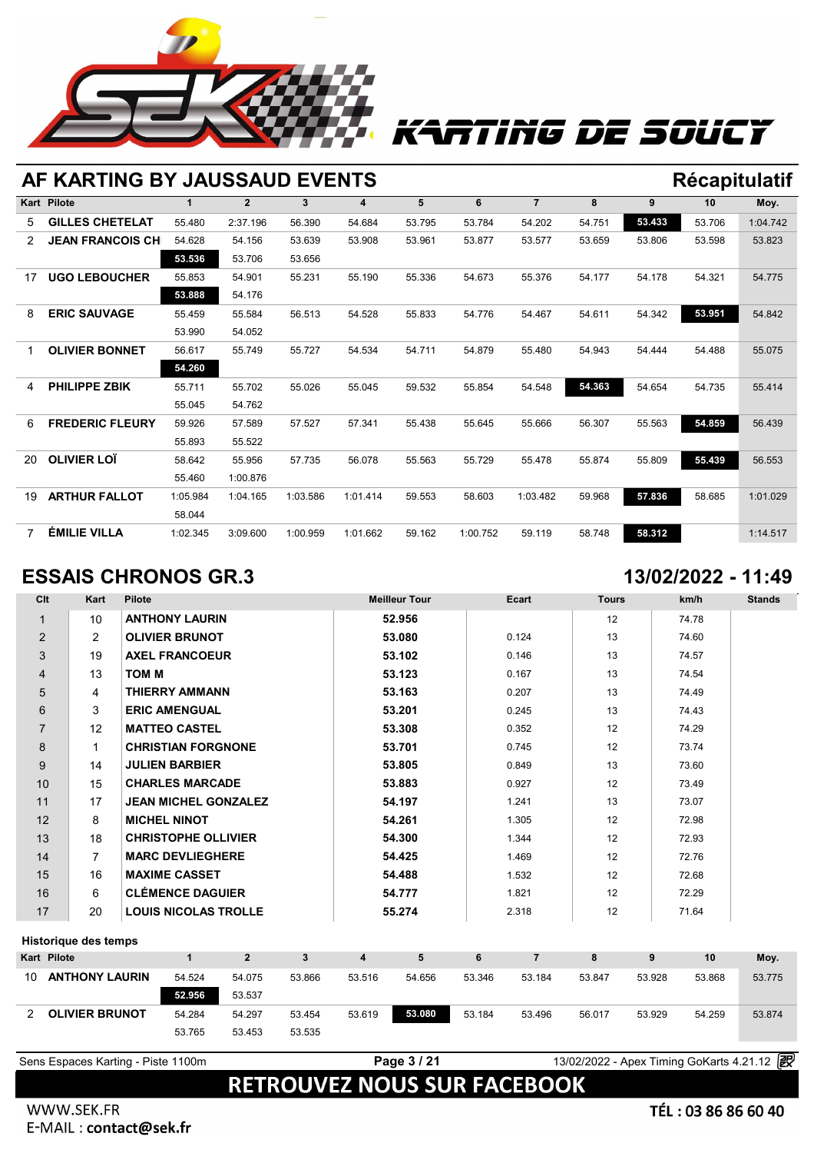

# Ting De Soucy

## **AF KARTING BY JAUSSAUD EVENTS Récapitulatif**

|                | <b>Kart Pilote</b>      | 1        | $\overline{2}$ | $\mathbf{3}$ | 4        | 5      | 6        | $\overline{7}$ | 8      | 9      | 10     | Moy.     |
|----------------|-------------------------|----------|----------------|--------------|----------|--------|----------|----------------|--------|--------|--------|----------|
| 5              | <b>GILLES CHETELAT</b>  | 55.480   | 2:37.196       | 56.390       | 54.684   | 53.795 | 53.784   | 54.202         | 54.751 | 53,433 | 53.706 | 1:04.742 |
| 2              | <b>JEAN FRANCOIS CH</b> | 54.628   | 54.156         | 53.639       | 53.908   | 53.961 | 53.877   | 53.577         | 53.659 | 53.806 | 53.598 | 53.823   |
|                |                         | 53.536   | 53.706         | 53.656       |          |        |          |                |        |        |        |          |
| 17             | <b>UGO LEBOUCHER</b>    | 55.853   | 54.901         | 55.231       | 55.190   | 55.336 | 54.673   | 55.376         | 54.177 | 54.178 | 54.321 | 54.775   |
|                |                         | 53.888   | 54.176         |              |          |        |          |                |        |        |        |          |
| 8              | <b>ERIC SAUVAGE</b>     | 55.459   | 55.584         | 56.513       | 54.528   | 55.833 | 54.776   | 54.467         | 54.611 | 54.342 | 53.951 | 54.842   |
|                |                         | 53.990   | 54.052         |              |          |        |          |                |        |        |        |          |
| 1              | <b>OLIVIER BONNET</b>   | 56.617   | 55.749         | 55.727       | 54.534   | 54.711 | 54.879   | 55.480         | 54.943 | 54.444 | 54.488 | 55.075   |
|                |                         | 54.260   |                |              |          |        |          |                |        |        |        |          |
| 4              | <b>PHILIPPE ZBIK</b>    | 55.711   | 55.702         | 55.026       | 55.045   | 59.532 | 55.854   | 54.548         | 54.363 | 54.654 | 54.735 | 55.414   |
|                |                         | 55.045   | 54.762         |              |          |        |          |                |        |        |        |          |
| 6              | <b>FREDERIC FLEURY</b>  | 59.926   | 57.589         | 57.527       | 57.341   | 55.438 | 55.645   | 55.666         | 56.307 | 55.563 | 54.859 | 56.439   |
|                |                         | 55.893   | 55.522         |              |          |        |          |                |        |        |        |          |
| 20             | <b>OLIVIER LOT</b>      | 58.642   | 55.956         | 57.735       | 56.078   | 55.563 | 55.729   | 55.478         | 55.874 | 55.809 | 55.439 | 56.553   |
|                |                         | 55.460   | 1:00.876       |              |          |        |          |                |        |        |        |          |
| 19             | <b>ARTHUR FALLOT</b>    | 1:05.984 | 1:04.165       | 1:03.586     | 1:01.414 | 59.553 | 58.603   | 1:03.482       | 59.968 | 57.836 | 58.685 | 1:01.029 |
|                |                         | 58.044   |                |              |          |        |          |                |        |        |        |          |
| $\overline{7}$ | <b>ÉMILIE VILLA</b>     | 1:02.345 | 3:09.600       | 1:00.959     | 1:01.662 | 59.162 | 1:00.752 | 59.119         | 58.748 | 58.312 |        | 1:14.517 |

### **ESSAIS CHRONOS GR.3 13/02/2022 - 11:49**

| CIt            | Kart           | Pilote                      | <b>Meilleur Tour</b> | Ecart | <b>Tours</b> | km/h  | <b>Stands</b> |
|----------------|----------------|-----------------------------|----------------------|-------|--------------|-------|---------------|
|                | 10             | <b>ANTHONY LAURIN</b>       | 52.956               |       | 12           | 74.78 |               |
| $\overline{2}$ | 2              | <b>OLIVIER BRUNOT</b>       | 53.080               | 0.124 | 13           | 74.60 |               |
| 3              | 19             | <b>AXEL FRANCOEUR</b>       | 53.102               | 0.146 | 13           | 74.57 |               |
| $\overline{4}$ | 13             | TOM M                       | 53.123               | 0.167 | 13           | 74.54 |               |
| 5              | 4              | <b>THIERRY AMMANN</b>       | 53.163               | 0.207 | 13           | 74.49 |               |
| 6              | 3              | <b>ERIC AMENGUAL</b>        | 53.201               | 0.245 | 13           | 74.43 |               |
| $\overline{7}$ | 12             | <b>MATTEO CASTEL</b>        | 53.308               | 0.352 | 12           | 74.29 |               |
| 8              | 1              | <b>CHRISTIAN FORGNONE</b>   | 53.701               | 0.745 | 12           | 73.74 |               |
| 9              | 14             | <b>JULIEN BARBIER</b>       | 53.805               | 0.849 | 13           | 73.60 |               |
| 10             | 15             | <b>CHARLES MARCADE</b>      | 53.883               | 0.927 | 12           | 73.49 |               |
| 11             | 17             | <b>JEAN MICHEL GONZALEZ</b> | 54.197               | 1.241 | 13           | 73.07 |               |
| 12             | 8              | <b>MICHEL NINOT</b>         | 54.261               | 1.305 | 12           | 72.98 |               |
| 13             | 18             | <b>CHRISTOPHE OLLIVIER</b>  | 54.300               | 1.344 | 12           | 72.93 |               |
| 14             | $\overline{7}$ | <b>MARC DEVLIEGHERE</b>     | 54.425               | 1.469 | 12           | 72.76 |               |
| 15             | 16             | <b>MAXIME CASSET</b>        | 54.488               | 1.532 | 12           | 72.68 |               |
| 16             | 6              | <b>CLÉMENCE DAGUIER</b>     | 54.777               | 1.821 | 12           | 72.29 |               |
| 17             | 20             | <b>LOUIS NICOLAS TROLLE</b> | 55.274               | 2.318 | 12           | 71.64 |               |

### **Historique des temps**

|    | Historique des temps  |        |        |        |        |        |        |        |        |        |        |        |
|----|-----------------------|--------|--------|--------|--------|--------|--------|--------|--------|--------|--------|--------|
|    | Kart Pilote           |        |        |        | 4      | 5      |        |        |        |        | 10     | Moy.   |
| 10 | <b>ANTHONY LAURIN</b> | 54.524 | 54.075 | 53.866 | 53.516 | 54.656 | 53.346 | 53.184 | 53.847 | 53.928 | 53.868 | 53.775 |
|    |                       | 52.956 | 53.537 |        |        |        |        |        |        |        |        |        |
| 2  | <b>OLIVIER BRUNOT</b> | 54.284 | 54.297 | 53.454 | 53.619 | 53.080 | 53.184 | 53.496 | 56.017 | 53.929 | 54.259 | 53.874 |
|    |                       | 53.765 | 53.453 | 53.535 |        |        |        |        |        |        |        |        |
|    |                       |        |        |        |        |        |        |        |        |        |        |        |

**Page 3 / 21** 13/02/2022 - Apex Timing GoKarts 4.21.12 <sup>2</sup>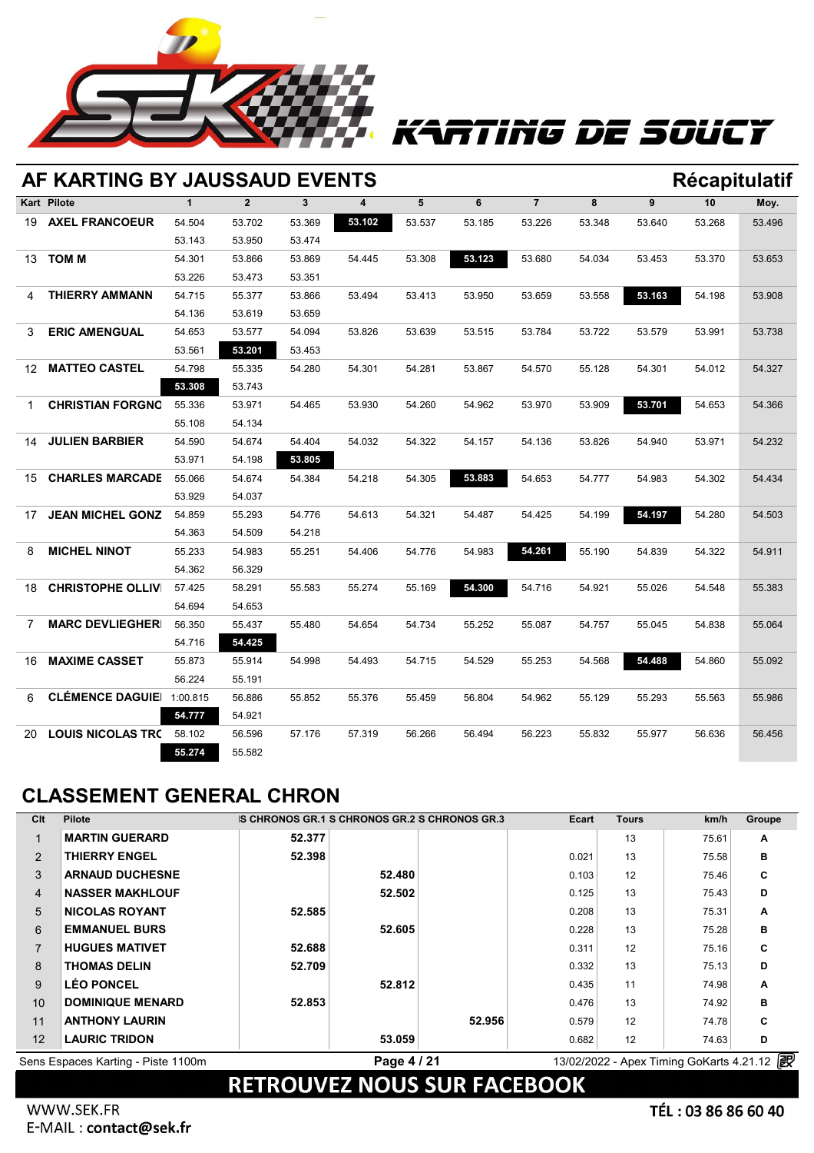

# TTING DE SOUCY

|                | AF KARTING BY JAUSSAUD EVENTS<br>Récapitulatif |              |                |              |        |        |        |                |        |        |        |        |  |
|----------------|------------------------------------------------|--------------|----------------|--------------|--------|--------|--------|----------------|--------|--------|--------|--------|--|
|                | <b>Kart Pilote</b>                             | $\mathbf{1}$ | $\overline{2}$ | $\mathbf{3}$ | 4      | 5      | 6      | $\overline{7}$ | 8      | 9      | 10     | Moy.   |  |
| 19             | <b>AXEL FRANCOEUR</b>                          | 54.504       | 53.702         | 53.369       | 53.102 | 53.537 | 53.185 | 53.226         | 53.348 | 53.640 | 53.268 | 53.496 |  |
|                |                                                | 53.143       | 53.950         | 53.474       |        |        |        |                |        |        |        |        |  |
|                | 13 <b>TOM M</b>                                | 54.301       | 53.866         | 53.869       | 54.445 | 53.308 | 53.123 | 53.680         | 54.034 | 53.453 | 53.370 | 53.653 |  |
|                |                                                | 53.226       | 53.473         | 53.351       |        |        |        |                |        |        |        |        |  |
| 4              | <b>THIERRY AMMANN</b>                          | 54.715       | 55.377         | 53.866       | 53.494 | 53.413 | 53.950 | 53.659         | 53.558 | 53.163 | 54.198 | 53.908 |  |
|                |                                                | 54.136       | 53.619         | 53.659       |        |        |        |                |        |        |        |        |  |
| 3              | <b>ERIC AMENGUAL</b>                           | 54.653       | 53.577         | 54.094       | 53.826 | 53.639 | 53.515 | 53.784         | 53.722 | 53.579 | 53.991 | 53.738 |  |
|                |                                                | 53.561       | 53.201         | 53.453       |        |        |        |                |        |        |        |        |  |
| 12.            | <b>MATTEO CASTEL</b>                           | 54.798       | 55.335         | 54.280       | 54.301 | 54.281 | 53.867 | 54.570         | 55.128 | 54.301 | 54.012 | 54.327 |  |
|                |                                                | 53.308       | 53.743         |              |        |        |        |                |        |        |        |        |  |
| 1.             | <b>CHRISTIAN FORGNO</b>                        | 55.336       | 53.971         | 54.465       | 53.930 | 54.260 | 54.962 | 53.970         | 53.909 | 53.701 | 54.653 | 54.366 |  |
|                |                                                | 55.108       | 54.134         |              |        |        |        |                |        |        |        |        |  |
| 14             | <b>JULIEN BARBIER</b>                          | 54.590       | 54.674         | 54.404       | 54.032 | 54.322 | 54.157 | 54.136         | 53.826 | 54.940 | 53.971 | 54.232 |  |
|                |                                                | 53.971       | 54.198         | 53.805       |        |        |        |                |        |        |        |        |  |
| 15             | <b>CHARLES MARCADE</b>                         | 55.066       | 54.674         | 54.384       | 54.218 | 54.305 | 53.883 | 54.653         | 54.777 | 54.983 | 54.302 | 54.434 |  |
|                |                                                | 53.929       | 54.037         |              |        |        |        |                |        |        |        |        |  |
| 17             | <b>JEAN MICHEL GONZ</b>                        | 54.859       | 55.293         | 54.776       | 54.613 | 54.321 | 54.487 | 54.425         | 54.199 | 54.197 | 54.280 | 54.503 |  |
|                |                                                | 54.363       | 54.509         | 54.218       |        |        |        |                |        |        |        |        |  |
| 8              | <b>MICHEL NINOT</b>                            | 55.233       | 54.983         | 55.251       | 54.406 | 54.776 | 54.983 | 54.261         | 55.190 | 54.839 | 54.322 | 54.911 |  |
|                |                                                | 54.362       | 56.329         |              |        |        |        |                |        |        |        |        |  |
| 18             | <b>CHRISTOPHE OLLIV</b>                        | 57.425       | 58.291         | 55.583       | 55.274 | 55.169 | 54.300 | 54.716         | 54.921 | 55.026 | 54.548 | 55.383 |  |
|                |                                                | 54.694       | 54.653         |              |        |        |        |                |        |        |        |        |  |
| $\overline{7}$ | <b>MARC DEVLIEGHER</b>                         | 56.350       | 55.437         | 55.480       | 54.654 | 54.734 | 55.252 | 55.087         | 54.757 | 55.045 | 54.838 | 55.064 |  |
|                |                                                | 54.716       | 54.425         |              |        |        |        |                |        |        |        |        |  |
| 16             | <b>MAXIME CASSET</b>                           | 55.873       | 55.914         | 54.998       | 54.493 | 54.715 | 54.529 | 55.253         | 54.568 | 54.488 | 54.860 | 55.092 |  |
|                |                                                | 56.224       | 55.191         |              |        |        |        |                |        |        |        |        |  |
| 6              | <b>CLÉMENCE DAGUIE</b> 1:00.815                |              | 56.886         | 55.852       | 55.376 | 55.459 | 56.804 | 54.962         | 55.129 | 55.293 | 55.563 | 55.986 |  |
|                |                                                | 54.777       | 54.921         |              |        |        |        |                |        |        |        |        |  |
| 20             | <b>LOUIS NICOLAS TRO</b>                       | 58.102       | 56.596         | 57.176       | 57.319 | 56.266 | 56.494 | 56.223         | 55.832 | 55.977 | 56.636 | 56.456 |  |
|                |                                                | 55.274       | 55.582         |              |        |        |        |                |        |        |        |        |  |

## **CLASSEMENT GENERAL CHRON**

| Clt | <b>Pilote</b>                      | IS CHRONOS GR.1 IS CHRONOS GR.2 S CHRONOS GR.3 |             |        | Ecart | <b>Tours</b> | km/h                                     | Groupe |
|-----|------------------------------------|------------------------------------------------|-------------|--------|-------|--------------|------------------------------------------|--------|
|     | <b>MARTIN GUERARD</b>              | 52.377                                         |             |        |       | 13           | 75.61                                    | A      |
| 2   | <b>THIERRY ENGEL</b>               | 52.398                                         |             |        | 0.021 | 13           | 75.58                                    | B      |
| 3   | <b>ARNAUD DUCHESNE</b>             |                                                | 52.480      |        | 0.103 | 12           | 75.46                                    | C      |
| 4   | <b>NASSER MAKHLOUF</b>             |                                                | 52.502      |        | 0.125 | 13           | 75.43                                    | D      |
| 5   | <b>NICOLAS ROYANT</b>              | 52.585                                         |             |        | 0.208 | 13           | 75.31                                    | A      |
| 6   | <b>EMMANUEL BURS</b>               |                                                | 52.605      |        | 0.228 | 13           | 75.28                                    | в      |
| 7   | <b>HUGUES MATIVET</b>              | 52.688                                         |             |        | 0.311 | 12           | 75.16                                    | C      |
| 8   | <b>THOMAS DELIN</b>                | 52.709                                         |             |        | 0.332 | 13           | 75.13                                    | D      |
| 9   | <b>LÉO PONCEL</b>                  |                                                | 52.812      |        | 0.435 | 11           | 74.98                                    | A      |
| 10  | <b>DOMINIQUE MENARD</b>            | 52.853                                         |             |        | 0.476 | 13           | 74.92                                    | в      |
| 11  | <b>ANTHONY LAURIN</b>              |                                                |             | 52.956 | 0.579 | 12           | 74.78                                    | C      |
| 12  | <b>LAURIC TRIDON</b>               |                                                | 53.059      |        | 0.682 | 12           | 74.63                                    | D      |
|     | Sens Espaces Karting - Piste 1100m |                                                | Page 4 / 21 |        |       |              | 13/02/2022 - Apex Timing GoKarts 4.21.12 | 骰      |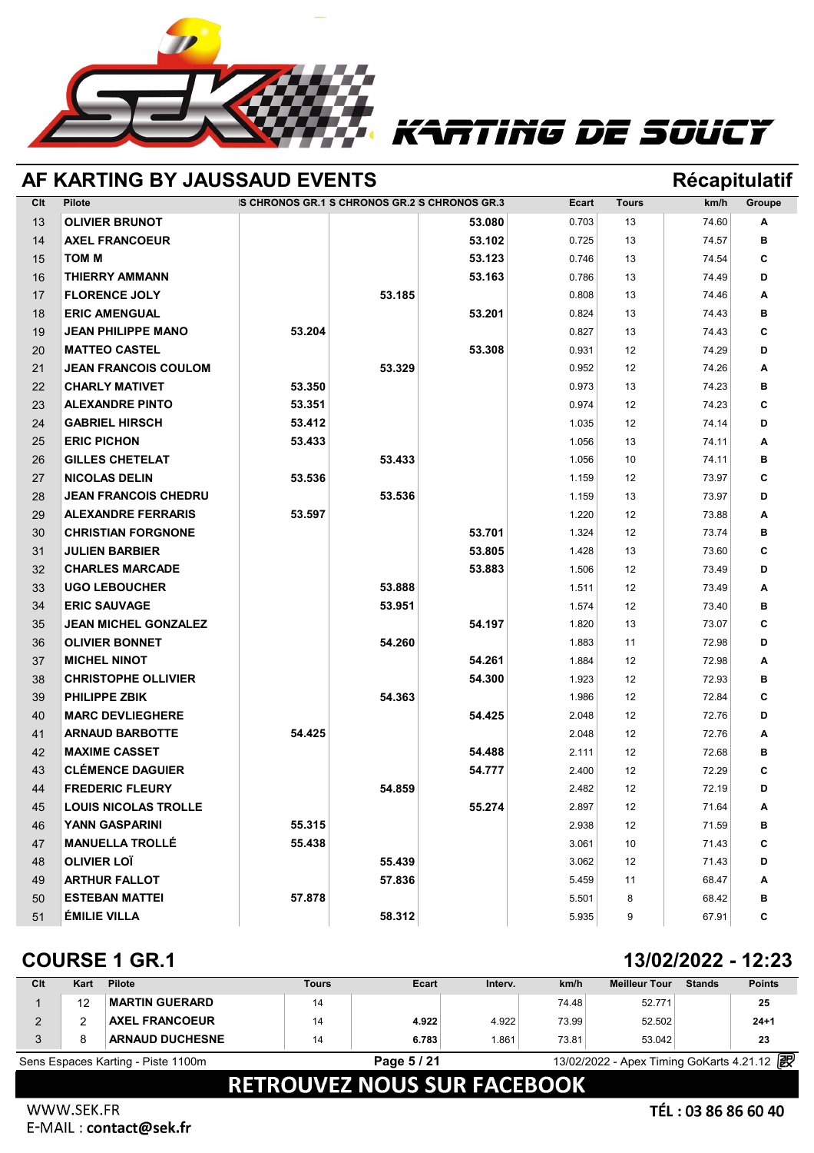

## RTING DE SOUCY

|     | AF KARTING BY JAUSSAUD EVENTS |                                                |        |        |              |              | <b>Récapitulatif</b> |        |
|-----|-------------------------------|------------------------------------------------|--------|--------|--------------|--------------|----------------------|--------|
| Clt | <b>Pilote</b>                 | IS CHRONOS GR.1 IS CHRONOS GR.2 S CHRONOS GR.3 |        |        | <b>Ecart</b> | <b>Tours</b> | km/h                 | Groupe |
| 13  | <b>OLIVIER BRUNOT</b>         |                                                |        | 53.080 | 0.703        | 13           | 74.60                | Α      |
| 14  | <b>AXEL FRANCOEUR</b>         |                                                |        | 53.102 | 0.725        | 13           | 74.57                | в      |
| 15  | <b>TOM M</b>                  |                                                |        | 53.123 | 0.746        | 13           | 74.54                | C      |
| 16  | <b>THIERRY AMMANN</b>         |                                                |        | 53.163 | 0.786        | 13           | 74.49                | D      |
| 17  | <b>FLORENCE JOLY</b>          |                                                | 53.185 |        | 0.808        | 13           | 74.46                | A      |
| 18  | <b>ERIC AMENGUAL</b>          |                                                |        | 53.201 | 0.824        | 13           | 74.43                | в      |
| 19  | <b>JEAN PHILIPPE MANO</b>     | 53.204                                         |        |        | 0.827        | 13           | 74.43                | C      |
| 20  | <b>MATTEO CASTEL</b>          |                                                |        | 53.308 | 0.931        | 12           | 74.29                | D      |
| 21  | <b>JEAN FRANCOIS COULOM</b>   |                                                | 53.329 |        | 0.952        | 12           | 74.26                | Α      |
| 22  | <b>CHARLY MATIVET</b>         | 53.350                                         |        |        | 0.973        | 13           | 74.23                | в      |
| 23  | <b>ALEXANDRE PINTO</b>        | 53.351                                         |        |        | 0.974        | 12           | 74.23                | C      |
| 24  | <b>GABRIEL HIRSCH</b>         | 53.412                                         |        |        | 1.035        | 12           | 74.14                | D      |
| 25  | <b>ERIC PICHON</b>            | 53.433                                         |        |        | 1.056        | 13           | 74.11                | Α      |
| 26  | <b>GILLES CHETELAT</b>        |                                                | 53.433 |        | 1.056        | 10           | 74.11                | в      |
| 27  | <b>NICOLAS DELIN</b>          | 53.536                                         |        |        | 1.159        | 12           | 73.97                | C      |
| 28  | <b>JEAN FRANCOIS CHEDRU</b>   |                                                | 53.536 |        | 1.159        | 13           | 73.97                | D      |
| 29  | <b>ALEXANDRE FERRARIS</b>     | 53.597                                         |        |        | 1.220        | 12           | 73.88                | A      |
| 30  | <b>CHRISTIAN FORGNONE</b>     |                                                |        | 53.701 | 1.324        | 12           | 73.74                | в      |
| 31  | <b>JULIEN BARBIER</b>         |                                                |        | 53.805 | 1.428        | 13           | 73.60                | С      |
| 32  | <b>CHARLES MARCADE</b>        |                                                |        | 53.883 | 1.506        | 12           | 73.49                | D      |
| 33  | <b>UGO LEBOUCHER</b>          |                                                | 53.888 |        | 1.511        | 12           | 73.49                | A      |
| 34  | <b>ERIC SAUVAGE</b>           |                                                | 53.951 |        | 1.574        | 12           | 73.40                | в      |
| 35  | <b>JEAN MICHEL GONZALEZ</b>   |                                                |        | 54.197 | 1.820        | 13           | 73.07                | C      |
| 36  | <b>OLIVIER BONNET</b>         |                                                | 54.260 |        | 1.883        | 11           | 72.98                | D      |
| 37  | <b>MICHEL NINOT</b>           |                                                |        | 54.261 | 1.884        | 12           | 72.98                | A      |
| 38  | <b>CHRISTOPHE OLLIVIER</b>    |                                                |        | 54.300 | 1.923        | 12           | 72.93                | в      |
| 39  | <b>PHILIPPE ZBIK</b>          |                                                | 54.363 |        | 1.986        | 12           | 72.84                | С      |
| 40  | <b>MARC DEVLIEGHERE</b>       |                                                |        | 54.425 | 2.048        | 12           | 72.76                | D      |
| 41  | <b>ARNAUD BARBOTTE</b>        | 54.425                                         |        |        | 2.048        | 12           | 72.76                | A      |
| 42  | <b>MAXIME CASSET</b>          |                                                |        | 54.488 | 2.111        | 12           | 72.68                | в      |
| 43  | <b>CLÉMENCE DAGUIER</b>       |                                                |        | 54.777 | 2.400        | 12           | 72.29                | C      |
| 44  | <b>FREDERIC FLEURY</b>        |                                                | 54.859 |        | 2.482        | 12           | 72.19                | D      |
| 45  | <b>LOUIS NICOLAS TROLLE</b>   |                                                |        | 55.274 | 2.897        | 12           | 71.64                | Α      |
| 46  | <b>YANN GASPARINI</b>         | 55.315                                         |        |        | 2.938        | 12           | 71.59                | в      |
| 47  | <b>MANUELLA TROLLÉ</b>        | 55.438                                         |        |        | 3.061        | 10           | 71.43                | С      |
| 48  | <b>OLIVIER LOÏ</b>            |                                                | 55.439 |        | 3.062        | 12           | 71.43                | D      |
| 49  | <b>ARTHUR FALLOT</b>          |                                                | 57.836 |        | 5.459        | 11           | 68.47                | Α      |
| 50  | <b>ESTEBAN MATTEI</b>         | 57.878                                         |        |        | 5.501        | 8            | 68.42                | в      |
| 51  | <b>ÉMILIE VILLA</b>           |                                                | 58.312 |        | 5.935        | 9            | 67.91                | C      |

## **COURSE 1 GR.1 13/02/2022 - 12:23**

| Clt                                | Kart | <b>Pilote</b>          | Tours | Ecart       | Interv. | km/h  | <b>Meilleur Tour</b>                       | <b>Stands</b> | <b>Points</b> |
|------------------------------------|------|------------------------|-------|-------------|---------|-------|--------------------------------------------|---------------|---------------|
|                                    | 12   | <b>MARTIN GUERARD</b>  | 14    |             |         | 74.48 | 52.771                                     |               | 25            |
|                                    |      | <b>AXEL FRANCOEUR</b>  | 14    | 4.922       | 4.922   | 73.99 | 52.502                                     |               | $24 + 1$      |
|                                    |      | <b>ARNAUD DUCHESNE</b> | 14    | 6.783       | .861    | 73.81 | 53.042                                     |               | 23            |
| Sens Espaces Karting - Piste 1100m |      |                        |       | Page 5 / 21 |         |       | 13/02/2022 - Apex Timing GoKarts 4.21.12 2 |               |               |
|                                    |      |                        |       | -----       | __      | _____ |                                            |               |               |

## **RETROUVEZ NOUS SUR FACEBOOK**

### Appling solutions and services go-karting motorsports and services go-karting motorsports (motorsports and services go-karting motorsports circuit rental racing track live timing softwares https://www.apex-timing.com/timin WWW.SEK.FR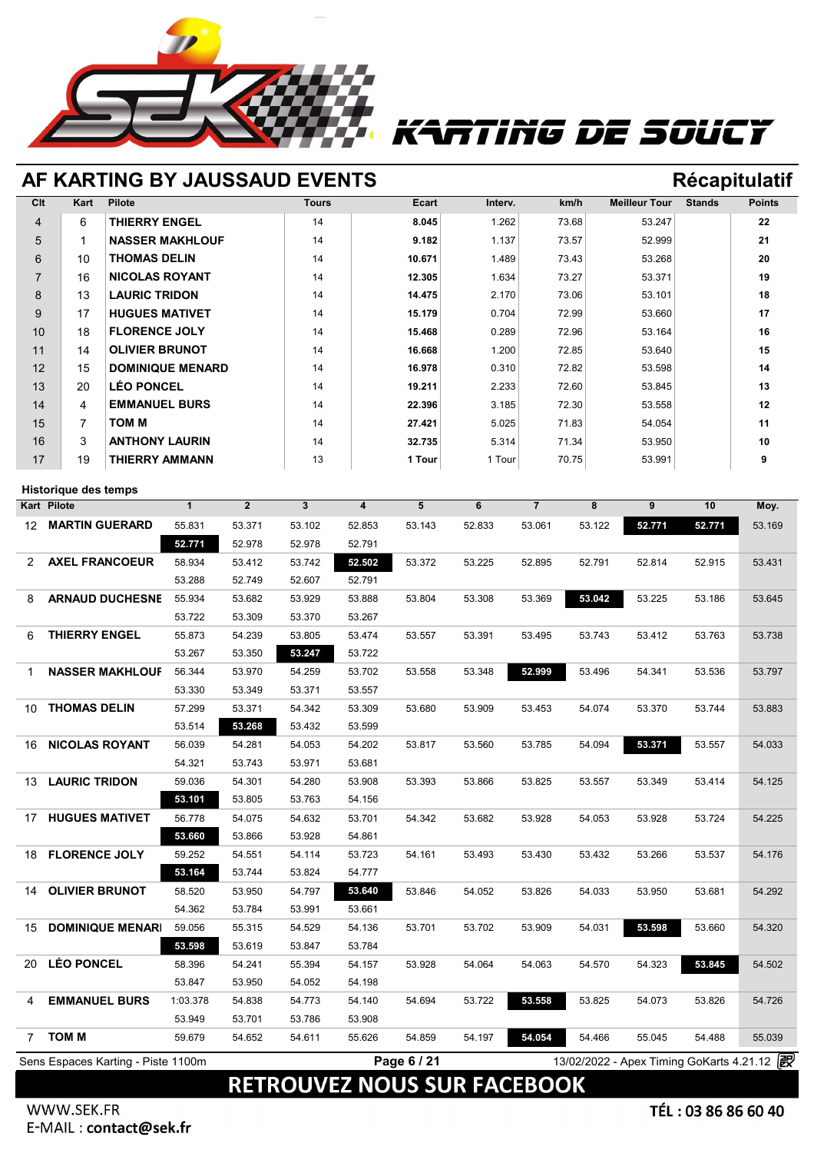

# RTING DE SOUCY

## **AF KARTING BY JAUSSAUD EVENTS Récapitulatif**

| Clt             | Kart           | <b>Pilote</b>           | <b>Tours</b> | Ecart  | Interv. | km/h  | <b>Meilleur Tour</b> | <b>Stands</b> | <b>Points</b> |
|-----------------|----------------|-------------------------|--------------|--------|---------|-------|----------------------|---------------|---------------|
| $\overline{4}$  | 6              | <b>THIERRY ENGEL</b>    | 14           | 8.045  | 1.262   | 73.68 | 53.247               |               | 22            |
| 5               | 1              | <b>NASSER MAKHLOUF</b>  | 14           | 9.182  | 1.137   | 73.57 | 52.999               |               | 21            |
| 6               | 10             | THOMAS DELIN            | 14           | 10.671 | 1.489   | 73.43 | 53.268               |               | 20            |
| $\overline{7}$  | 16             | <b>NICOLAS ROYANT</b>   | 14           | 12.305 | 1.634   | 73.27 | 53.371               |               | 19            |
| 8               | 13             | <b>LAURIC TRIDON</b>    | 14           | 14.475 | 2.170   | 73.06 | 53.101               |               | 18            |
| 9               | 17             | <b>HUGUES MATIVET</b>   | 14           | 15.179 | 0.704   | 72.99 | 53.660               |               | 17            |
| 10 <sup>1</sup> | 18             | <b>FLORENCE JOLY</b>    | 14           | 15.468 | 0.289   | 72.96 | 53.164               |               | 16            |
| 11              | 14             | <b>OLIVIER BRUNOT</b>   | 14           | 16.668 | 1.200   | 72.85 | 53.640               |               | 15            |
| 12              | 15             | <b>DOMINIQUE MENARD</b> | 14           | 16.978 | 0.310   | 72.82 | 53.598               |               | 14            |
| 13              | 20             | <b>LÉO PONCEL</b>       | 14           | 19.211 | 2.233   | 72.60 | 53.845               |               | 13            |
| 14              | 4              | <b>EMMANUEL BURS</b>    | 14           | 22.396 | 3.185   | 72.30 | 53.558               |               | 12            |
| 15              | $\overline{7}$ | TOM M                   | 14           | 27.421 | 5.025   | 71.83 | 54.054               |               | 11            |
| 16              | 3              | <b>ANTHONY LAURIN</b>   | 14           | 32.735 | 5.314   | 71.34 | 53.950               |               | 10            |
| 17              | 19             | THIERRY AMMANN          | 13           | 1 Tour | 1 Tour  | 70.75 | 53.991               |               | 9             |

### **Historique des temps**

| <b>Historique des temps</b><br>Kart Pilote | $\mathbf{1}$     | $\mathbf 2$      | $\mathbf{3}$     | $\overline{\mathbf{4}}$ | $5\phantom{.0}$ | 6      | $\overline{7}$ | 8      | 9                                          | 10     | Moy.   |
|--------------------------------------------|------------------|------------------|------------------|-------------------------|-----------------|--------|----------------|--------|--------------------------------------------|--------|--------|
| <b>MARTIN GUERARD</b>                      |                  |                  |                  |                         |                 |        |                |        |                                            |        |        |
| 12                                         | 55.831<br>52.771 | 53.371<br>52.978 | 53.102<br>52.978 | 52.853                  | 53.143          | 52.833 | 53.061         | 53.122 | 52.771                                     | 52.771 | 53.169 |
|                                            |                  |                  |                  | 52.791                  |                 |        |                |        |                                            |        |        |
| <b>AXEL FRANCOEUR</b><br>2                 | 58.934           | 53.412           | 53.742           | 52.502                  | 53.372          | 53.225 | 52.895         | 52.791 | 52.814                                     | 52.915 | 53.431 |
| <b>ARNAUD DUCHESNE</b>                     | 53.288           | 52.749           | 52.607           | 52.791                  |                 |        |                |        |                                            |        |        |
| 8                                          | 55.934           | 53.682           | 53.929           | 53.888                  | 53.804          | 53.308 | 53.369         | 53.042 | 53.225                                     | 53.186 | 53.645 |
|                                            | 53.722           | 53.309           | 53.370           | 53.267                  |                 |        |                |        |                                            |        |        |
| <b>THIERRY ENGEL</b><br>6                  | 55.873           | 54.239           | 53.805           | 53.474                  | 53.557          | 53.391 | 53.495         | 53.743 | 53.412                                     | 53.763 | 53.738 |
|                                            | 53.267           | 53.350           | 53.247           | 53.722                  |                 |        |                |        |                                            |        |        |
| <b>NASSER MAKHLOUF</b><br>1                | 56.344           | 53.970           | 54.259           | 53.702                  | 53.558          | 53.348 | 52.999         | 53.496 | 54.341                                     | 53.536 | 53.797 |
|                                            | 53.330           | 53.349           | 53.371           | 53.557                  |                 |        |                |        |                                            |        |        |
| <b>THOMAS DELIN</b><br>10                  | 57.299           | 53.371           | 54.342           | 53.309                  | 53.680          | 53.909 | 53.453         | 54.074 | 53.370                                     | 53.744 | 53.883 |
|                                            | 53.514           | 53.268           | 53.432           | 53.599                  |                 |        |                |        |                                            |        |        |
| <b>NICOLAS ROYANT</b><br>16                | 56.039           | 54.281           | 54.053           | 54.202                  | 53.817          | 53.560 | 53.785         | 54.094 | 53.371                                     | 53.557 | 54.033 |
|                                            | 54.321           | 53.743           | 53.971           | 53.681                  |                 |        |                |        |                                            |        |        |
| <b>LAURIC TRIDON</b><br>13                 | 59.036           | 54.301           | 54.280           | 53.908                  | 53.393          | 53.866 | 53.825         | 53.557 | 53.349                                     | 53.414 | 54.125 |
|                                            | 53.101           | 53.805           | 53.763           | 54.156                  |                 |        |                |        |                                            |        |        |
| <b>HUGUES MATIVET</b><br>17                | 56.778           | 54.075           | 54.632           | 53.701                  | 54.342          | 53.682 | 53.928         | 54.053 | 53.928                                     | 53.724 | 54.225 |
|                                            | 53.660           | 53.866           | 53.928           | 54.861                  |                 |        |                |        |                                            |        |        |
| <b>FLORENCE JOLY</b><br>18                 | 59.252           | 54.551           | 54.114           | 53.723                  | 54.161          | 53.493 | 53.430         | 53.432 | 53.266                                     | 53.537 | 54.176 |
|                                            | 53.164           | 53.744           | 53.824           | 54.777                  |                 |        |                |        |                                            |        |        |
| <b>OLIVIER BRUNOT</b><br>14                | 58.520           | 53.950           | 54.797           | 53.640                  | 53.846          | 54.052 | 53.826         | 54.033 | 53.950                                     | 53.681 | 54.292 |
|                                            | 54.362           | 53.784           | 53.991           | 53.661                  |                 |        |                |        |                                            |        |        |
| <b>DOMINIQUE MENARI</b><br>15              | 59.056           | 55.315           | 54.529           | 54.136                  | 53.701          | 53.702 | 53.909         | 54.031 | 53.598                                     | 53.660 | 54.320 |
|                                            | 53.598           | 53.619           | 53.847           | 53.784                  |                 |        |                |        |                                            |        |        |
| <b>LÉO PONCEL</b><br>20                    | 58.396           | 54.241           | 55.394           | 54.157                  | 53.928          | 54.064 | 54.063         | 54.570 | 54.323                                     | 53.845 | 54.502 |
|                                            | 53.847           | 53.950           | 54.052           | 54.198                  |                 |        |                |        |                                            |        |        |
| <b>EMMANUEL BURS</b><br>4                  | 1:03.378         | 54.838           | 54.773           | 54.140                  | 54.694          | 53.722 | 53.558         | 53.825 | 54.073                                     | 53.826 | 54.726 |
|                                            | 53.949           | 53.701           | 53.786           | 53.908                  |                 |        |                |        |                                            |        |        |
| <b>TOM M</b><br>7                          | 59.679           | 54.652           | 54.611           | 55.626                  | 54.859          | 54.197 | 54.054         | 54.466 | 55.045                                     | 54.488 | 55.039 |
| Sens Espaces Karting - Piste 1100m         |                  |                  |                  |                         | Page 6 / 21     |        |                |        | 13/02/2022 - Apex Timing GoKarts 4.21.12 2 |        |        |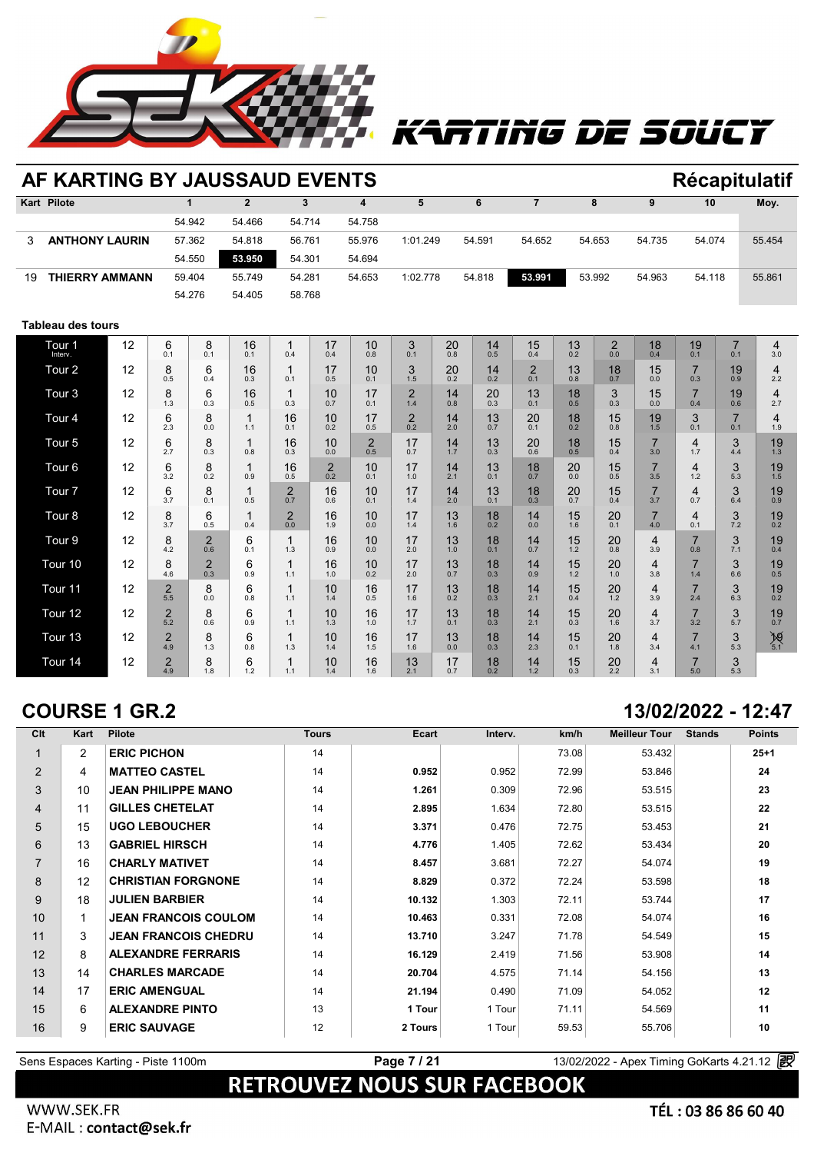

# rting de soucy

|    | AF KARTING BY JAUSSAUD EVENTS |    |                       |                       |                |                       |                       |                       |                       |           |           |                       |           |                       |                       |                       |                       | <b>Récapitulatif</b> |
|----|-------------------------------|----|-----------------------|-----------------------|----------------|-----------------------|-----------------------|-----------------------|-----------------------|-----------|-----------|-----------------------|-----------|-----------------------|-----------------------|-----------------------|-----------------------|----------------------|
|    | Kart Pilote                   |    |                       | $\mathbf{1}$          | $\overline{2}$ | 3                     |                       | 4                     | 5                     |           | 6         | $\overline{7}$        |           | 8                     | 9                     | 10                    |                       | Moy.                 |
|    |                               |    |                       | 54.942                | 54.466         | 54.714                |                       | 54.758                |                       |           |           |                       |           |                       |                       |                       |                       |                      |
| 3  | <b>ANTHONY LAURIN</b>         |    |                       | 57.362                | 54.818         | 56.761                |                       | 55.976                | 1:01.249              |           | 54.591    | 54.652                |           | 54.653                | 54.735                | 54.074                |                       | 55.454               |
|    |                               |    |                       | 54.550                | 53.950         | 54.301                |                       | 54.694                |                       |           |           |                       |           |                       |                       |                       |                       |                      |
| 19 | <b>THIERRY AMMANN</b>         |    |                       | 59.404                | 55.749         | 54.281                |                       | 54.653                | 1:02.778              |           | 54.818    | 53.991                |           | 53.992                | 54.963                | 54.118                |                       | 55.861               |
|    |                               |    |                       | 54.276                | 54.405         | 58.768                |                       |                       |                       |           |           |                       |           |                       |                       |                       |                       |                      |
|    | <b>Tableau des tours</b>      |    |                       |                       |                |                       |                       |                       |                       |           |           |                       |           |                       |                       |                       |                       |                      |
|    | Tour <sub>1</sub><br>Interv.  | 12 | 6<br>0.1              | 8<br>0.1              | 16<br>0.1      | $\mathbf{1}$<br>0.4   | 17<br>0.4             | 10<br>0.8             | 3<br>0.1              | 20<br>0.8 | 14<br>0.5 | 15<br>0.4             | 13<br>0.2 | $\overline{c}$<br>0.0 | 18<br>0.4             | 19<br>0.1             | $\overline{7}$<br>0.1 | 4<br>3.0             |
|    | Tour <sub>2</sub>             | 12 | 8<br>0.5              | 6<br>0.4              | 16<br>0.3      | 1<br>0.1              | 17<br>0.5             | 10<br>0.1             | 3<br>1.5              | 20<br>0.2 | 14<br>0.2 | $\overline{2}$<br>0.1 | 13<br>0.8 | 18<br>0.7             | 15<br>0.0             | 7<br>0.3              | 19<br>0.9             | 4<br>2.2             |
|    | Tour <sub>3</sub>             | 12 | 8<br>1.3              | 6<br>0.3              | 16<br>0.5      | 1<br>0.3              | 10<br>0.7             | 17<br>0.1             | $\overline{2}$<br>1.4 | 14<br>0.8 | 20<br>0.3 | 13<br>0.1             | 18<br>0.5 | 3<br>0.3              | 15<br>0.0             | $\overline{7}$<br>0.4 | 19<br>0.6             | 4<br>2.7             |
|    | Tour <sub>4</sub>             | 12 | 6<br>2.3              | 8<br>0.0              | 1<br>1.1       | 16<br>0.1             | 10<br>0.2             | 17<br>0.5             | $\overline{2}$<br>0.2 | 14<br>2.0 | 13<br>0.7 | 20<br>0.1             | 18<br>0.2 | 15<br>0.8             | 19<br>1.5             | 3<br>0.1              | $\overline{7}$<br>0.1 | 4<br>1.9             |
|    | Tour <sub>5</sub>             | 12 | 6<br>2.7              | 8<br>0.3              | 1<br>0.8       | 16<br>0.3             | 10<br>0.0             | $\overline{2}$<br>0.5 | 17<br>0.7             | 14<br>1.7 | 13<br>0.3 | 20<br>0.6             | 18<br>0.5 | 15<br>0.4             | $\overline{7}$<br>3.0 | $\overline{4}$<br>1.7 | 3<br>4.4              | 19<br>1.3            |
|    | Tour <sub>6</sub>             | 12 | 6<br>3.2              | 8<br>0.2              | 1<br>0.9       | 16<br>0.5             | $\overline{2}$<br>0.2 | 10<br>0.1             | 17<br>1.0             | 14<br>2.1 | 13<br>0.1 | 18<br>0.7             | 20<br>0.0 | 15<br>0.5             | $\overline{7}$<br>3.5 | $\overline{4}$<br>1.2 | 3<br>5.3              | 19<br>1.5            |
|    | Tour <sub>7</sub>             | 12 | 6<br>3.7              | 8<br>0.1              | 1<br>0.5       | $\overline{2}$<br>0.7 | 16<br>0.6             | 10<br>0.1             | 17<br>1.4             | 14<br>2.0 | 13<br>0.1 | 18<br>0.3             | 20<br>0.7 | 15<br>0.4             | $\overline{7}$<br>3.7 | 4<br>0.7              | 3<br>6.4              | 19<br>0.9            |
|    | Tour <sub>8</sub>             | 12 | 8<br>3.7              | 6<br>0.5              | 1<br>0.4       | $\overline{2}$<br>0.0 | 16<br>1.9             | 10<br>0.0             | 17<br>1.4             | 13<br>1.6 | 18<br>0.2 | 14<br>0.0             | 15<br>1.6 | 20<br>0.1             | $\overline{7}$<br>4.0 | 4<br>0.1              | 3<br>7.2              | 19<br>0.2            |
|    | Tour <sub>9</sub>             | 12 | 8<br>4.2              | $\overline{2}$<br>0.6 | 6<br>0.1       | 1<br>1.3              | 16<br>0.9             | 10<br>0.0             | 17<br>2.0             | 13<br>1.0 | 18<br>0.1 | 14<br>0.7             | 15<br>1.2 | 20<br>0.8             | 4<br>3.9              | $\overline{7}$<br>0.8 | 3<br>7.1              | 19<br>0.4            |
|    | Tour <sub>10</sub>            | 12 | 8<br>4.6              | $\overline{2}$<br>0.3 | 6<br>0.9       | 1<br>1.1              | 16<br>1.0             | 10<br>0.2             | 17<br>2.0             | 13<br>0.7 | 18<br>0.3 | 14<br>0.9             | 15<br>1.2 | 20<br>1.0             | 4<br>3.8              | 7<br>1.4              | 3<br>6.6              | 19<br>0.5            |
|    | Tour <sub>11</sub>            | 12 | $\overline{2}$<br>5.5 | 8<br>0.0              | 6<br>0.8       | 1<br>1.1              | 10<br>1.4             | 16<br>0.5             | 17<br>1.6             | 13<br>0.2 | 18<br>0.3 | 14<br>2.1             | 15<br>0.4 | 20<br>1.2             | 4<br>3.9              | 7<br>2.4              | 3<br>6.3              | 19<br>0.2            |
|    | Tour 12                       | 12 | $\overline{2}$<br>5.2 | 8<br>0.6              | 6<br>0.9       | 1<br>1.1              | 10<br>1.3             | 16<br>1.0             | 17<br>1.7             | 13<br>0.1 | 18<br>0.3 | 14<br>2.1             | 15<br>0.3 | 20<br>1.6             | 4<br>3.7              | $\overline{7}$<br>3.2 | 3<br>5.7              | 19<br>0.7            |
|    | Tour <sub>13</sub>            | 12 | $\overline{2}$<br>4.9 | 8<br>1.3              | 6<br>0.8       | 1<br>1.3              | 10<br>1.4             | 16<br>1.5             | 17<br>1.6             | 13<br>0.0 | 18<br>0.3 | 14<br>2.3             | 15<br>0.1 | 20<br>1.8             | 4<br>3.4              | 7<br>4.1              | 3<br>5.3              | $\cancel{10}_{5.1}$  |
|    | Tour 14                       | 12 | $\overline{2}$<br>4.9 | 8<br>1.8              | 6<br>1.2       | 1.1                   | 10<br>1.4             | 16<br>1.6             | 13<br>2.1             | 17<br>0.7 | 18<br>0.2 | 14<br>1.2             | 15<br>0.3 | 20<br>2.2             | 4<br>3.1              | $\overline{7}$<br>5.0 | 3<br>5.3              |                      |

## **COURSE 1 GR.2 13/02/2022 - 12:47**

| Clt            | <b>Kart</b>    | <b>Pilote</b>               | <b>Tours</b> | <b>Ecart</b> | Interv. | km/h  | <b>Meilleur Tour</b> | <b>Stands</b> | <b>Points</b> |
|----------------|----------------|-----------------------------|--------------|--------------|---------|-------|----------------------|---------------|---------------|
|                | $\overline{2}$ | <b>ERIC PICHON</b>          | 14           |              |         | 73.08 | 53.432               |               | $25 + 1$      |
| $\overline{2}$ | 4              | <b>MATTEO CASTEL</b>        | 14           | 0.952        | 0.952   | 72.99 | 53.846               |               | 24            |
| 3              | 10             | <b>JEAN PHILIPPE MANO</b>   | 14           | 1.261        | 0.309   | 72.96 | 53.515               |               | 23            |
| $\overline{4}$ | 11             | <b>GILLES CHETELAT</b>      | 14           | 2.895        | 1.634   | 72.80 | 53.515               |               | 22            |
| 5              | 15             | <b>UGO LEBOUCHER</b>        | 14           | 3.371        | 0.476   | 72.75 | 53.453               |               | 21            |
| 6              | 13             | <b>GABRIEL HIRSCH</b>       | 14           | 4.776        | 1.405   | 72.62 | 53.434               |               | 20            |
| $\overline{7}$ | 16             | <b>CHARLY MATIVET</b>       | 14           | 8.457        | 3.681   | 72.27 | 54.074               |               | 19            |
| 8              | 12             | <b>CHRISTIAN FORGNONE</b>   | 14           | 8.829        | 0.372   | 72.24 | 53.598               |               | 18            |
| 9              | 18             | <b>JULIEN BARBIER</b>       | 14           | 10.132       | 1.303   | 72.11 | 53.744               |               | 17            |
| 10             | 1              | <b>JEAN FRANCOIS COULOM</b> | 14           | 10.463       | 0.331   | 72.08 | 54.074               |               | 16            |
| 11             | 3              | <b>JEAN FRANCOIS CHEDRU</b> | 14           | 13.710       | 3.247   | 71.78 | 54.549               |               | 15            |
| 12             | 8              | <b>ALEXANDRE FERRARIS</b>   | 14           | 16.129       | 2.419   | 71.56 | 53.908               |               | 14            |
| 13             | 14             | <b>CHARLES MARCADE</b>      | 14           | 20.704       | 4.575   | 71.14 | 54.156               |               | 13            |
| 14             | 17             | <b>ERIC AMENGUAL</b>        | 14           | 21.194       | 0.490   | 71.09 | 54.052               |               | 12            |
| 15             | 6              | <b>ALEXANDRE PINTO</b>      | 13           | 1 Tour       | 1 Tour  | 71.11 | 54.569               |               | 11            |
| 16             | 9              | <b>ERIC SAUVAGE</b>         | 12           | 2 Tours      | 1 Tour  | 59.53 | 55.706               |               | 10            |

# Sens Espaces Karting - Piste 1100m<br> **RETROUVEZ NOUS SUR FACEBOOK**

WWW.SEK.FR Appling solutions and services go-karting motorsports and services go-karting motorsports circuit rental rental racing motorsports circuit rental racing track live timing softwares https://www.apex-timing.com/timing.com/ti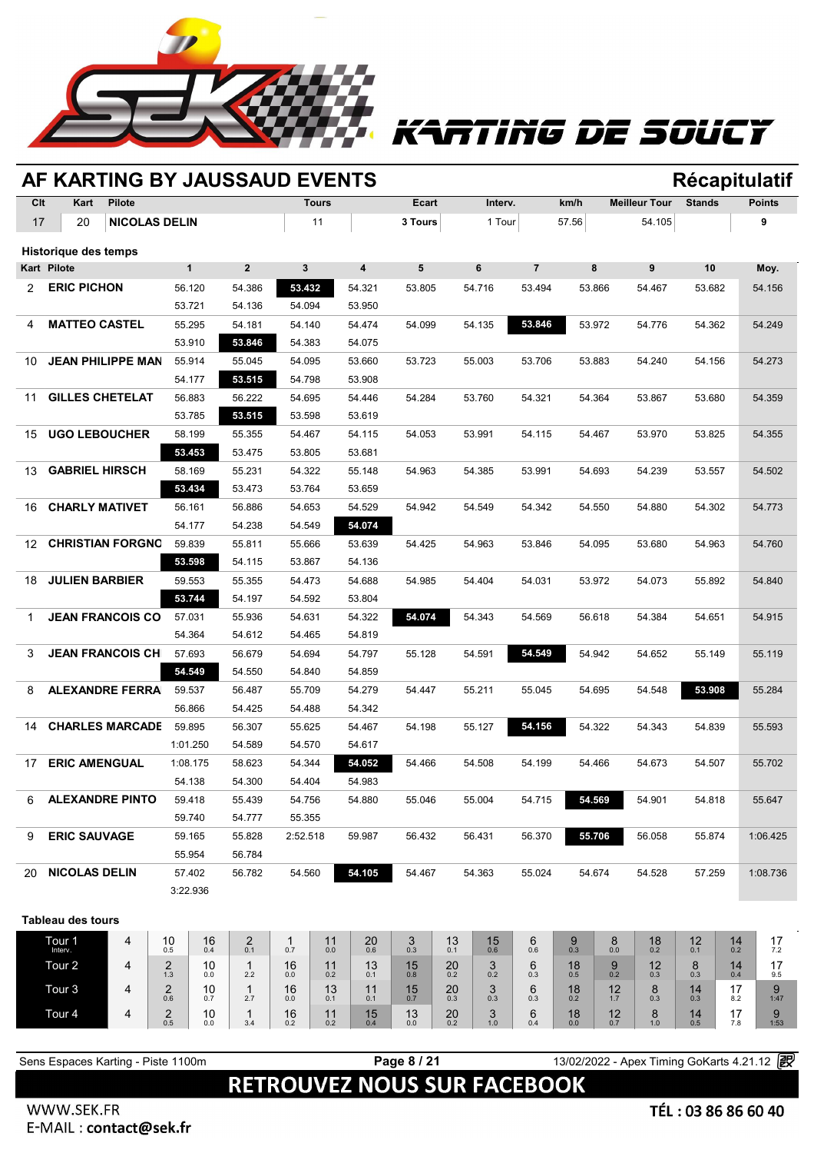

# rting de soucy

|                       |                                    |                      |                       |                  | AF KARTING BY JAUSSAUD EVENTS |                  |              |                         |                            |           |               |                |                   |               |                                            |               |           | Récapitulatif |
|-----------------------|------------------------------------|----------------------|-----------------------|------------------|-------------------------------|------------------|--------------|-------------------------|----------------------------|-----------|---------------|----------------|-------------------|---------------|--------------------------------------------|---------------|-----------|---------------|
| Clt                   | Kart                               | <b>Pilote</b>        |                       |                  |                               |                  | <b>Tours</b> |                         | Ecart                      |           | Interv.       |                | km/h              |               | <b>Meilleur Tour</b>                       | <b>Stands</b> |           | <b>Points</b> |
| 17                    | 20                                 | <b>NICOLAS DELIN</b> |                       |                  |                               |                  | 11           |                         | 3 Tours                    |           | 1 Tour        |                | 57.56             |               | 54.105                                     |               |           | 9             |
|                       | Historique des temps               |                      |                       |                  |                               |                  |              |                         |                            |           |               |                |                   |               |                                            |               |           |               |
| <b>Kart Pilote</b>    |                                    |                      |                       | $\mathbf{1}$     | 2 <sup>2</sup>                | 3                |              | $\overline{\mathbf{4}}$ | 5                          |           | 6             | $\overline{7}$ | 8                 |               | 9                                          | 10            |           | Moy.          |
| $\mathbf{2}^{\prime}$ | <b>ERIC PICHON</b>                 |                      |                       | 56.120           | 54.386                        | 53.432           |              | 54.321                  | 53.805                     |           | 54.716        | 53.494         | 53.866            |               | 54.467                                     | 53.682        |           | 54.156        |
|                       |                                    |                      |                       | 53.721           | 54.136                        | 54.094           |              | 53.950                  |                            |           |               |                |                   |               |                                            |               |           |               |
| 4                     | <b>MATTEO CASTEL</b>               |                      |                       | 55.295           | 54.181                        | 54.140           |              | 54.474                  | 54.099                     |           | 54.135        | 53.846         | 53.972            |               | 54.776                                     | 54.362        |           | 54.249        |
|                       |                                    |                      |                       | 53.910           | 53.846                        | 54.383           |              | 54.075                  |                            |           |               |                |                   |               |                                            |               |           |               |
| 10                    | <b>JEAN PHILIPPE MAN</b>           |                      |                       | 55.914           | 55.045                        | 54.095           |              | 53.660                  | 53.723                     |           | 55.003        | 53.706         | 53.883            |               | 54.240                                     | 54.156        |           | 54.273        |
|                       |                                    |                      |                       | 54.177           | 53.515                        | 54.798           |              | 53.908                  |                            |           |               |                |                   |               |                                            |               |           |               |
| 11                    | <b>GILLES CHETELAT</b>             |                      |                       | 56.883           | 56.222                        | 54.695           |              | 54.446                  | 54.284                     |           | 53.760        | 54.321         | 54.364            |               | 53.867                                     | 53.680        |           | 54.359        |
|                       |                                    |                      |                       | 53.785           | 53.515                        | 53.598           |              | 53.619                  |                            |           |               |                |                   |               |                                            |               |           |               |
| 15                    | <b>UGO LEBOUCHER</b>               |                      |                       | 58.199<br>53.453 | 55.355                        | 54.467           |              | 54.115                  | 54.053                     |           | 53.991        | 54.115         | 54.467            |               | 53.970                                     | 53.825        |           | 54.355        |
| 13                    | <b>GABRIEL HIRSCH</b>              |                      |                       | 58.169           | 53.475<br>55.231              | 53.805<br>54.322 |              | 53.681<br>55.148        | 54.963                     |           | 54.385        | 53.991         | 54.693            |               | 54.239                                     | 53.557        |           | 54.502        |
|                       |                                    |                      |                       | 53.434           | 53.473                        | 53.764           |              | 53.659                  |                            |           |               |                |                   |               |                                            |               |           |               |
| 16                    | <b>CHARLY MATIVET</b>              |                      |                       | 56.161           | 56.886                        | 54.653           |              | 54.529                  | 54.942                     |           | 54.549        | 54.342         | 54.550            |               | 54.880                                     | 54.302        |           | 54.773        |
|                       |                                    |                      |                       | 54.177           | 54.238                        | 54.549           |              | 54.074                  |                            |           |               |                |                   |               |                                            |               |           |               |
| 12                    | <b>CHRISTIAN FORGNO</b>            |                      |                       | 59.839           | 55.811                        | 55.666           |              | 53.639                  | 54.425                     |           | 54.963        | 53.846         | 54.095            |               | 53.680                                     | 54.963        |           | 54.760        |
|                       |                                    |                      |                       | 53.598           | 54.115                        | 53.867           |              | 54.136                  |                            |           |               |                |                   |               |                                            |               |           |               |
| 18                    | <b>JULIEN BARBIER</b>              |                      |                       | 59.553           | 55.355                        | 54.473           |              | 54.688                  | 54.985                     |           | 54.404        | 54.031         | 53.972            |               | 54.073                                     | 55.892        |           | 54.840        |
|                       |                                    |                      |                       | 53.744           | 54.197                        | 54.592           |              | 53.804                  |                            |           |               |                |                   |               |                                            |               |           |               |
| 1                     | <b>JEAN FRANCOIS CO</b>            |                      |                       | 57.031           | 55.936                        | 54.631           |              | 54.322                  | 54.074                     |           | 54.343        | 54.569         | 56.618            |               | 54.384                                     | 54.651        |           | 54.915        |
|                       |                                    |                      |                       | 54.364           | 54.612                        | 54.465           |              | 54.819                  |                            |           |               |                |                   |               |                                            |               |           |               |
| 3                     | <b>JEAN FRANCOIS CH</b>            |                      |                       | 57.693           | 56.679                        | 54.694           |              | 54.797                  | 55.128                     |           | 54.591        | 54.549         | 54.942            |               | 54.652                                     | 55.149        |           | 55.119        |
|                       |                                    |                      |                       | 54.549           | 54.550                        | 54.840           |              | 54.859                  |                            |           |               |                |                   |               |                                            |               |           |               |
| 8                     | <b>ALEXANDRE FERRA</b>             |                      |                       | 59.537           | 56.487                        | 55.709           |              | 54.279                  | 54.447                     |           | 55.211        | 55.045         | 54.695            |               | 54.548                                     | 53.908        |           | 55.284        |
|                       |                                    |                      |                       | 56.866           | 54.425                        | 54.488           |              | 54.342                  |                            |           |               |                |                   |               |                                            |               |           |               |
| 14                    | <b>CHARLES MARCADE</b>             |                      |                       | 59.895           | 56.307                        | 55.625           |              | 54.467                  | 54.198                     |           | 55.127        | 54.156         | 54.322            |               | 54.343                                     | 54.839        |           | 55.593        |
|                       |                                    |                      |                       | 1:01.250         | 54.589                        | 54.570           |              | 54.617                  |                            |           |               |                |                   |               |                                            |               |           |               |
| 17                    | <b>ERIC AMENGUAL</b>               |                      |                       | 1:08.175         | 58.623                        | 54.344           |              | 54.052                  | 54.466                     |           | 54.508        | 54.199         | 54.466            |               | 54.673                                     | 54.507        |           | 55.702        |
|                       |                                    |                      |                       | 54.138           | 54.300                        | 54.404           |              | 54.983                  |                            |           |               |                |                   |               |                                            |               |           |               |
| 6                     | <b>ALEXANDRE PINTO</b>             |                      |                       | 59.418           | 55.439                        | 54.756           |              | 54.880                  | 55.046                     |           | 55.004        | 54.715         | 54.569            |               | 54.901                                     | 54.818        |           | 55.647        |
|                       |                                    |                      |                       | 59.740           | 54.777                        | 55.355           |              |                         |                            |           |               |                |                   |               |                                            |               |           |               |
| 9                     | <b>ERIC SAUVAGE</b>                |                      |                       | 59.165           | 55.828                        | 2:52.518         |              | 59.987                  | 56.432                     |           | 56.431        | 56.370         | 55.706            |               | 56.058                                     | 55.874        |           | 1:06.425      |
|                       |                                    |                      |                       | 55.954           | 56.784                        |                  |              |                         |                            |           |               |                |                   |               |                                            |               |           |               |
| 20                    | <b>NICOLAS DELIN</b>               |                      |                       | 57.402           | 56.782                        | 54.560           |              | 54.105                  | 54.467                     |           | 54.363        | 55.024         | 54.674            |               | 54.528                                     | 57.259        |           | 1:08.736      |
|                       |                                    |                      |                       | 3:22.936         |                               |                  |              |                         |                            |           |               |                |                   |               |                                            |               |           |               |
|                       | <b>Tableau des tours</b>           |                      |                       |                  |                               |                  |              |                         |                            |           |               |                |                   |               |                                            |               |           |               |
|                       | Tour 1                             | 4                    | 10                    | 16               |                               | 1                | 11           |                         |                            | 13        |               | 6              | 9                 | 8             | 18                                         | 12            | 14        | 17            |
|                       | Interv.                            |                      | 0.5                   | 0.4              | $^{2}_{0.1}$                  | 0.7              | $0.0\,$      | $^{20}_{0.6}$           | $_{0.3}^{\displaystyle 3}$ | 0.1       | $^{15}_{0.6}$ | 0.6            | $0.3\,$           | $0.0\,$       | 0.2                                        | 0.1           | 0.2       | 7.2           |
|                       | Tour 2                             | 4                    | $\overline{2}$<br>1.3 | 10<br>0.0        | $\mathbf{1}$<br>2.2           | 16<br>$0.0\,$    | 11<br>0.2    | 13<br>0.1               | 15<br>0.8                  | 20<br>0.2 | 3<br>0.2      | 6<br>0.3       | 18<br>0.5         | 9<br>0.2      | 12<br>0.3                                  | 8<br>0.3      | 14<br>0.4 | 17<br>9.5     |
|                       | Tour <sub>3</sub>                  | 4                    | $\overline{2}$<br>0.6 | 10<br>0.7        | $\mathbf{1}$<br>2.7           | 16<br>0.0        | 13<br>0.1    | 11<br>0.1               | $15$ <sub>0.7</sub>        | 20<br>0.3 | 3<br>0.3      | 6<br>0.3       | 18<br>0.2         | 12<br>1.7     | 8<br>0.3                                   | 14<br>0.3     | 17<br>8.2 | 9             |
|                       | Tour <sub>4</sub>                  | 4                    | $_{0.5}^{2}$          | 10               | $\mathbf{1}$                  | 16               | 11           | 15                      | 13                         | 20        | 3             | 6              | 18 <sub>0.0</sub> | $^{12}_{0.7}$ |                                            |               | 17        | 1:47<br>9     |
|                       |                                    |                      |                       | 0.0              | 3.4                           | 0.2              | 0.2          | 0.4                     | 0.0                        | 0.2       | 1.0           | 0.4            |                   |               | $8_{1.0}$                                  | $14_{0.5}$    | 7.8       | 1:53          |
|                       |                                    |                      |                       |                  |                               |                  |              |                         |                            |           |               |                |                   |               |                                            |               |           |               |
|                       | Sens Espaces Karting - Piste 1100m |                      |                       |                  |                               |                  |              |                         | Page 8 / 21                |           |               |                |                   |               | 13/02/2022 - Apex Timing GoKarts 4.21.12 2 |               |           |               |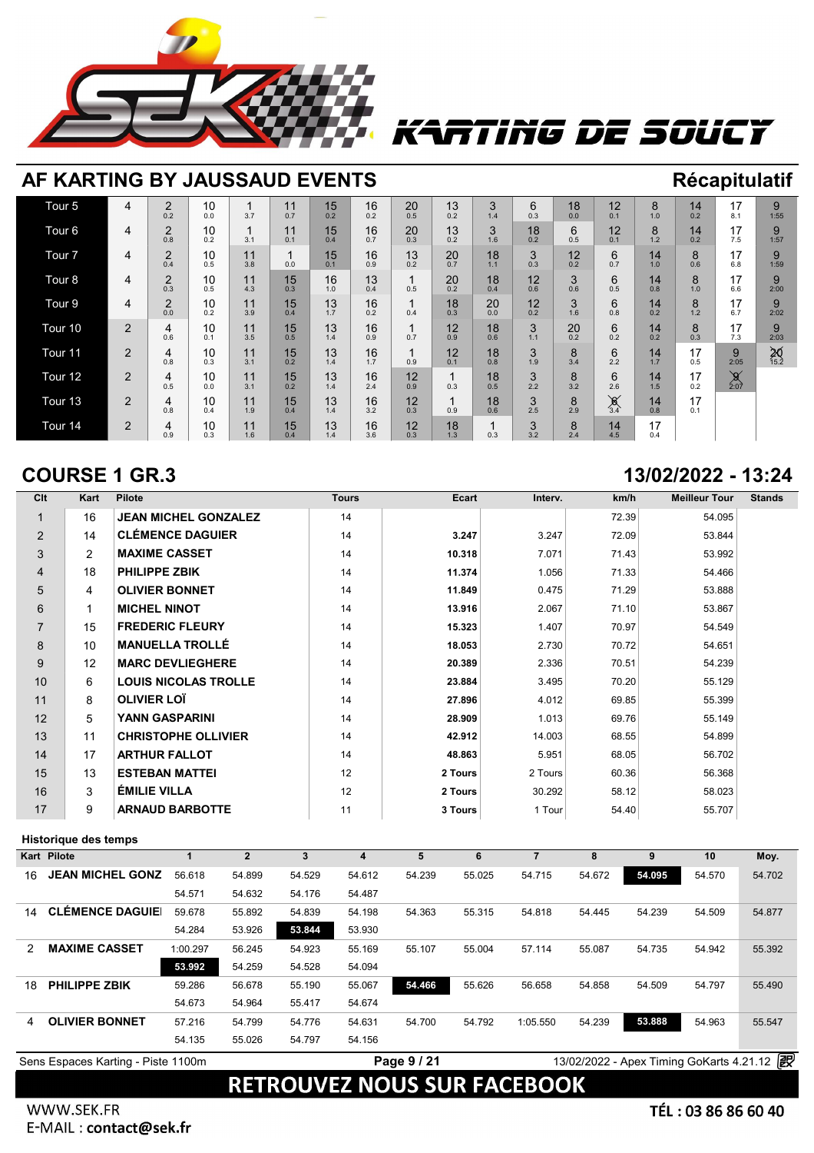

## rtiñg de soucy

| AF KARTING BY JAUSSAUD EVENTS |                |                       |           |           |           |           |           |           |           |           |           |               |                       |           |           | Récapitulatif    |                   |
|-------------------------------|----------------|-----------------------|-----------|-----------|-----------|-----------|-----------|-----------|-----------|-----------|-----------|---------------|-----------------------|-----------|-----------|------------------|-------------------|
| Tour <sub>5</sub>             | 4              | $\overline{2}$<br>0.2 | 10<br>0.0 | 3.7       | 11<br>0.7 | 15<br>0.2 | 16<br>0.2 | 20<br>0.5 | 13<br>0.2 | 3<br>1.4  | 6<br>0.3  | 18<br>0.0     | 12<br>0.1             | 8<br>1.0  | 14<br>0.2 | 17<br>8.1        | 9<br>1:55         |
| Tour <sub>6</sub>             | 4              | 2<br>0.8              | 10<br>0.2 | 3.1       | 11<br>0.1 | 15<br>0.4 | 16<br>0.7 | 20<br>0.3 | 13<br>0.2 | 3<br>1.6  | 18<br>0.2 | 6<br>0.5      | 12<br>0.1             | 8<br>1.2  | 14<br>0.2 | 17<br>7.5        | 9<br>1:57         |
| Tour <sub>7</sub>             | 4              | $\overline{2}$<br>0.4 | 10<br>0.5 | 11<br>3.8 | 0.0       | 15<br>0.1 | 16<br>0.9 | 13<br>0.2 | 20<br>0.7 | 18<br>1.1 | 3<br>0.3  | 12<br>0.2     | 6<br>0.7              | 14<br>1.0 | 8<br>0.6  | 17<br>6.8        | 9<br>1:59         |
| Tour <sub>8</sub>             | 4              | $\overline{2}$<br>0.3 | 10<br>0.5 | 11<br>4.3 | 15<br>0.3 | 16<br>1.0 | 13<br>0.4 | 0.5       | 20<br>0.2 | 18<br>0.4 | 12<br>0.6 | 3<br>0.6      | 6<br>0.5              | 14<br>0.8 | 8<br>1.0  | 17<br>6.6        | 9<br>2:00         |
| Tour <sub>9</sub>             | 4              | $\overline{2}$<br>0.0 | 10<br>0.2 | 11<br>3.9 | 15<br>0.4 | 13<br>1.7 | 16<br>0.2 | 0.4       | 18<br>0.3 | 20<br>0.0 | 12<br>0.2 | 3<br>1.6      | 6<br>0.8              | 14<br>0.2 | 8<br>1.2  | 17<br>6.7        | 9<br>2:02         |
| Tour <sub>10</sub>            | $\overline{2}$ | 4<br>0.6              | 10<br>0.1 | 11<br>3.5 | 15<br>0.5 | 13<br>1.4 | 16<br>0.9 | 0.7       | 12<br>0.9 | 18<br>0.6 | 3<br>1.1  | $^{20}_{0.2}$ | 6<br>0.2              | 14<br>0.2 | 8<br>0.3  | 17<br>7.3        | 9<br>2:03         |
| Tour <sub>11</sub>            | $\mathbf{2}$   | 4<br>0.8              | 10<br>0.3 | 11<br>3.1 | 15<br>0.2 | 13<br>1.4 | 16<br>1.7 | 0.9       | 12<br>0.1 | 18<br>0.8 | 3<br>1.9  | 8<br>3.4      | 6<br>2.2              | 14<br>1.7 | 17<br>0.5 | 9<br>2:05        | $\frac{20}{15.2}$ |
| Tour <sub>12</sub>            | $\overline{2}$ | 4<br>0.5              | 10<br>0.0 | 11<br>3.1 | 15<br>0.2 | 13<br>1.4 | 16<br>2.4 | 12<br>0.9 | 0.3       | 18<br>0.5 | 3<br>2.2  | 8<br>3.2      | 6<br>2.6              | 14<br>1.5 | 17<br>0.2 | $\frac{9}{2:07}$ |                   |
| Tour <sub>13</sub>            | 2              | 4<br>0.8              | 10<br>0.4 | 11<br>1.9 | 15<br>0.4 | 13<br>1.4 | 16<br>3.2 | 12<br>0.3 | 0.9       | 18<br>0.6 | 3<br>2.5  | 8<br>2.9      | $\chi$ <sub>3.4</sub> | 14<br>0.8 | 17<br>0.1 |                  |                   |
| Tour 14                       | $\overline{2}$ | 4<br>0.9              | 10<br>0.3 | 11<br>1.6 | 15<br>0.4 | 13<br>1.4 | 16<br>3.6 | 12<br>0.3 | 18<br>1.3 | 0.3       | 3<br>3.2  | 8<br>2.4      | 14<br>4.5             | 17<br>0.4 |           |                  |                   |

### **COURSE 1 GR.3 13/02/2022 - 13:24**

| Clt            | Kart | <b>Pilote</b>               | <b>Tours</b> | Ecart   | Interv. | km/h  | <b>Meilleur Tour</b> | <b>Stands</b> |
|----------------|------|-----------------------------|--------------|---------|---------|-------|----------------------|---------------|
| $\mathbf 1$    | 16   | <b>JEAN MICHEL GONZALEZ</b> | 14           |         |         | 72.39 | 54.095               |               |
| $\overline{2}$ | 14   | <b>CLÉMENCE DAGUIER</b>     | 14           | 3.247   | 3.247   | 72.09 | 53.844               |               |
| 3              | 2    | <b>MAXIME CASSET</b>        | 14           | 10.318  | 7.071   | 71.43 | 53.992               |               |
| $\overline{4}$ | 18   | <b>PHILIPPE ZBIK</b>        | 14           | 11.374  | 1.056   | 71.33 | 54.466               |               |
| 5              | 4    | <b>OLIVIER BONNET</b>       | 14           | 11.849  | 0.475   | 71.29 | 53.888               |               |
| 6              | 1    | <b>MICHEL NINOT</b>         | 14           | 13.916  | 2.067   | 71.10 | 53.867               |               |
| $\overline{7}$ | 15   | <b>FREDERIC FLEURY</b>      | 14           | 15.323  | 1.407   | 70.97 | 54.549               |               |
| 8              | 10   | <b>MANUELLA TROLLÉ</b>      | 14           | 18.053  | 2.730   | 70.72 | 54.651               |               |
| 9              | 12   | <b>MARC DEVLIEGHERE</b>     | 14           | 20.389  | 2.336   | 70.51 | 54.239               |               |
| 10             | 6    | <b>LOUIS NICOLAS TROLLE</b> | 14           | 23.884  | 3.495   | 70.20 | 55.129               |               |
| 11             | 8    | <b>OLIVIER LOT</b>          | 14           | 27.896  | 4.012   | 69.85 | 55.399               |               |
| 12             | 5    | <b>YANN GASPARINI</b>       | 14           | 28.909  | 1.013   | 69.76 | 55.149               |               |
| 13             | 11   | <b>CHRISTOPHE OLLIVIER</b>  | 14           | 42.912  | 14.003  | 68.55 | 54.899               |               |
| 14             | 17   | <b>ARTHUR FALLOT</b>        | 14           | 48.863  | 5.951   | 68.05 | 56.702               |               |
| 15             | 13   | <b>ESTEBAN MATTEI</b>       | 12           | 2 Tours | 2 Tours | 60.36 | 56.368               |               |
| 16             | 3    | ÉMILIE VILLA                | 12           | 2 Tours | 30.292  | 58.12 | 58.023               |               |
| 17             | 9    | <b>ARNAUD BARBOTTE</b>      | 11           | 3 Tours | 1 Tour  | 54.40 | 55.707               |               |

### **Historique des temps**

|    | <b>Historique des temps</b>        |          |              |        |        |             |        |          |        |                                          |        |        |
|----|------------------------------------|----------|--------------|--------|--------|-------------|--------|----------|--------|------------------------------------------|--------|--------|
|    | Kart Pilote                        |          | $\mathbf{2}$ | 3      | 4      | 5           | 6      | 7        | 8      | 9                                        | 10     | Moy.   |
| 16 | <b>JEAN MICHEL GONZ</b>            | 56.618   | 54.899       | 54.529 | 54.612 | 54.239      | 55.025 | 54.715   | 54.672 | 54.095                                   | 54.570 | 54.702 |
|    |                                    | 54.571   | 54.632       | 54.176 | 54.487 |             |        |          |        |                                          |        |        |
| 14 | <b>CLÉMENCE DAGUIE</b>             | 59.678   | 55.892       | 54.839 | 54.198 | 54.363      | 55.315 | 54.818   | 54.445 | 54.239                                   | 54.509 | 54.877 |
|    |                                    | 54.284   | 53.926       | 53.844 | 53.930 |             |        |          |        |                                          |        |        |
| 2  | <b>MAXIME CASSET</b>               | 1:00.297 | 56.245       | 54.923 | 55.169 | 55.107      | 55.004 | 57.114   | 55.087 | 54.735                                   | 54.942 | 55.392 |
|    |                                    | 53.992   | 54.259       | 54.528 | 54.094 |             |        |          |        |                                          |        |        |
| 18 | <b>PHILIPPE ZBIK</b>               | 59.286   | 56.678       | 55.190 | 55.067 | 54.466      | 55.626 | 56.658   | 54.858 | 54.509                                   | 54.797 | 55.490 |
|    |                                    | 54.673   | 54.964       | 55.417 | 54.674 |             |        |          |        |                                          |        |        |
| 4  | <b>OLIVIER BONNET</b>              | 57.216   | 54.799       | 54.776 | 54.631 | 54.700      | 54.792 | 1:05.550 | 54.239 | 53.888                                   | 54.963 | 55.547 |
|    |                                    | 54.135   | 55.026       | 54.797 | 54.156 |             |        |          |        |                                          |        |        |
|    | Sens Espaces Karting - Piste 1100m |          |              |        |        | Page 9 / 21 |        |          |        | 13/02/2022 - Apex Timing GoKarts 4.21.12 |        | 霍      |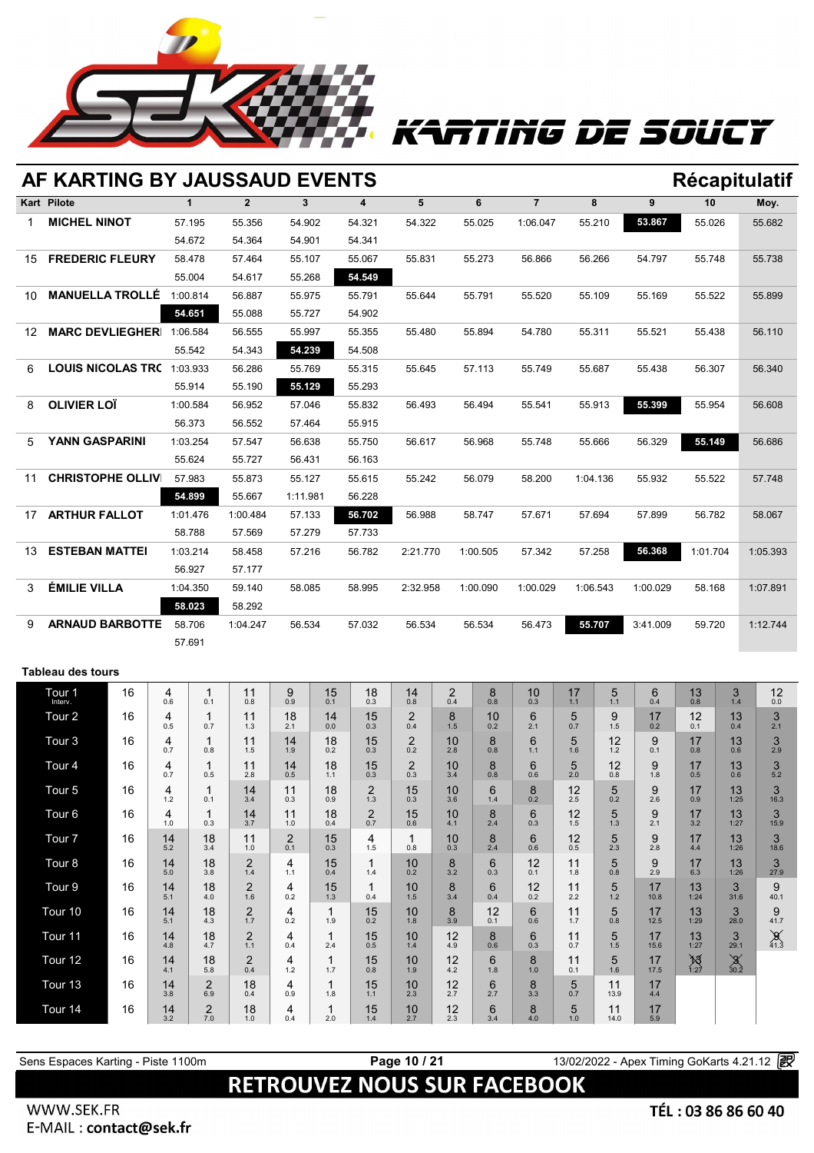

# RTING DE SOUCY

|    | AF KARTING BY JAUSSAUD EVENTS |    |            |                         |                       |                  |                     |                       |                       |           |           |                                         |           |             |            |                   |                  | <b>Récapitulatif</b> |
|----|-------------------------------|----|------------|-------------------------|-----------------------|------------------|---------------------|-----------------------|-----------------------|-----------|-----------|-----------------------------------------|-----------|-------------|------------|-------------------|------------------|----------------------|
|    | <b>Kart Pilote</b>            |    |            | $\mathbf{1}$            | $\overline{2}$        | 3                |                     | 4                     | 5                     |           | 6         | $\overline{7}$                          |           | 8           | 9          | 10                |                  | Moy.                 |
| 1  | <b>MICHEL NINOT</b>           |    |            | 57.195                  | 55.356                | 54.902           |                     | 54.321                | 54.322                |           | 55.025    | 1:06.047                                |           | 55.210      | 53.867     | 55.026            |                  | 55.682               |
|    |                               |    |            | 54.672                  | 54.364                | 54.901           |                     | 54.341                |                       |           |           |                                         |           |             |            |                   |                  |                      |
| 15 | <b>FREDERIC FLEURY</b>        |    |            | 58.478                  | 57.464                | 55.107           |                     | 55.067                | 55.831                |           | 55.273    | 56.866                                  |           | 56.266      | 54.797     | 55.748            |                  | 55.738               |
|    |                               |    |            | 55.004                  | 54.617                | 55.268           |                     | 54.549                |                       |           |           |                                         |           |             |            |                   |                  |                      |
| 10 | <b>MANUELLA TROLLÉ</b>        |    |            | 1:00.814                | 56.887                | 55.975           |                     | 55.791                | 55.644                |           | 55.791    | 55.520                                  |           | 55.109      | 55.169     | 55.522            |                  | 55.899               |
|    |                               |    |            | 54.651                  | 55.088                | 55.727           |                     | 54.902                |                       |           |           |                                         |           |             |            |                   |                  |                      |
| 12 | MARC DEVLIEGHER 1:06.584      |    |            |                         | 56.555                | 55.997           |                     | 55.355<br>54.508      | 55.480                |           | 55.894    | 54.780                                  |           | 55.311      | 55.521     | 55.438            |                  | 56.110               |
| 6  | LOUIS NICOLAS TRC 1:03.933    |    |            | 55.542                  | 54.343<br>56.286      | 54.239<br>55.769 |                     | 55.315                | 55.645                |           | 57.113    | 55.749                                  |           | 55.687      | 55.438     | 56.307            |                  | 56.340               |
|    |                               |    |            | 55.914                  | 55.190                | 55.129           |                     | 55.293                |                       |           |           |                                         |           |             |            |                   |                  |                      |
| 8  | <b>OLIVIER LOÏ</b>            |    |            | 1:00.584                | 56.952                | 57.046           |                     | 55.832                | 56.493                |           | 56.494    | 55.541                                  |           | 55.913      | 55.399     | 55.954            |                  | 56.608               |
|    |                               |    |            | 56.373                  | 56.552                | 57.464           |                     | 55.915                |                       |           |           |                                         |           |             |            |                   |                  |                      |
| 5  | YANN GASPARINI                |    |            | 1:03.254                | 57.547                | 56.638           |                     | 55.750                | 56.617                |           | 56.968    | 55.748                                  |           | 55.666      | 56.329     | 55.149            |                  | 56.686               |
|    |                               |    |            | 55.624                  | 55.727                | 56.431           |                     | 56.163                |                       |           |           |                                         |           |             |            |                   |                  |                      |
| 11 | <b>CHRISTOPHE OLLIV</b>       |    |            | 57.983                  | 55.873                | 55.127           |                     | 55.615                | 55.242                |           | 56.079    | 58.200                                  |           | 1:04.136    | 55.932     | 55.522            |                  | 57.748               |
|    |                               |    |            | 54.899                  | 55.667                | 1:11.981         |                     | 56.228                |                       |           |           |                                         |           |             |            |                   |                  |                      |
| 17 | <b>ARTHUR FALLOT</b>          |    |            | 1:01.476                | 1:00.484              | 57.133           |                     | 56.702                | 56.988                |           | 58.747    | 57.671                                  |           | 57.694      | 57.899     | 56.782            |                  | 58.067               |
|    |                               |    |            | 58.788                  | 57.569                | 57.279           |                     | 57.733                |                       |           |           |                                         |           |             |            |                   |                  | 1:05.393             |
| 13 | <b>ESTEBAN MATTEI</b>         |    |            | 1:03.214<br>56.927      | 58.458<br>57.177      | 57.216           |                     | 56.782                | 2:21.770              |           | 1:00.505  | 57.342                                  |           | 57.258      | 56.368     | 1:01.704          |                  |                      |
| 3  | <b>ÉMILIE VILLA</b>           |    |            | 1:04.350                | 59.140                | 58.085           |                     | 58.995                | 2:32.958              |           | 1:00.090  | 1:00.029                                |           | 1:06.543    | 1:00.029   | 58.168            |                  | 1:07.891             |
|    |                               |    |            | 58.023                  | 58.292                |                  |                     |                       |                       |           |           |                                         |           |             |            |                   |                  |                      |
| 9  | <b>ARNAUD BARBOTTE</b>        |    |            | 58.706                  | 1:04.247              | 56.534           |                     | 57.032                | 56.534                |           | 56.534    | 56.473                                  |           | 55.707      | 3:41.009   | 59.720            |                  | 1:12.744             |
|    |                               |    |            | 57.691                  |                       |                  |                     |                       |                       |           |           |                                         |           |             |            |                   |                  |                      |
|    | <b>Tableau des tours</b>      |    |            |                         |                       |                  |                     |                       |                       |           |           |                                         |           |             |            |                   |                  |                      |
|    |                               | 16 | 4          | 1                       | 11                    | 9                | 15                  | 18                    | 14                    | 2         | 8         | 10                                      | 17        | 5           | 6          | 13                | 3                | 12                   |
|    | Tour 1                        |    | 0.6        | 0.1                     | 0.8                   | 0.9              | 0.1                 | 0.3                   | 0.8                   | 0.4       | 0.8       | 0.3                                     | $1.1$     | 1.1         | 0.4        | $0.8\,$           | 1.4              | 0.0                  |
|    | Tour <sub>2</sub>             | 16 | 4<br>0.5   | 1<br>0.7                | 11<br>1.3             | 18<br>2.1        | 14<br>0.0           | 15<br>0.3             | $\overline{2}$<br>0.4 | 8<br>1.5  | 10<br>0.2 | 6<br>2.1                                | 5<br>0.7  | 9<br>1.5    | 17<br>0.2  | 12<br>0.1         | 13<br>0.4        | 3<br>2.1             |
|    | Tour <sub>3</sub>             | 16 | 4<br>0.7   | 1<br>0.8                | 11<br>$1.5$           | 14<br>1.9        | 18<br>0.2           | 15<br>0.3             | $\overline{2}$<br>0.2 | 10<br>2.8 | 8<br>0.8  | 6<br>1.1                                | 5<br>1.6  | 12<br>$1.2$ | 9<br>0.1   | 17<br>0.8         | 13<br>0.6        | $\frac{3}{2.9}$      |
|    | Tour <sub>4</sub>             | 16 | 4<br>0.7   | 1<br>0.5                | 11<br>2.8             | 14<br>0.5        | 18                  | 15<br>0.3             | 2<br>0.3              | 10<br>3.4 | 8<br>0.8  | 6<br>0.6                                | 5<br>2.0  | 12<br>0.8   | 9<br>1.8   | 17<br>0.5         | 13<br>0.6        | 3<br>5.2             |
|    | Tour 5                        | 16 | 4          | 1                       | 14                    | 11               | 1.1<br>18           | 2                     | 15                    | 10        | 6         | 8                                       | 12        | 5           | 9          | 17                | 13               | 3                    |
|    | Tour <sub>6</sub>             | 16 | $1.2$<br>4 | 0.1<br>$\mathbf{1}$     | 3.4<br>14             | 0.3<br>11        | 0.9<br>18           | 1.3<br>$\overline{2}$ | 0.3<br>15             | 3.6<br>10 | 1.4<br>8  | 0.2<br>6                                | 2.5<br>12 | 0.2<br>5    | 2.6<br>9   | 0.9<br>17         | 1:25<br>13       | 16.3<br>3            |
|    |                               |    | 1.0        | 0.3                     | 3.7                   | 1.0              | 0.4                 | 0.7                   | 0.6                   | 4.1       | 2.4       | 0.3                                     | 1.5       | 1.3         | 2.1        | 3.2               | 1:27             | 15.9                 |
|    | Tour <sub>7</sub>             | 16 | 14<br>5.2  | 18<br>3.4               | 11<br>1.0             | $^{2}_{0.1}$     | 15<br>0.3           | 4<br>1.5              | $\mathbf 1$<br>0.8    | 10<br>0.3 | 8<br>2.4  | 6<br>0.6                                | 12<br>0.5 | 5<br>2.3    | 9<br>2.8   | 17<br>4.4         | 13<br>1:26       | 3<br>18.6            |
|    | Tour <sub>8</sub>             | 16 | 14<br>5.0  | 18<br>3.8               | 2<br>$1.4$            | 4<br>1.1         | 15<br>0.4           | 1<br>1.4              | 10<br>0.2             | 8<br>3.2  | 6<br>0.3  | 12<br>0.1                               | 11<br>1.8 | 5<br>0.8    | 9<br>2.9   | 17<br>6.3         | 13<br>1:26       | 3<br>27.9            |
|    | Tour <sub>9</sub>             | 16 | 14         | 18                      | 2                     | 4                | 15                  | 1                     | 10                    | 8         | 6         | 12                                      | 11        | 5           | 17         | 13                | 3                | 9                    |
|    | Tour 10                       | 16 | 5.1<br>14  | 4.0<br>18               | 1.6<br>$\overline{2}$ | 0.2<br>4         | 1.3<br>$\mathbf{1}$ | 0.4<br>15             | 1.5<br>10             | 3.4<br>8  | 0.4<br>12 | 0.2<br>6                                | 2.2<br>11 | $1.2$<br>5  | 10.8<br>17 | 1:24<br>13        | 31.6<br>3        | 40.1<br>9            |
|    |                               |    | 5.1        | 4.3                     | $1.7$                 | 0.2              | 1.9                 | 0.2                   | 1.8                   | 3.9       | 0.1       | 0.6                                     | 1.7       | 0.8         | 12.5       | 1:29              | 28.0             | 41.7                 |
|    | Tour 11                       | 16 | 14<br>4.8  | 18<br>4.7               | 2<br>1.1              | 4<br>0.4         | $\mathbf{1}$<br>2.4 | 15<br>0.5             | 10<br>1.4             | 12<br>4.9 | 8<br>0.6  | 6<br>0.3                                | 11<br>0.7 | 5<br>1.5    | 17<br>15.6 | 13<br>1:27        | 3<br>29.1        | $\frac{9}{41.3}$     |
|    | Tour 12                       | 16 | 14<br>4.1  | 18<br>5.8               | $\overline{2}$<br>0.4 | 4<br>$1.2$       | $\mathbf{1}$<br>1.7 | 15<br>0.8             | 10<br>1.9             | 12<br>4.2 | 6<br>1.8  | 8<br>$1.0$                              | 11<br>0.1 | 5<br>1.6    | 17<br>17.5 | $\frac{18}{1:27}$ | $\frac{8}{30.2}$ |                      |
|    | Tour 13                       | 16 | 14<br>3.8  | 2<br>6.9                | 18<br>0.4             | 4<br>0.9         | $\mathbf{1}$<br>1.8 | 15<br>1.1             | 10<br>2.3             | 12<br>2.7 | 6<br>2.7  | 8<br>3.3                                | 5<br>0.7  | 11<br>13.9  | 17<br>4.4  |                   |                  |                      |
|    | Tour 14                       | 16 | 14         | $\overline{\mathbf{c}}$ | 18                    | 4                | $\mathbf{1}$        | 15                    | 10                    | 12        | 6         | $\begin{array}{c} 8 \\ 4.0 \end{array}$ | 5         | 11          | 17         |                   |                  |                      |
|    |                               |    | 3.2        | 7.0                     | 1.0                   | 0.4              | 2.0                 | 1.4                   | 2.7                   | 2.3       | 3.4       |                                         | $1.0$     | 14.0        | 5.9        |                   |                  |                      |

## **RETROUVEZ NOUS SUR FACEBOOK**

**Page 10 / 21** 13/02/2022 - Apex Timing GoKarts 4.21.12 <sup>2</sup>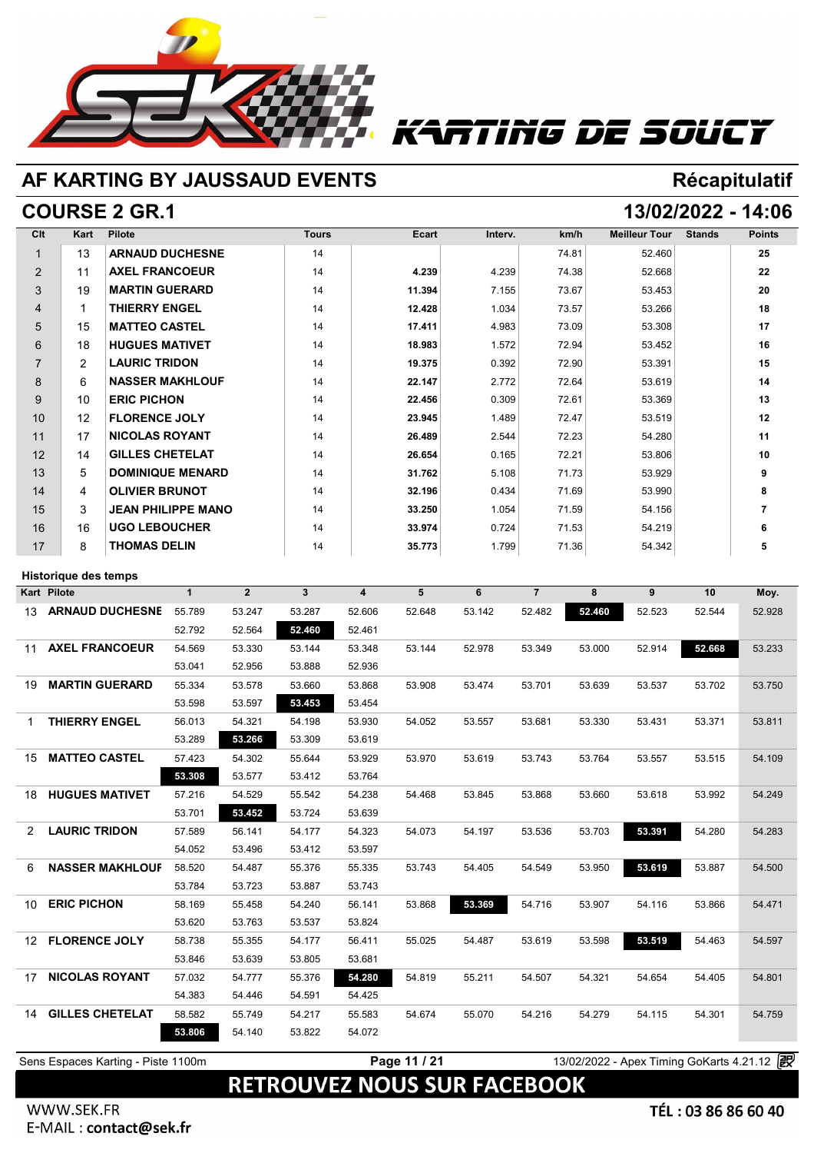

# Tiñg DE SOUCT

## **AF KARTING BY JAUSSAUD EVENTS Récapitulatif**

## **COURSE 2 GR.1 13/02/2022 - 14:06**

| Clt            | <b>Kart</b> | <b>Pilote</b>             | <b>Tours</b> | <b>Ecart</b> | Interv. | km/h  | <b>Meilleur Tour</b> | <b>Stands</b> | <b>Points</b> |
|----------------|-------------|---------------------------|--------------|--------------|---------|-------|----------------------|---------------|---------------|
|                | 13          | <b>ARNAUD DUCHESNE</b>    | 14           |              |         | 74.81 | 52.460               |               | 25            |
| $\overline{2}$ | 11          | <b>AXEL FRANCOEUR</b>     | 14           | 4.239        | 4.239   | 74.38 | 52.668               |               | 22            |
| 3              | 19          | <b>MARTIN GUERARD</b>     | 14           | 11.394       | 7.155   | 73.67 | 53.453               |               | 20            |
| 4              | 1           | <b>THIERRY ENGEL</b>      | 14           | 12.428       | 1.034   | 73.57 | 53.266               |               | 18            |
| 5              | 15          | <b>MATTEO CASTEL</b>      | 14           | 17.411       | 4.983   | 73.09 | 53.308               |               | 17            |
| 6              | 18          | <b>HUGUES MATIVET</b>     | 14           | 18.983       | 1.572   | 72.94 | 53.452               |               | 16            |
| $\overline{7}$ | 2           | <b>LAURIC TRIDON</b>      | 14           | 19.375       | 0.392   | 72.90 | 53.391               |               | 15            |
| 8              | 6           | <b>NASSER MAKHLOUF</b>    | 14           | 22.147       | 2.772   | 72.64 | 53.619               |               | 14            |
| 9              | 10          | <b>ERIC PICHON</b>        | 14           | 22.456       | 0.309   | 72.61 | 53.369               |               | 13            |
| 10             | 12          | <b>FLORENCE JOLY</b>      | 14           | 23.945       | 1.489   | 72.47 | 53.519               |               | 12            |
| 11             | 17          | <b>NICOLAS ROYANT</b>     | 14           | 26.489       | 2.544   | 72.23 | 54.280               |               | 11            |
| 12             | 14          | <b>GILLES CHETELAT</b>    | 14           | 26.654       | 0.165   | 72.21 | 53.806               |               | 10            |
| 13             | 5           | <b>DOMINIQUE MENARD</b>   | 14           | 31.762       | 5.108   | 71.73 | 53.929               |               | 9             |
| 14             | 4           | <b>OLIVIER BRUNOT</b>     | 14           | 32.196       | 0.434   | 71.69 | 53.990               |               | 8             |
| 15             | 3           | <b>JEAN PHILIPPE MANO</b> | 14           | 33.250       | 1.054   | 71.59 | 54.156               |               | 7             |
| 16             | 16          | <b>UGO LEBOUCHER</b>      | 14           | 33.974       | 0.724   | 71.53 | 54.219               |               | 6             |
| 17             | 8           | <b>THOMAS DELIN</b>       | 14           | 35.773       | 1.799   | 71.36 | 54.342               |               | 5             |

### **Historique des temps**

|                 | <b>Historique des temps</b> |              |                |              |                         |        |        |                |        |        |        |        |
|-----------------|-----------------------------|--------------|----------------|--------------|-------------------------|--------|--------|----------------|--------|--------|--------|--------|
|                 | <b>Kart Pilote</b>          | $\mathbf{1}$ | $\overline{2}$ | $\mathbf{3}$ | $\overline{\mathbf{4}}$ | 5      | 6      | $\overline{7}$ | 8      | 9      | 10     | Moy.   |
| 13              | <b>ARNAUD DUCHESNE</b>      | 55.789       | 53.247         | 53.287       | 52.606                  | 52.648 | 53.142 | 52.482         | 52.460 | 52.523 | 52.544 | 52.928 |
|                 |                             | 52.792       | 52.564         | 52.460       | 52.461                  |        |        |                |        |        |        |        |
| 11              | <b>AXEL FRANCOEUR</b>       | 54.569       | 53.330         | 53.144       | 53.348                  | 53.144 | 52.978 | 53.349         | 53.000 | 52.914 | 52.668 | 53.233 |
|                 |                             | 53.041       | 52.956         | 53.888       | 52.936                  |        |        |                |        |        |        |        |
| 19              | <b>MARTIN GUERARD</b>       | 55.334       | 53.578         | 53.660       | 53.868                  | 53.908 | 53.474 | 53.701         | 53.639 | 53.537 | 53.702 | 53.750 |
|                 |                             | 53.598       | 53.597         | 53.453       | 53.454                  |        |        |                |        |        |        |        |
| 1               | <b>THIERRY ENGEL</b>        | 56.013       | 54.321         | 54.198       | 53.930                  | 54.052 | 53.557 | 53.681         | 53.330 | 53.431 | 53.371 | 53.811 |
|                 |                             | 53.289       | 53.266         | 53.309       | 53.619                  |        |        |                |        |        |        |        |
| 15              | <b>MATTEO CASTEL</b>        | 57.423       | 54.302         | 55.644       | 53.929                  | 53.970 | 53.619 | 53.743         | 53.764 | 53.557 | 53.515 | 54.109 |
|                 |                             | 53.308       | 53.577         | 53.412       | 53.764                  |        |        |                |        |        |        |        |
| 18              | <b>HUGUES MATIVET</b>       | 57.216       | 54.529         | 55.542       | 54.238                  | 54.468 | 53.845 | 53.868         | 53.660 | 53.618 | 53.992 | 54.249 |
|                 |                             | 53.701       | 53.452         | 53.724       | 53.639                  |        |        |                |        |        |        |        |
| 2               | <b>LAURIC TRIDON</b>        | 57.589       | 56.141         | 54.177       | 54.323                  | 54.073 | 54.197 | 53.536         | 53.703 | 53.391 | 54.280 | 54.283 |
|                 |                             | 54.052       | 53.496         | 53.412       | 53.597                  |        |        |                |        |        |        |        |
| 6               | <b>NASSER MAKHLOUF</b>      | 58.520       | 54.487         | 55.376       | 55.335                  | 53.743 | 54.405 | 54.549         | 53.950 | 53.619 | 53.887 | 54.500 |
|                 |                             | 53.784       | 53.723         | 53.887       | 53.743                  |        |        |                |        |        |        |        |
| 10              | <b>ERIC PICHON</b>          | 58.169       | 55.458         | 54.240       | 56.141                  | 53.868 | 53.369 | 54.716         | 53.907 | 54.116 | 53.866 | 54.471 |
|                 |                             | 53.620       | 53.763         | 53.537       | 53.824                  |        |        |                |        |        |        |        |
| 12 <sup>2</sup> | <b>FLORENCE JOLY</b>        | 58.738       | 55.355         | 54.177       | 56.411                  | 55.025 | 54.487 | 53.619         | 53.598 | 53.519 | 54.463 | 54.597 |
|                 |                             | 53.846       | 53.639         | 53.805       | 53.681                  |        |        |                |        |        |        |        |
| 17              | <b>NICOLAS ROYANT</b>       | 57.032       | 54.777         | 55.376       | 54.280                  | 54.819 | 55.211 | 54.507         | 54.321 | 54.654 | 54.405 | 54.801 |
|                 |                             | 54.383       | 54.446         | 54.591       | 54.425                  |        |        |                |        |        |        |        |
| 14              | <b>GILLES CHETELAT</b>      | 58.582       | 55.749         | 54.217       | 55.583                  | 54.674 | 55.070 | 54.216         | 54.279 | 54.115 | 54.301 | 54.759 |
|                 |                             | 53.806       | 54.140         | 53.822       | 54.072                  |        |        |                |        |        |        |        |
|                 |                             |              |                |              |                         |        |        |                |        |        |        |        |

**Page 11 / 21** 13/02/2022 - Apex Timing GoKarts 4.21.12 <sup>2</sup>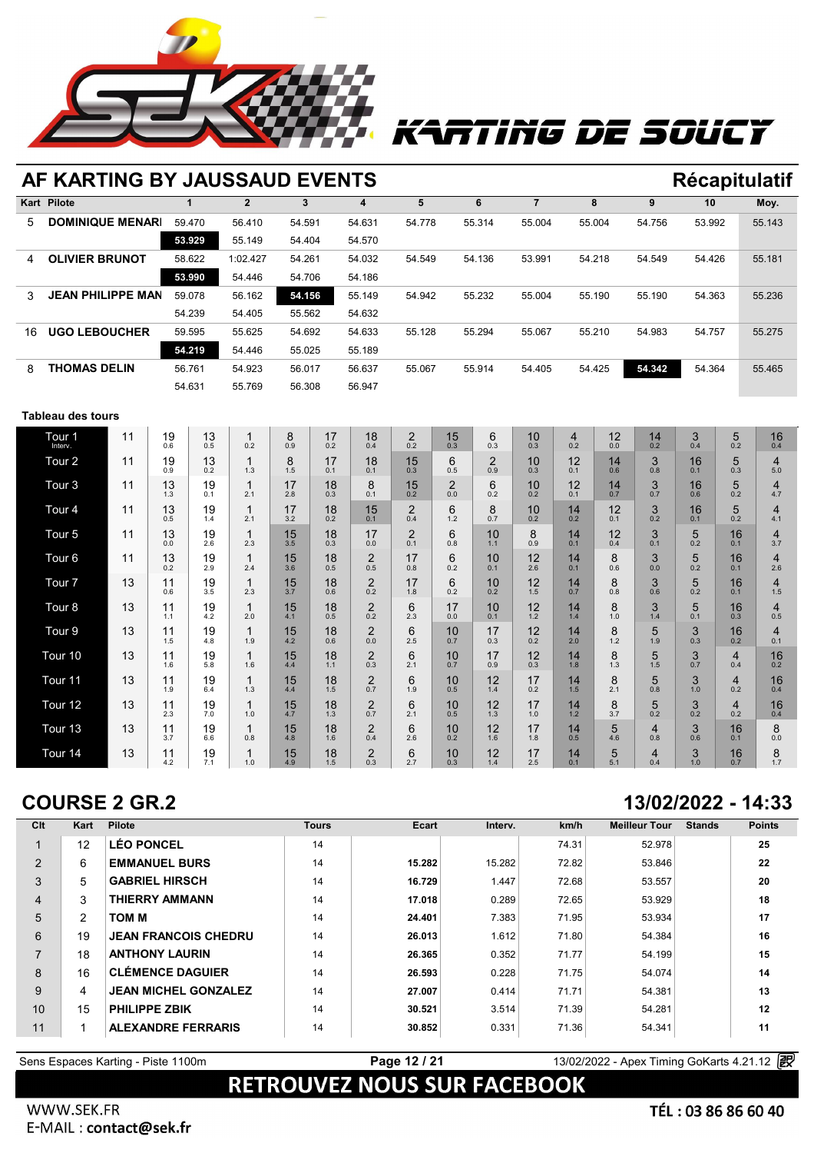

# TING DE SOUCT

### **AF KARTING BY JAUSSAUD EVENTS Récapitulatif Kart Pilote 1 2 3 4 5 6 7 8 9 10 Moy.** 5 **DOMINIQUE MENARD** 59.470 56.410 54.591 54.631 54.778 55.314 55.004 55.004 54.756 53.992 55.143 **59.470** 56.410 **EVENTS**<br> **59.470** 56.410 54.591 54.631 54.77<br> **53.929** 55.149 54.404 54.570 4 **OLIVIER BRUNOT** 58.622 1:02.427 54.261 54.032 54.549 54.136 53.991 54.218 54.549 54.426 55.181 **53.929** 56.410 54.591 54.631 54.77<br> **53.929** 55.149 54.404 54.570<br> **58.622** 1:02.427 54.261 54.032 54.54<br> **53.990** 54.446 54.706 54.186 3 **JEAN PHILIPPE MANO** 59.078 56.162 **54.156** 55.149 54.942 55.232 55.004 55.190 55.190 54.363 55.236 54.622 1:02.427 54.261 54.032 54.54<br>
54.990 54.446 54.706 54.186<br>
59.078 56.162 54.405 55.562 54.632<br>
54.562 54.632 16 **UGO LEBOUCHER** 59.595 55.625 54.692 54.633 55.128 55.294 55.067 55.210 54.983 54.757 55.275 **56.022 54.156 55.149 54.94**<br> **54.239 54.405 55.562 54.632 59.595 55.625 54.692 54.633 55.12<br>
<b>54.219 54.446 55.025 55.189 55.74** 54.022 56.017 56.627 55.04 8 **THOMAS DELIN** 56.761 54.923 56.017 56.637 55.067 55.914 54.405 54.425 **54.342** 54.364 55.465 59.595 55.625 54.692 54.633 55.12<br>
54.219 54.446 55.025 55.189<br>
56.761 54.923 56.017 56.637 55.06<br>
54.631 55.769 56.308 56.947

### **Tableau des tours**

| Tour <sub>1</sub><br>Interv. | 11 | 19<br>0.6 | 13<br>0.5 | $\overline{1}$<br>0.2 | 8<br>0.9  | 17<br>0.2 | 18<br>0.4             | $\overline{2}$<br>0.2 | 15<br>0.3             | 6<br>0.3              | 10<br>0.3 | 4<br>0.2  | 12<br>0.0 | 14<br>0.2 | 3<br>0.4            | 5<br>0.2  | 16<br>0.4 |
|------------------------------|----|-----------|-----------|-----------------------|-----------|-----------|-----------------------|-----------------------|-----------------------|-----------------------|-----------|-----------|-----------|-----------|---------------------|-----------|-----------|
| Tour <sub>2</sub>            | 11 | 19<br>0.9 | 13<br>0.2 | 1.3                   | 8<br>1.5  | 17<br>0.1 | 18<br>0.1             | 15<br>0.3             | 6<br>0.5              | $\overline{2}$<br>0.9 | 10<br>0.3 | 12<br>0.1 | 14<br>0.6 | 3<br>0.8  | 16<br>0.1           | 5<br>0.3  | 4<br>5.0  |
| Tour <sub>3</sub>            | 11 | 13<br>1.3 | 19<br>0.1 | 2.1                   | 17<br>2.8 | 18<br>0.3 | 8<br>0.1              | 15<br>0.2             | $\overline{2}$<br>0.0 | 6<br>0.2              | 10<br>0.2 | 12<br>0.1 | 14<br>0.7 | 3<br>0.7  | 16<br>0.6           | 5<br>0.2  | 4<br>4.7  |
| Tour <sub>4</sub>            | 11 | 13<br>0.5 | 19<br>1.4 | 2.1                   | 17<br>3.2 | 18<br>0.2 | 15<br>0.1             | $\overline{2}$<br>0.4 | 6<br>1.2              | 8<br>0.7              | 10<br>0.2 | 14<br>0.2 | 12<br>0.1 | 3<br>0.2  | 16<br>0.1           | 5<br>0.2  | 4<br>4.1  |
| Tour <sub>5</sub>            | 11 | 13<br>0.0 | 19<br>2.6 | 2.3                   | 15<br>3.5 | 18<br>0.3 | 17<br>0.0             | $\overline{2}$<br>0.1 | 6<br>0.8              | 10<br>1.1             | 8<br>0.9  | 14<br>0.1 | 12<br>0.4 | 3<br>0.1  | 5<br>0.2            | 16<br>0.1 | 4<br>3.7  |
| Tour <sub>6</sub>            | 11 | 13<br>0.2 | 19<br>2.9 | 2.4                   | 15<br>3.6 | 18<br>0.5 | 2<br>0.5              | 17<br>0.8             | 6<br>0.2              | 10<br>0.1             | 12<br>2.6 | 14<br>0.1 | 8<br>0.6  | 3<br>0.0  | 5<br>0.2            | 16<br>0.1 | 4<br>2.6  |
| Tour <sub>7</sub>            | 13 | 11<br>0.6 | 19<br>3.5 | 2.3                   | 15<br>3.7 | 18<br>0.6 | 2<br>0.2              | 17<br>1.8             | 6<br>0.2              | 10<br>0.2             | 12<br>1.5 | 14<br>0.7 | 8<br>0.8  | 3<br>0.6  | 5<br>0.2            | 16<br>0.1 | 4<br>1.5  |
| Tour <sub>8</sub>            | 13 | 11<br>1.1 | 19<br>4.2 | 2.0                   | 15<br>4.1 | 18<br>0.5 | $\overline{2}$<br>0.2 | 6<br>2.3              | 17<br>0.0             | 10<br>0.1             | 12<br>1.2 | 14<br>1.4 | 8<br>1.0  | 3<br>1.4  | 5<br>0.1            | 16<br>0.3 | 4<br>0.5  |
| Tour <sub>9</sub>            | 13 | 11<br>1.5 | 19<br>4.8 | 1.9                   | 15<br>4.2 | 18<br>0.6 | 2<br>0.0              | 6<br>2.5              | 10<br>0.7             | 17<br>0.3             | 12<br>0.2 | 14<br>2.0 | 8<br>1.2  | 5<br>1.9  | 3<br>0.3            | 16<br>0.2 | 4<br>0.1  |
| Tour 10                      | 13 | 11<br>1.6 | 19<br>5.8 | 1.6                   | 15<br>4.4 | 18<br>1.1 | $\overline{2}$<br>0.3 | 6<br>2.1              | 10<br>0.7             | 17<br>0.9             | 12<br>0.3 | 14<br>1.8 | 8<br>1.3  | 5<br>1.5  | 3<br>0.7            | 4<br>0.4  | 16<br>0.2 |
| Tour 11                      | 13 | 11<br>1.9 | 19<br>6.4 | 1.3                   | 15<br>4.4 | 18<br>1.5 | 2<br>0.7              | 6<br>1.9              | 10<br>0.5             | 12<br>1.4             | 17<br>0.2 | 14<br>1.5 | 8<br>2.1  | 5<br>0.8  | 3<br>1.0            | 4<br>0.2  | 16<br>0.4 |
| Tour 12                      | 13 | 11<br>2.3 | 19<br>7.0 | 1.0                   | 15<br>4.7 | 18<br>1.3 | 2<br>0.7              | 6<br>2.1              | 10<br>0.5             | 12<br>1.3             | 17<br>1.0 | 14<br>1.2 | 8<br>3.7  | 5<br>0.2  | 3<br>0.2            | 4<br>0.2  | 16<br>0.4 |
| Tour 13                      | 13 | 11<br>3.7 | 19<br>6.6 | 0.8                   | 15<br>4.8 | 18<br>1.6 | 2<br>0.4              | 6<br>2.6              | 10<br>0.2             | 12<br>1.6             | 17<br>1.8 | 14<br>0.5 | 5<br>4.6  | 4<br>0.8  | 3<br>0.6            | 16<br>0.1 | 8<br>0.0  |
| Tour 14                      | 13 | 11<br>4.2 | 19<br>7.1 | 1.0                   | 15<br>4.9 | 18<br>1.5 | $\overline{2}$<br>0.3 | 6<br>2.7              | 10<br>0.3             | 12<br>1.4             | 17<br>2.5 | 14<br>0.1 | 5<br>5.1  | 4<br>0.4  | $\mathbf{3}$<br>1.0 | 16<br>0.7 | 8<br>1.7  |

### **COURSE 2 GR.2 13/02/2022 - 14:33**

| Clt            | Kart                 | <b>Pilote</b>               | <b>Tours</b> | Ecart  | Interv. | km/h  | <b>Meilleur Tour</b> | <b>Stands</b> | <b>Points</b> |
|----------------|----------------------|-----------------------------|--------------|--------|---------|-------|----------------------|---------------|---------------|
|                | 12                   | <b>LÉO PONCEL</b>           | 14           |        |         | 74.31 | 52.978               |               | 25            |
| 2              | 6                    | <b>EMMANUEL BURS</b>        | 14           | 15.282 | 15.282  | 72.82 | 53.846               |               | 22            |
| 3              | 5                    | <b>GABRIEL HIRSCH</b>       | 14           | 16.729 | 1.447   | 72.68 | 53.557               |               | 20            |
| $\overline{4}$ | 3                    | <b>THIERRY AMMANN</b>       | 14           | 17.018 | 0.289   | 72.65 | 53.929               |               | 18            |
| 5              | $\mathbf{2}^{\circ}$ | TOM M                       | 14           | 24.401 | 7.383   | 71.95 | 53.934               |               | 17            |
| 6              | 19                   | <b>JEAN FRANCOIS CHEDRU</b> | 14           | 26.013 | 1.612   | 71.80 | 54.384               |               | 16            |
| $\overline{7}$ | 18                   | <b>ANTHONY LAURIN</b>       | 14           | 26.365 | 0.352   | 71.77 | 54.199               |               | 15            |
| 8              | 16                   | <b>CLÉMENCE DAGUIER</b>     | 14           | 26.593 | 0.228   | 71.75 | 54.074               |               | 14            |
| 9              | 4                    | <b>JEAN MICHEL GONZALEZ</b> | 14           | 27.007 | 0.414   | 71.71 | 54.381               |               | 13            |
| 10             | 15                   | <b>PHILIPPE ZBIK</b>        | 14           | 30.521 | 3.514   | 71.39 | 54.281               |               | 12            |
| 11             | 1                    | <b>ALEXANDRE FERRARIS</b>   | 14           | 30.852 | 0.331   | 71.36 | 54.341               |               | 11            |

**Page 12 / 21** 13/02/2022 - Apex Timing GoKarts 4.21.12 **Page 12 / 21** 13/02/2022 - Apex Timing GoKarts 4.21.12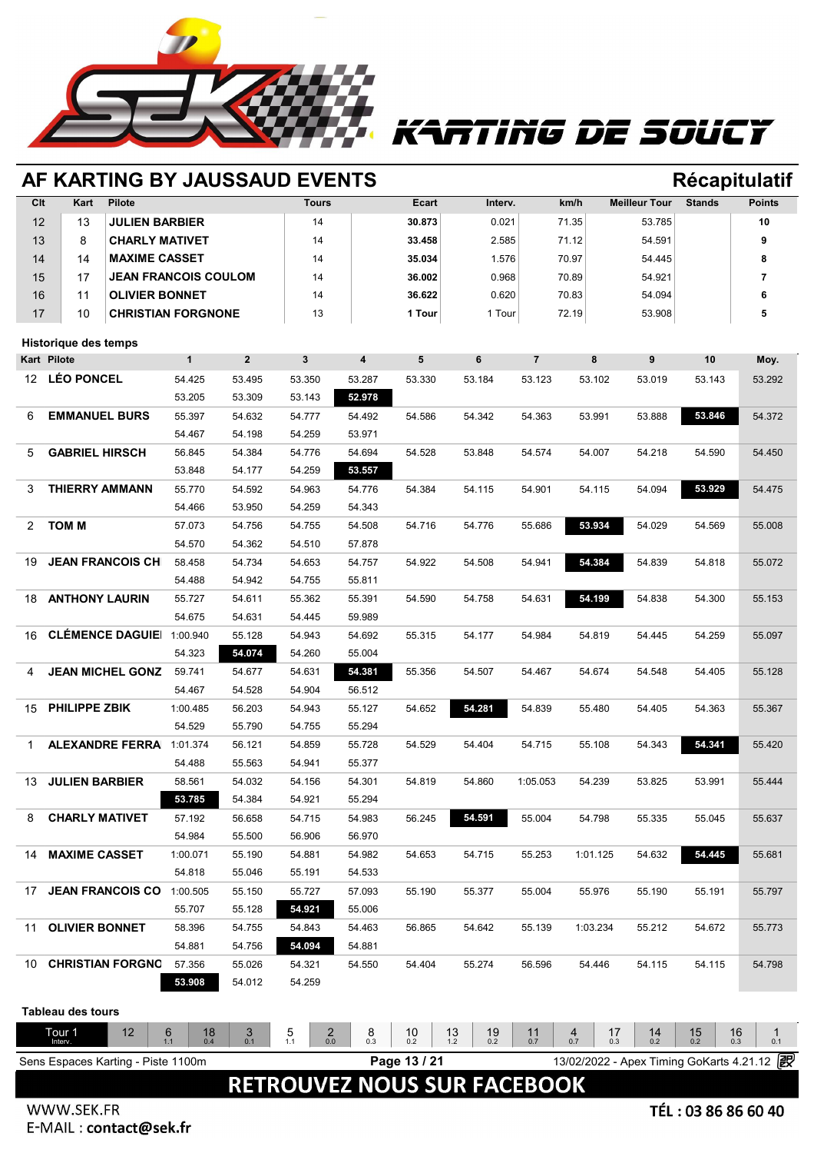

# ATING DE SOUCY

|     | AF KARTING BY JAUSSAUD EVENTS      |                    |                  |                  |                         |              |                                    |                |                                                          |                      | <b>Récapitulatif</b> |               |
|-----|------------------------------------|--------------------|------------------|------------------|-------------------------|--------------|------------------------------------|----------------|----------------------------------------------------------|----------------------|----------------------|---------------|
| Clt | Kart<br><b>Pilote</b>              |                    |                  | <b>Tours</b>     |                         | Ecart        | Interv.                            |                | km/h                                                     | <b>Meilleur Tour</b> | <b>Stands</b>        | <b>Points</b> |
| 12  | 13<br><b>JULIEN BARBIER</b>        |                    |                  | 14               |                         | 30.873       | 0.021                              |                | 71.35                                                    | 53.785               |                      | 10            |
| 13  | <b>CHARLY MATIVET</b><br>8         |                    |                  | 14               |                         | 33.458       | 2.585                              |                | 71.12                                                    | 54.591               |                      | 9             |
| 14  | <b>MAXIME CASSET</b><br>14         |                    |                  | 14               |                         | 35.034       | 1.576                              |                | 70.97                                                    | 54.445               |                      | 8             |
| 15  | JEAN FRANCOIS COULOM<br>17         |                    |                  | 14               |                         | 36.002       | 0.968                              |                | 70.89                                                    | 54.921               |                      | 7             |
| 16  | <b>OLIVIER BONNET</b><br>11        |                    |                  | 14               |                         | 36.622       | 0.620                              |                | 70.83                                                    | 54.094               |                      | 6             |
| 17  | 10<br><b>CHRISTIAN FORGNONE</b>    |                    |                  | 13               |                         | 1 Tour       | 1 Tour                             |                | 72.19                                                    | 53.908               |                      | 5             |
|     |                                    |                    |                  |                  |                         |              |                                    |                |                                                          |                      |                      |               |
|     | Historique des temps               |                    |                  |                  |                         |              |                                    |                |                                                          |                      |                      |               |
|     | <b>Kart Pilote</b>                 | $\mathbf{1}$       | $\overline{2}$   | $\mathbf{3}$     | $\overline{\mathbf{4}}$ | 5            | 6                                  | $\overline{7}$ | 8                                                        | 9                    | 10                   | Moy.          |
| 12  | <b>LÉO PONCEL</b>                  | 54.425             | 53.495           | 53.350           | 53.287                  | 53.330       | 53.184                             | 53.123         | 53.102                                                   | 53.019               | 53.143               | 53.292        |
|     |                                    | 53.205             | 53.309           | 53.143           | 52.978                  |              |                                    |                |                                                          |                      |                      |               |
| 6   | <b>EMMANUEL BURS</b>               | 55.397             | 54.632           | 54.777           | 54.492                  | 54.586       | 54.342                             | 54.363         | 53.991                                                   | 53.888               | 53.846               | 54.372        |
|     |                                    | 54.467             | 54.198           | 54.259           | 53.971                  |              |                                    |                |                                                          |                      |                      |               |
| 5   | <b>GABRIEL HIRSCH</b>              | 56.845             | 54.384           | 54.776           | 54.694                  | 54.528       | 53.848                             | 54.574         | 54.007                                                   | 54.218               | 54.590               | 54.450        |
|     |                                    | 53.848             | 54.177           | 54.259           | 53.557                  |              |                                    |                |                                                          |                      |                      |               |
| 3   | <b>THIERRY AMMANN</b>              | 55.770             | 54.592           | 54.963           | 54.776                  | 54.384       | 54.115                             | 54.901         | 54.115                                                   | 54.094               | 53.929               | 54.475        |
|     |                                    | 54.466             | 53.950           | 54.259           | 54.343                  |              |                                    |                |                                                          |                      |                      |               |
| 2   | <b>TOM M</b>                       | 57.073             | 54.756           | 54.755           | 54.508                  | 54.716       | 54.776                             | 55.686         | 53.934                                                   | 54.029               | 54.569               | 55.008        |
|     |                                    | 54.570             | 54.362           | 54.510           | 57.878                  |              |                                    |                |                                                          |                      |                      |               |
| 19  | <b>JEAN FRANCOIS CH</b>            | 58.458             | 54.734           | 54.653           | 54.757                  | 54.922       | 54.508                             | 54.941         | 54.384                                                   | 54.839               | 54.818               | 55.072        |
|     |                                    | 54.488             | 54.942           | 54.755           | 55.811                  |              |                                    |                |                                                          |                      |                      |               |
| 18  | <b>ANTHONY LAURIN</b>              | 55.727             | 54.611           | 55.362           | 55.391                  | 54.590       | 54.758                             | 54.631         | 54.199                                                   | 54.838               | 54.300               | 55.153        |
|     |                                    | 54.675             | 54.631           | 54.445           | 59.989                  |              |                                    |                |                                                          |                      |                      |               |
| 16  | <b>CLÉMENCE DAGUIE</b>             | 1:00.940           | 55.128           | 54.943           | 54.692                  | 55.315       | 54.177                             | 54.984         | 54.819                                                   | 54.445               | 54.259               | 55.097        |
|     |                                    | 54.323             | 54.074           | 54.260           | 55.004                  |              |                                    |                |                                                          |                      |                      |               |
| 4   | <b>JEAN MICHEL GONZ</b>            | 59.741             | 54.677           | 54.631           | 54.381                  | 55.356       | 54.507                             | 54.467         | 54.674                                                   | 54.548               | 54.405               | 55.128        |
|     |                                    | 54.467             | 54.528           | 54.904           | 56.512                  |              |                                    |                |                                                          |                      |                      |               |
| 15  | <b>PHILIPPE ZBIK</b>               | 1:00.485           | 56.203           | 54.943           | 55.127                  | 54.652       | 54.281                             | 54.839         | 55.480                                                   | 54.405               | 54.363               | 55.367        |
|     |                                    | 54.529             | 55.790           | 54.755           | 55.294                  |              |                                    |                |                                                          |                      |                      |               |
| 1   | <b>ALEXANDRE FERRA</b> 1:01.374    |                    | 56.121           | 54.859           | 55.728                  | 54.529       | 54.404                             | 54.715         | 55.108                                                   | 54.343               | 54.341               | 55.420        |
|     |                                    | 54.488             | 55.563           | 54.941           | 55.377                  |              |                                    |                |                                                          |                      |                      |               |
| 13  | <b>JULIEN BARBIER</b>              | 58.561             | 54.032           | 54.156           | 54.301                  | 54.819       | 54.860                             | 1:05.053       | 54.239                                                   | 53.825               | 53.991               | 55.444        |
|     |                                    | 53.785             | 54.384           | 54.921           | 55.294                  |              |                                    |                |                                                          |                      |                      |               |
| 8   | <b>CHARLY MATIVET</b>              | 57.192             | 56.658           | 54.715           | 54.983                  | 56.245       | 54.591                             | 55.004         | 54.798                                                   | 55.335               | 55.045               | 55.637        |
|     |                                    | 54.984             | 55.500           | 56.906           | 56.970                  |              |                                    |                |                                                          |                      |                      |               |
| 14  | <b>MAXIME CASSET</b>               | 1:00.071           | 55.190           | 54.881           | 54.982                  | 54.653       | 54.715                             | 55.253         | 1:01.125                                                 | 54.632               | 54.445               | 55.681        |
|     |                                    | 54.818             | 55.046           | 55.191           | 54.533                  |              |                                    |                |                                                          |                      |                      |               |
| 17  | <b>JEAN FRANCOIS CO</b>            |                    |                  |                  | 57.093                  |              |                                    |                | 55.976                                                   |                      |                      |               |
|     |                                    | 1:00.505<br>55.707 | 55.150<br>55.128 | 55.727<br>54.921 | 55.006                  | 55.190       | 55.377                             | 55.004         |                                                          | 55.190               | 55.191               | 55.797        |
|     |                                    |                    |                  |                  |                         |              |                                    |                |                                                          |                      |                      |               |
| 11  | <b>OLIVIER BONNET</b>              | 58.396             | 54.755           | 54.843           | 54.463                  | 56.865       | 54.642                             | 55.139         | 1:03.234                                                 | 55.212               | 54.672               | 55.773        |
|     |                                    | 54.881             | 54.756           | 54.094           | 54.881                  |              |                                    |                |                                                          |                      |                      |               |
| 10  | <b>CHRISTIAN FORGNO</b>            | 57.356             | 55.026           | 54.321           | 54.550                  | 54.404       | 55.274                             | 56.596         | 54.446                                                   | 54.115               | 54.115               | 54.798        |
|     |                                    | 53.908             | 54.012           | 54.259           |                         |              |                                    |                |                                                          |                      |                      |               |
|     | <b>Tableau des tours</b>           |                    |                  |                  |                         |              |                                    |                |                                                          |                      |                      |               |
|     | Tour <sub>1</sub><br>12            | 6<br>18            | 3                | 5<br>$^2_{0.0}$  | 8                       | 10           | 19<br>13                           | 11             | 4<br>17                                                  | 14                   | $15_{0.2}$<br>16     | $\mathbf 1$   |
|     | Interv.                            | 1.1<br>0.4         | 0.1              | 1.1              | 0.3                     | 0.2          | 0.2<br>1.2                         | 0.7            | 0.7<br>0.3<br>13/02/2022 - Apex Timing GoKarts 4.21.12 2 | 0.2                  | 0.3                  | 0.1           |
|     | Sens Espaces Karting - Piste 1100m |                    |                  |                  |                         | Page 13 / 21 |                                    |                |                                                          |                      |                      |               |
|     |                                    |                    |                  |                  |                         |              | <b>RETROUVEZ NOUS SUR FACEBOOK</b> |                |                                                          |                      |                      |               |
|     |                                    |                    |                  |                  |                         |              |                                    |                |                                                          |                      |                      |               |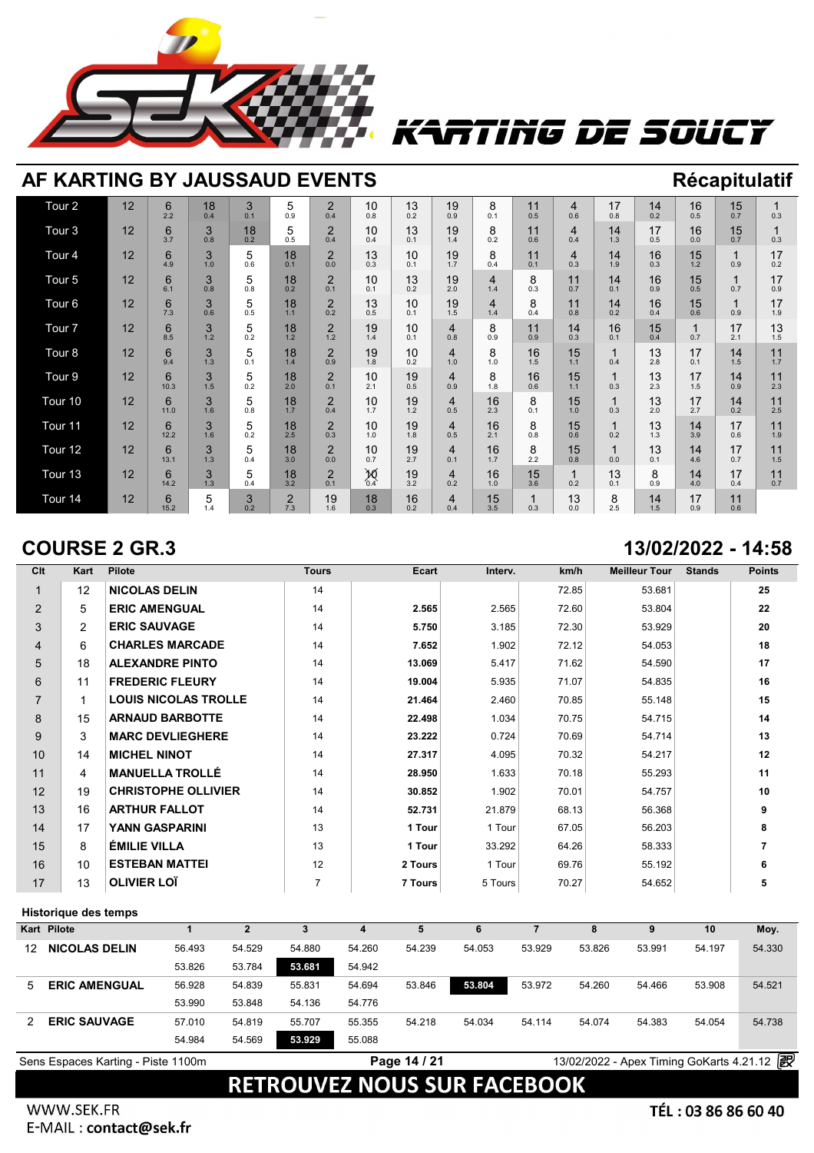

## TING DE SOUCT

| AF KARTING BY JAUSSAUD EVENTS |                                                                                                                                                                                                                                                                                                                                                                                                                                                                                                |           |          |          |                       |                       |              |           |                                |                       |           |                       |           |           |           | <b>Récapitulatif</b> |           |
|-------------------------------|------------------------------------------------------------------------------------------------------------------------------------------------------------------------------------------------------------------------------------------------------------------------------------------------------------------------------------------------------------------------------------------------------------------------------------------------------------------------------------------------|-----------|----------|----------|-----------------------|-----------------------|--------------|-----------|--------------------------------|-----------------------|-----------|-----------------------|-----------|-----------|-----------|----------------------|-----------|
| Tour <sub>2</sub>             | 12<br>3<br>$\overline{2}$<br>10<br>17<br>16<br>15<br>6<br>5<br>13<br>19<br>11<br>14<br>8<br>18<br>$\overline{4}$<br>2.2<br>0.9<br>0.4<br>0.5<br>0.8<br>0.2<br>0.5<br>0.7<br>0.3<br>0.4<br>0.1<br>0.8<br>0.2<br>0.9<br>0.1<br>0.6<br>Tour <sub>3</sub><br>12<br>$\overline{2}$<br>6<br>3<br>5<br>10<br>19<br>14<br>17<br>16<br>15<br>1<br>18<br>13<br>8<br>11<br>$\overline{4}$<br>0.4<br>3.7<br>0.5<br>0.4<br>1.3<br>0.7<br>0.3<br>0.8<br>0.2<br>0.4<br>0.1<br>1.4<br>0.2<br>0.6<br>0.5<br>0.0 |           |          |          |                       |                       |              |           |                                |                       |           |                       |           |           |           |                      |           |
|                               |                                                                                                                                                                                                                                                                                                                                                                                                                                                                                                |           |          |          |                       |                       |              |           |                                |                       |           |                       |           |           |           |                      |           |
| Tour <sub>4</sub>             | 12                                                                                                                                                                                                                                                                                                                                                                                                                                                                                             | 6<br>4.9  | 3<br>1.0 | 5<br>0.6 | 18<br>0.1             | $\overline{2}$<br>0.0 | 13<br>0.3    | 10<br>0.1 | 19<br>1.7                      | 8<br>0.4              | 11<br>0.1 | $\overline{4}$<br>0.3 | 14<br>1.9 | 16<br>0.3 | 15<br>1.2 | 0.9                  | 17<br>0.2 |
| Tour <sub>5</sub>             | 12                                                                                                                                                                                                                                                                                                                                                                                                                                                                                             | 6<br>6.1  | 3<br>0.8 | 5<br>0.8 | 18<br>0.2             | $\overline{2}$<br>0.1 | 10<br>0.1    | 13<br>0.2 | 19<br>2.0                      | $\overline{4}$<br>1.4 | 8<br>0.3  | 11<br>0.7             | 14<br>0.1 | 16<br>0.9 | 15<br>0.5 | 0.7                  | 17<br>0.9 |
| Tour <sub>6</sub>             | $\overline{2}$<br>12<br>13<br>11<br>17<br>6<br>3<br>5<br>18<br>19<br>8<br>16<br>15<br>10<br>14<br>4<br>0.2<br>7.3<br>1.1<br>0.8<br>1.9<br>1.5<br>0.2<br>0.6<br>0.9<br>0.6<br>0.5<br>0.5<br>0.1<br>1.4<br>0.4<br>0.4<br>Tour <sub>7</sub><br>$\overline{2}$<br>17<br>13<br>12<br>3<br>5<br>19<br>14<br>16<br>15<br>6<br>18<br>8<br>11<br>1<br>10<br>4<br>1.2<br>1.5<br>8.5<br>0.2<br>1.2<br>0.8<br>0.3<br>0.1<br>0.4<br>0.7<br>2.1<br>1.2<br>1.4<br>0.1<br>0.9<br>0.9                           |           |          |          |                       |                       |              |           |                                |                       |           |                       |           |           |           |                      |           |
|                               |                                                                                                                                                                                                                                                                                                                                                                                                                                                                                                |           |          |          |                       |                       |              |           |                                |                       |           |                       |           |           |           |                      |           |
| Tour <sub>8</sub>             | 12                                                                                                                                                                                                                                                                                                                                                                                                                                                                                             | 6<br>9.4  | 3<br>1.3 | 5<br>0.1 | 18<br>1.4             | $\overline{2}$<br>0.9 | 19<br>1.8    | 10<br>0.2 | 4<br>1.0                       | 8<br>1.0              | 16<br>1.5 | 15<br>1.1             | 1<br>0.4  | 13<br>2.8 | 17<br>0.1 | 14<br>1.5            | 11<br>1.7 |
| Tour <sub>9</sub>             | 12                                                                                                                                                                                                                                                                                                                                                                                                                                                                                             | 6<br>10.3 | 3<br>1.5 | 5<br>0.2 | 18<br>2.0             | $\overline{2}$<br>0.1 | 10<br>2.1    | 19<br>0.5 | $\overline{\mathbf{4}}$<br>0.9 | 8<br>1.8              | 16<br>0.6 | 15<br>1.1             | 1<br>0.3  | 13<br>2.3 | 17<br>1.5 | 14<br>0.9            | 11<br>2.3 |
| Tour <sub>10</sub>            | 12                                                                                                                                                                                                                                                                                                                                                                                                                                                                                             | 6<br>11.0 | 3<br>1.6 | 5<br>0.8 | 18<br>1.7             | $\overline{2}$<br>0.4 | 10<br>1.7    | 19<br>1.2 | 4<br>0.5                       | 16<br>2.3             | 8<br>0.1  | 15<br>1.0             | 1<br>0.3  | 13<br>2.0 | 17<br>2.7 | 14<br>0.2            | 11<br>2.5 |
| Tour 11                       | 12                                                                                                                                                                                                                                                                                                                                                                                                                                                                                             | 6<br>12.2 | 3<br>1.6 | 5<br>0.2 | 18<br>2.5             | $\overline{2}$<br>0.3 | 10<br>1.0    | 19<br>1.8 | 4<br>0.5                       | 16<br>2.1             | 8<br>0.8  | 15<br>0.6             | 1<br>0.2  | 13<br>1.3 | 14<br>3.9 | 17<br>0.6            | 11<br>1.9 |
| Tour 12                       | 12                                                                                                                                                                                                                                                                                                                                                                                                                                                                                             | 6<br>13.1 | 3<br>1.3 | 5<br>0.4 | 18<br>3.0             | $\overline{2}$<br>0.0 | 10<br>0.7    | 19<br>2.7 | 4<br>0.1                       | 16<br>1.7             | 8<br>2.2  | 15<br>0.8             | 1<br>0.0  | 13<br>0.1 | 14<br>4.6 | 17<br>0.7            | 11<br>1.5 |
| Tour <sub>13</sub>            | 12                                                                                                                                                                                                                                                                                                                                                                                                                                                                                             | 6<br>14.2 | 3<br>1.3 | 5<br>0.4 | 18<br>3.2             | $\overline{2}$<br>0.1 | $\sum_{0.4}$ | 19<br>3.2 | 4<br>0.2                       | 16<br>1.0             | 15<br>3.6 | $\mathbf 1$<br>0.2    | 13<br>0.1 | 8<br>0.9  | 14<br>4.0 | 17<br>0.4            | 11<br>0.7 |
| Tour 14                       | 12                                                                                                                                                                                                                                                                                                                                                                                                                                                                                             | 6<br>15.2 | 5<br>1.4 | 3<br>0.2 | $\overline{2}$<br>7.3 | 19<br>1.6             | 18<br>0.3    | 16<br>0.2 | 4<br>0.4                       | 15<br>3.5             | 0.3       | 13<br>0.0             | 8<br>2.5  | 14<br>1.5 | 17<br>0.9 | 11<br>0.6            |           |

### **COURSE 2 GR.3 13/02/2022 - 14:58**

### **Clt Kart Pilote Tours Ecart Interv. km/h Meilleur Tour Stands Points** 1 12 **NICOLAS DELIN** 14 72.85 53.681 **25** 2 5 **ERIC AMENGUAL** 14 **2.565** 2.565 72.60 53.804 **22** 3 2 **ERIC SAUVAGE** 14 **5.750** 3.185 72.30 53.929 **20** 4 6 **CHARLES MARCADE** 14 **7.652** 1.902 72.12 54.053 **18** 5 18 **ALEXANDRE PINTO** 14 **13.069** 5.417 71.62 54.590 **17** 6 11 **FREDERIC FLEURY** 14 **19.004** 5.935 71.07 54.835 **16** 7 1 **LOUIS NICOLAS TROLLE** 14 **21.464** 2.460 70.85 55.148 **15** 8 15 **ARNAUD BARBOTTE** 14 **22.498** 1.034 70.75 54.715 **14** 9 3 **MARC DEVLIEGHERE** 14 **23.222** 0.724 70.69 54.714 **13** 10 14 **MICHEL NINOT** 14 **27.317** 4.095 70.32 54.217 **12** 11 4 **MANUELLA TROLLÉ** 14 **28.950** 1.633 70.18 55.293 **11** 12 19 **CHRISTOPHE OLLIVIER** 14 **30.852** 1.902 70.01 54.757 **10** 13 16 **ARTHUR FALLOT** 14 **52.731** 21.879 68.13 56.368 **9** 14 17 **YANN GASPARINI** 13 **1 Tour** 1 Tour 67.05 56.203 **8** 15 8 **ÉMILIE VILLA** 13 **1 Tour** 33.292 64.26 58.333 **7** 16 10 **ESTEBAN MATTEI** 12 **2 Tours** 1 Tour 69.76 55.192 **6** 17 13 **OLIVIER LOÏ** 7 **7 Tours** 5 Tours 70.27 54.652 **5**

### **Historique des temps**

|    | Historique des temps               |        |        |        |        |              |        |        |        |                                          |        |        |
|----|------------------------------------|--------|--------|--------|--------|--------------|--------|--------|--------|------------------------------------------|--------|--------|
|    | <b>Kart Pilote</b>                 |        |        |        |        | 5            |        |        | 8      |                                          | 10     | Moy.   |
| 12 | <b>NICOLAS DELIN</b>               | 56.493 | 54.529 | 54.880 | 54.260 | 54.239       | 54.053 | 53.929 | 53.826 | 53.991                                   | 54.197 | 54.330 |
|    |                                    | 53.826 | 53.784 | 53.681 | 54.942 |              |        |        |        |                                          |        |        |
| 5  | <b>ERIC AMENGUAL</b>               | 56.928 | 54.839 | 55.831 | 54.694 | 53.846       | 53,804 | 53.972 | 54.260 | 54.466                                   | 53.908 | 54.521 |
|    |                                    | 53.990 | 53.848 | 54.136 | 54.776 |              |        |        |        |                                          |        |        |
|    | <b>ERIC SAUVAGE</b>                | 57.010 | 54.819 | 55.707 | 55.355 | 54.218       | 54.034 | 54.114 | 54.074 | 54.383                                   | 54.054 | 54.738 |
|    |                                    | 54.984 | 54.569 | 53.929 | 55.088 |              |        |        |        |                                          |        |        |
|    | Sens Espaces Karting - Piste 1100m |        |        |        |        | Page 14 / 21 |        |        |        | 13/02/2022 - Apex Timing GoKarts 4.21.12 |        | 霰      |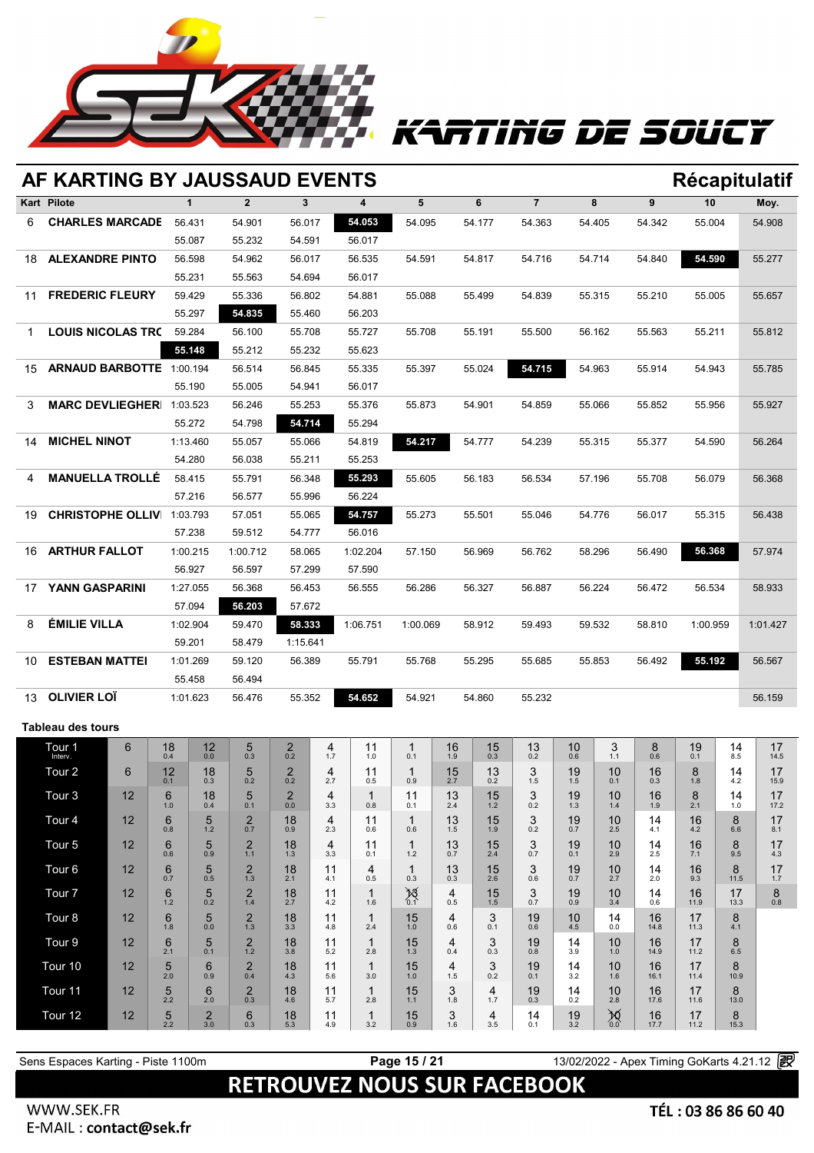

# TTING DE SOUCY

|    | AF KARTING BY JAUSSAUD EVENTS |    |                   |                  |                       |                       |                       |                     |                    |           |           |                |                |                                     |            |            |            | Récapitulatif |
|----|-------------------------------|----|-------------------|------------------|-----------------------|-----------------------|-----------------------|---------------------|--------------------|-----------|-----------|----------------|----------------|-------------------------------------|------------|------------|------------|---------------|
|    | Kart Pilote                   |    |                   | $\mathbf{1}$     | $\overline{2}$        | $\mathbf{3}$          |                       | 4                   | 5                  |           | 6         | $\overline{7}$ |                | 8                                   | 9          | 10         |            | Moy.          |
| 6  | <b>CHARLES MARCADE</b>        |    |                   | 56.431           | 54.901                | 56.017                |                       | 54.053              | 54.095             |           | 54.177    | 54.363         |                | 54.405                              | 54.342     | 55.004     |            | 54.908        |
|    |                               |    |                   | 55.087           | 55.232                | 54.591                |                       | 56.017              |                    |           |           |                |                |                                     |            |            |            |               |
| 18 | <b>ALEXANDRE PINTO</b>        |    |                   | 56.598           | 54.962                | 56.017                |                       | 56.535              | 54.591             |           | 54.817    | 54.716         |                | 54.714                              | 54.840     | 54.590     |            | 55.277        |
|    |                               |    |                   | 55.231           | 55.563                | 54.694                |                       | 56.017              |                    |           |           |                |                |                                     |            |            |            |               |
| 11 | <b>FREDERIC FLEURY</b>        |    |                   | 59.429           | 55.336                | 56.802                |                       | 54.881              | 55.088             |           | 55.499    | 54.839         |                | 55.315                              | 55.210     | 55.005     |            | 55.657        |
|    |                               |    |                   | 55.297           | 54.835                | 55.460                |                       | 56.203              |                    |           |           |                |                |                                     |            |            |            |               |
| 1. | <b>LOUIS NICOLAS TRO</b>      |    |                   | 59.284           | 56.100                | 55.708                |                       | 55.727              | 55.708             |           | 55.191    | 55.500         |                | 56.162                              | 55.563     | 55.211     |            | 55.812        |
|    |                               |    |                   | 55.148           | 55.212                | 55.232                |                       | 55.623              |                    |           |           |                |                |                                     |            |            |            |               |
| 15 | ARNAUD BARBOTTE 1:00.194      |    |                   |                  | 56.514                | 56.845                |                       | 55.335              | 55.397             |           | 55.024    | 54.715         |                | 54.963                              | 55.914     | 54.943     |            | 55.785        |
|    |                               |    |                   | 55.190           | 55.005                | 54.941                |                       | 56.017              |                    |           |           |                |                |                                     |            |            |            |               |
| 3  | <b>MARC DEVLIEGHER</b>        |    |                   | 1:03.523         | 56.246                | 55.253                |                       | 55.376              | 55.873             |           | 54.901    | 54.859         |                | 55.066                              | 55.852     | 55.956     |            | 55.927        |
|    | <b>MICHEL NINOT</b>           |    |                   | 55.272           | 54.798                | 54.714                |                       | 55.294              |                    |           |           |                |                |                                     |            |            |            |               |
| 14 |                               |    |                   | 1:13.460         | 55.057                | 55.066                |                       | 54.819              | 54.217             |           | 54.777    | 54.239         |                | 55.315                              | 55.377     | 54.590     |            | 56.264        |
| 4  | <b>MANUELLA TROLLÉ</b>        |    |                   | 54.280           | 56.038                | 55.211<br>56.348      |                       | 55.253<br>55.293    | 55.605             |           |           |                |                |                                     |            |            |            | 56.368        |
|    |                               |    |                   | 58.415<br>57.216 | 55.791<br>56.577      | 55.996                |                       | 56.224              |                    |           | 56.183    | 56.534         |                | 57.196                              | 55.708     | 56.079     |            |               |
| 19 | <b>CHRISTOPHE OLLIV</b>       |    |                   | 1:03.793         | 57.051                | 55.065                |                       | 54.757              | 55.273             |           | 55.501    | 55.046         |                | 54.776                              | 56.017     | 55.315     |            | 56.438        |
|    |                               |    |                   | 57.238           | 59.512                | 54.777                |                       | 56.016              |                    |           |           |                |                |                                     |            |            |            |               |
| 16 | <b>ARTHUR FALLOT</b>          |    |                   | 1:00.215         | 1:00.712              | 58.065                |                       | 1:02.204            | 57.150             |           | 56.969    | 56.762         |                | 58.296                              | 56.490     | 56.368     |            | 57.974        |
|    |                               |    |                   | 56.927           | 56.597                | 57.299                |                       | 57.590              |                    |           |           |                |                |                                     |            |            |            |               |
| 17 | YANN GASPARINI                |    |                   | 1:27.055         | 56.368                | 56.453                |                       | 56.555              | 56.286             |           | 56.327    | 56.887         |                | 56.224                              | 56.472     | 56.534     |            | 58.933        |
|    |                               |    |                   | 57.094           | 56.203                | 57.672                |                       |                     |                    |           |           |                |                |                                     |            |            |            |               |
| 8  | <b>ÉMILIE VILLA</b>           |    |                   | 1:02.904         | 59.470                | 58.333                |                       | 1:06.751            | 1:00.069           |           | 58.912    | 59.493         |                | 59.532                              | 58.810     | 1:00.959   |            | 1:01.427      |
|    |                               |    |                   | 59.201           | 58.479                | 1:15.641              |                       |                     |                    |           |           |                |                |                                     |            |            |            |               |
| 10 | <b>ESTEBAN MATTEI</b>         |    |                   | 1:01.269         | 59.120                | 56.389                |                       | 55.791              | 55.768             |           | 55.295    | 55.685         |                | 55.853                              | 56.492     | 55.192     |            | 56.567        |
|    |                               |    |                   | 55.458           | 56.494                |                       |                       |                     |                    |           |           |                |                |                                     |            |            |            |               |
| 13 | <b>OLIVIER LOÏ</b>            |    |                   | 1:01.623         | 56.476                | 55.352                |                       | 54.652              | 54.921             |           | 54.860    | 55.232         |                |                                     |            |            |            | 56.159        |
|    | <b>Tableau des tours</b>      |    |                   |                  |                       |                       |                       |                     |                    |           |           |                |                |                                     |            |            |            |               |
|    | Tour 1                        | 6  | 18                | 12               | 5                     | $^{2}_{0.2}$          | 4                     | 11                  | 1                  | 16        | 15        | 13             | 10             | 3                                   | 8          | 19         | 14         | 17            |
|    | Interv.                       |    | 0.4               | $0.0\,$          | 0.3                   |                       | 1.7                   | 1.0                 | 0.1                | 1.9       | 0.3       | 0.2            | 0.6            | 1.1                                 | 0.6        | 0.1        | 8.5        | 14.5          |
|    | Tour <sub>2</sub>             | 6  | 12<br>0.1         | 18<br>0.3        | 5<br>0.2              | $\overline{2}$<br>0.2 | 4<br>2.7              | 11<br>0.5           | 1<br>0.9           | 15<br>2.7 | 13<br>0.2 | 3<br>1.5       | 19<br>1.5      | 10<br>0.1                           | 16<br>0.3  | 8<br>1.8   | 14<br>4.2  | 17<br>15.9    |
|    | Tour <sub>3</sub>             | 12 | 6<br>1.0          | 18<br>0.4        | $\frac{5}{0.1}$       | $^{2}_{0.0}$          | 4<br>3.3              | 1<br>0.8            | 11<br>0.1          | 13<br>2.4 | 15<br>1.2 | 3<br>0.2       | $19 \atop 1.3$ | 10<br>1.4                           | 16<br>1.9  | 8<br>2.1   | 14<br>1.0  | 17<br>17.2    |
|    | Tour <sub>4</sub>             | 12 | 6                 | 5                | $_{0.7}^{2}$          | 18                    | 4                     | 11                  | -1                 | 13        | 15        | 3              | 19             | 10                                  | 14         | 16         | 8          | 17            |
|    | Tour <sub>5</sub>             | 12 | 0.8<br>6          | 1.2<br>5         | $\overline{2}$        | 0.9<br>18             | 2.3<br>$\overline{4}$ | 0.6<br>11           | 0.6<br>$\mathbf 1$ | 1.5<br>13 | 1.9<br>15 | 0.2<br>3       | 0.7<br>19      | 2.5<br>10                           | 4.1<br>14  | 4.2<br>16  | 6.6<br>8   | 8.1<br>17     |
|    |                               |    | 0.6               | 0.9              | $1.1$                 | 1.3                   | 3.3                   | 0.1                 | 1.2                | 0.7       | 2.4       | 0.7            | 0.1            | 2.9                                 | 2.5        | 7.1        | 9.5        | 4.3           |
|    | Tour <sub>6</sub>             | 12 | 6<br>0.7          | 5<br>0.5         | $\overline{2}$<br>1.3 | 18<br>2.1             | 11<br>4.1             | 4<br>0.5            | 1<br>0.3           | 13<br>0.3 | 15<br>2.6 | 3<br>0.6       | 19<br>0.7      | 10<br>2.7                           | 14<br>2.0  | 16<br>9.3  | 8<br>11.5  | 17<br>1.7     |
|    | Tour <sub>7</sub>             | 12 | 6<br>1.2          | 5<br>0.2         | $^{2}_{1.4}$          | 18<br>2.7             | 11<br>4.2             | 1<br>1.6            | $\frac{15}{0.1}$   | 4<br>0.5  | 15<br>1.5 | 3<br>0.7       | 19<br>0.9      | 10<br>3.4                           | 14<br>0.6  | 16<br>11.9 | 17<br>13.3 | 8<br>$0.8\,$  |
|    | Tour <sub>8</sub>             | 12 | 6                 | 5                | $\frac{2}{1.3}$       | 18                    | 11                    | $\mathbf 1$         | 15                 | 4         | 3         | 19             | 10             | 14                                  | 16         | 17         | 8          |               |
|    | Tour <sub>9</sub>             | 12 | 1.8<br>6          | 0.0<br>5         | $\overline{2}$        | 3.3<br>18             | 4.8<br>11             | 2.4<br>$\mathbf 1$  | 1.0<br>15          | 0.6<br>4  | 0.1<br>3  | 0.6<br>19      | 4.5<br>14      | 0.0<br>10                           | 14.8<br>16 | 11.3<br>17 | 4.1<br>8   |               |
|    |                               |    | 2.1               | 0.1              | $1.2$                 | 3.8                   | 5.2                   | 2.8                 | 1.3                | 0.4       | 0.3       | 0.8            | 3.9            | 1.0                                 | 14.9       | 11.2       | 6.5        |               |
|    | Tour 10                       | 12 | 5<br>2.0          | 6<br>0.9         | $\overline{2}$<br>0.4 | 18<br>4.3             | 11<br>5.6             | $\mathbf 1$<br>3.0  | 15<br>1.0          | 4<br>1.5  | 3<br>0.2  | 19<br>0.1      | 14<br>3.2      | 10<br>1.6                           | 16<br>16.1 | 17<br>11.4 | 8<br>10.9  |               |
|    | Tour 11                       | 12 | 5                 | 6                | $\overline{2}$        | 18                    | 11                    | $\mathbf 1$         | 15                 | 3         | 4         | 19             | 14             | 10                                  | 16         | 17         | 8          |               |
|    | Tour 12                       | 12 | 2.2<br>$\sqrt{5}$ | 2.0<br>2         | 0.3<br>6              | 4.6<br>18             | 5.7<br>11             | 2.8<br>$\mathbf{1}$ | 1.1<br>15          | 1.8<br>3  | 1.7<br>4  | 0.3<br>14      | 0.2<br>19      | 2.8<br>$\underset{0.0}{\cancel{5}}$ | 17.6<br>16 | 11.6<br>17 | 13.0<br>8  |               |
|    |                               |    | 2.2               | 3.0              | 0.3                   | 5.3                   | 4.9                   | 3.2                 | 0.9                | 1.6       | 3.5       | 0.1            | 3.2            |                                     | 17.7       | 11.2       | 15.3       |               |

## **RETROUVEZ NOUS SUR FACEBOOK**

**Sens Espaces Karting - Piste 1100m Page 15 / 21** 13/02/2022 - Apex Timing GoKarts 4.21.12 <sup>2</sup>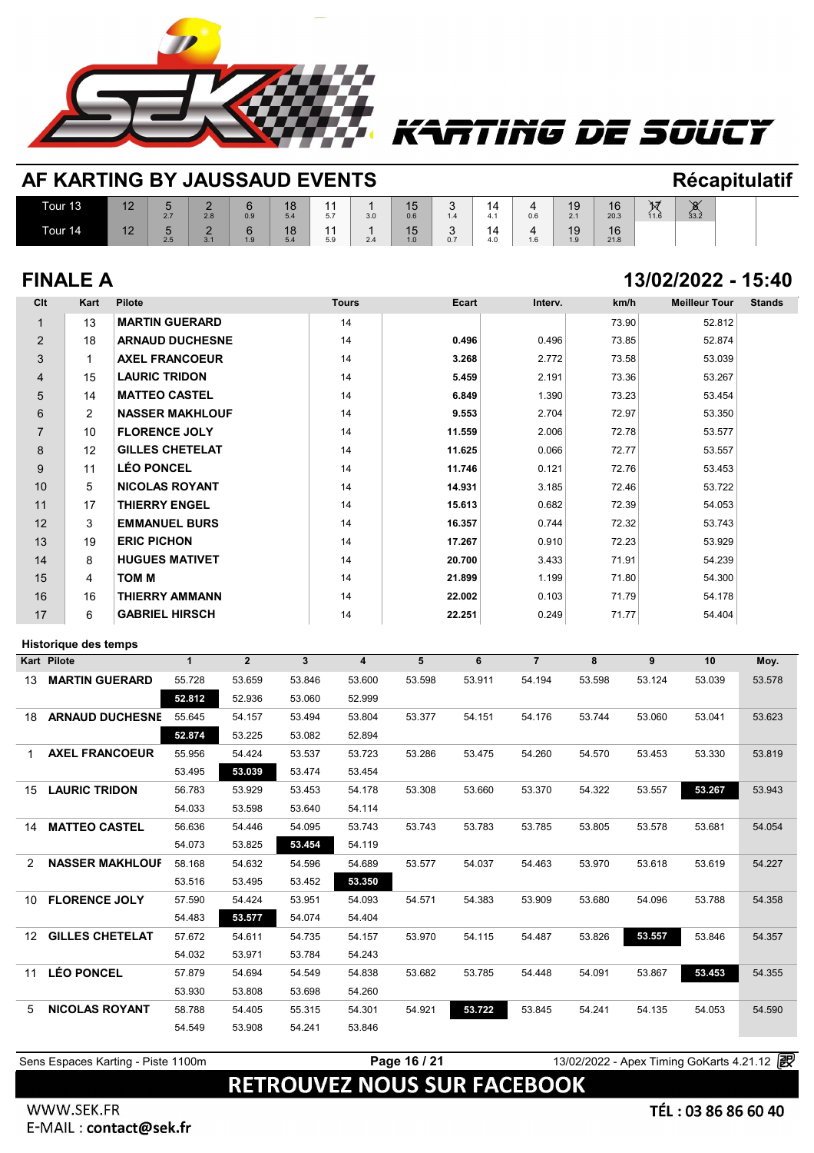

| AF KARTING BY JAUSSAUD EVENTS |    |                     |                 |          |           |           |     |           |                  |           |          |           |            |           | <b>Récapitulatif</b>              |  |
|-------------------------------|----|---------------------|-----------------|----------|-----------|-----------|-----|-----------|------------------|-----------|----------|-----------|------------|-----------|-----------------------------------|--|
| Tour 13                       | 12 | 2.7                 | $\Omega$<br>2.8 | 6<br>0.9 | 18<br>5.4 | 44<br>5.7 | 3.0 | 15<br>0.6 | $\overline{1.4}$ | 14<br>4.1 | 4<br>0.6 | 19<br>2.1 | 16<br>20.3 | ħ<br>11.6 | $\check{\mathbf{\sigma}}$<br>33.2 |  |
| Tour 14                       | 12 | $\mathbf{5}$<br>2.5 | -<br>3.1        | 6<br>1.9 | 18<br>5.4 | 44<br>5.9 | 2.4 | 15<br>1.0 | 0.7              | 14<br>4.0 | 4<br>1.6 | 19<br>1.9 | 16<br>21.8 |           |                                   |  |

## **FINALE A 13/02/2022 - 15:40**

rting de soucy

| Clt            | Kart           | <b>Pilote</b>          | <b>Tours</b> | Ecart  | Interv. | km/h  | <b>Meilleur Tour</b> | <b>Stands</b> |
|----------------|----------------|------------------------|--------------|--------|---------|-------|----------------------|---------------|
|                | 13             | <b>MARTIN GUERARD</b>  | 14           |        |         | 73.90 | 52.812               |               |
| $\overline{2}$ | 18             | <b>ARNAUD DUCHESNE</b> | 14           | 0.496  | 0.496   | 73.85 | 52.874               |               |
| 3              | $\mathbf{1}$   | <b>AXEL FRANCOEUR</b>  | 14           | 3.268  | 2.772   | 73.58 | 53.039               |               |
| 4              | 15             | <b>LAURIC TRIDON</b>   | 14           | 5.459  | 2.191   | 73.36 | 53.267               |               |
| 5              | 14             | <b>MATTEO CASTEL</b>   | 14           | 6.849  | 1.390   | 73.23 | 53.454               |               |
| 6              | $\overline{2}$ | <b>NASSER MAKHLOUF</b> | 14           | 9.553  | 2.704   | 72.97 | 53.350               |               |
| $\overline{7}$ | 10             | <b>FLORENCE JOLY</b>   | 14           | 11.559 | 2.006   | 72.78 | 53.577               |               |
| 8              | 12             | <b>GILLES CHETELAT</b> | 14           | 11.625 | 0.066   | 72.77 | 53.557               |               |
| 9              | 11             | <b>LÉO PONCEL</b>      | 14           | 11.746 | 0.121   | 72.76 | 53.453               |               |
| 10             | 5              | <b>NICOLAS ROYANT</b>  | 14           | 14.931 | 3.185   | 72.46 | 53.722               |               |
| 11             | 17             | <b>THIERRY ENGEL</b>   | 14           | 15.613 | 0.682   | 72.39 | 54.053               |               |
| 12             | 3              | <b>EMMANUEL BURS</b>   | 14           | 16.357 | 0.744   | 72.32 | 53.743               |               |
| 13             | 19             | <b>ERIC PICHON</b>     | 14           | 17.267 | 0.910   | 72.23 | 53.929               |               |
| 14             | 8              | <b>HUGUES MATIVET</b>  | 14           | 20.700 | 3.433   | 71.91 | 54.239               |               |
| 15             | 4              | <b>TOM M</b>           | 14           | 21.899 | 1.199   | 71.80 | 54.300               |               |
| 16             | 16             | <b>THIERRY AMMANN</b>  | 14           | 22.002 | 0.103   | 71.79 | 54.178               |               |
| 17             | 6              | <b>GABRIEL HIRSCH</b>  | 14           | 22.251 | 0.249   | 71.77 | 54.404               |               |

### **Historique des temps**

|                   | <b>Historique des temps</b> |              |                |                |        |        |        |                |        |        |        |        |
|-------------------|-----------------------------|--------------|----------------|----------------|--------|--------|--------|----------------|--------|--------|--------|--------|
|                   | <b>Kart Pilote</b>          | $\mathbf{1}$ | $\overline{2}$ | $\overline{3}$ | 4      | 5      | 6      | $\overline{7}$ | 8      | 9      | 10     | Moy.   |
| 13                | <b>MARTIN GUERARD</b>       | 55.728       | 53.659         | 53.846         | 53.600 | 53.598 | 53.911 | 54.194         | 53.598 | 53.124 | 53.039 | 53.578 |
|                   |                             | 52.812       | 52.936         | 53.060         | 52.999 |        |        |                |        |        |        |        |
| 18                | <b>ARNAUD DUCHESNE</b>      | 55.645       | 54.157         | 53.494         | 53.804 | 53.377 | 54.151 | 54.176         | 53.744 | 53.060 | 53.041 | 53.623 |
|                   |                             | 52.874       | 53.225         | 53.082         | 52.894 |        |        |                |        |        |        |        |
| 1                 | <b>AXEL FRANCOEUR</b>       | 55.956       | 54.424         | 53.537         | 53.723 | 53.286 | 53.475 | 54.260         | 54.570 | 53.453 | 53.330 | 53.819 |
|                   |                             | 53.495       | 53.039         | 53.474         | 53.454 |        |        |                |        |        |        |        |
| 15                | <b>LAURIC TRIDON</b>        | 56.783       | 53.929         | 53.453         | 54.178 | 53.308 | 53.660 | 53.370         | 54.322 | 53.557 | 53.267 | 53.943 |
|                   |                             | 54.033       | 53.598         | 53.640         | 54.114 |        |        |                |        |        |        |        |
| 14                | <b>MATTEO CASTEL</b>        | 56.636       | 54.446         | 54.095         | 53.743 | 53.743 | 53.783 | 53.785         | 53.805 | 53.578 | 53.681 | 54.054 |
|                   |                             | 54.073       | 53.825         | 53.454         | 54.119 |        |        |                |        |        |        |        |
| 2                 | <b>NASSER MAKHLOUF</b>      | 58.168       | 54.632         | 54.596         | 54.689 | 53.577 | 54.037 | 54.463         | 53.970 | 53.618 | 53.619 | 54.227 |
|                   |                             | 53.516       | 53.495         | 53.452         | 53.350 |        |        |                |        |        |        |        |
| 10                | <b>FLORENCE JOLY</b>        | 57.590       | 54.424         | 53.951         | 54.093 | 54.571 | 54.383 | 53.909         | 53.680 | 54.096 | 53.788 | 54.358 |
|                   |                             | 54.483       | 53.577         | 54.074         | 54.404 |        |        |                |        |        |        |        |
| $12 \overline{ }$ | <b>GILLES CHETELAT</b>      | 57.672       | 54.611         | 54.735         | 54.157 | 53.970 | 54.115 | 54.487         | 53.826 | 53.557 | 53.846 | 54.357 |
|                   |                             | 54.032       | 53.971         | 53.784         | 54.243 |        |        |                |        |        |        |        |
| 11                | <b>LÉO PONCEL</b>           | 57.879       | 54.694         | 54.549         | 54.838 | 53.682 | 53.785 | 54.448         | 54.091 | 53.867 | 53.453 | 54.355 |
|                   |                             | 53.930       | 53.808         | 53.698         | 54.260 |        |        |                |        |        |        |        |
| 5                 | <b>NICOLAS ROYANT</b>       | 58.788       | 54.405         | 55.315         | 54.301 | 54.921 | 53.722 | 53.845         | 54.241 | 54.135 | 54.053 | 54.590 |
|                   |                             | 54.549       | 53.908         | 54.241         | 53.846 |        |        |                |        |        |        |        |
|                   |                             |              |                |                |        |        |        |                |        |        |        |        |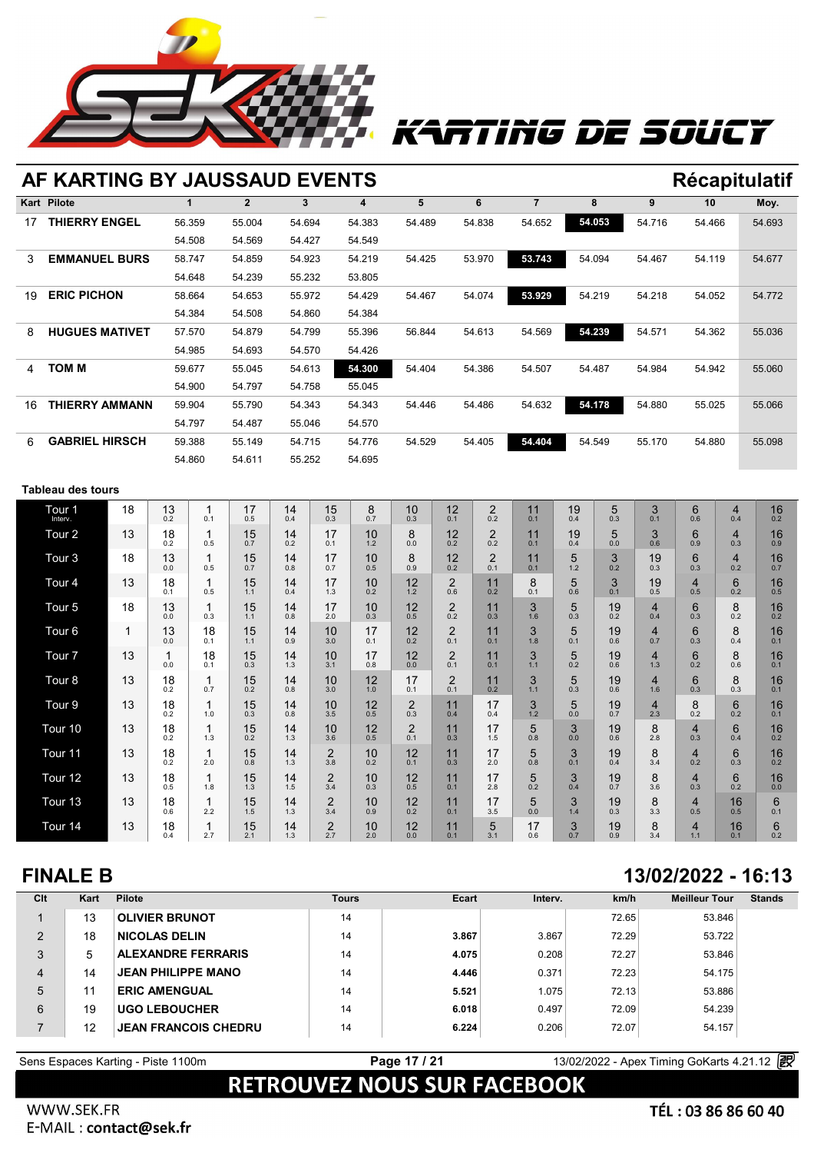

# ATING DE SOUCY

|    | AF KARTING BY JAUSSAUD EVENTS |        |              |        |        |        |        |                |        |        | <b>Récapitulatif</b> |        |
|----|-------------------------------|--------|--------------|--------|--------|--------|--------|----------------|--------|--------|----------------------|--------|
|    | <b>Kart Pilote</b>            | 1      | $\mathbf{2}$ | 3      | 4      | 5      | 6      | $\overline{7}$ | 8      | 9      | 10                   | Moy.   |
| 17 | <b>THIERRY ENGEL</b>          | 56.359 | 55.004       | 54.694 | 54.383 | 54.489 | 54.838 | 54.652         | 54.053 | 54.716 | 54.466               | 54.693 |
|    |                               | 54.508 | 54.569       | 54.427 | 54.549 |        |        |                |        |        |                      |        |
| 3  | <b>EMMANUEL BURS</b>          | 58.747 | 54.859       | 54.923 | 54.219 | 54.425 | 53.970 | 53.743         | 54.094 | 54.467 | 54.119               | 54.677 |
|    |                               | 54.648 | 54.239       | 55.232 | 53.805 |        |        |                |        |        |                      |        |
| 19 | <b>ERIC PICHON</b>            | 58.664 | 54.653       | 55.972 | 54.429 | 54.467 | 54.074 | 53.929         | 54.219 | 54.218 | 54.052               | 54.772 |
|    |                               | 54.384 | 54.508       | 54.860 | 54.384 |        |        |                |        |        |                      |        |
| 8  | <b>HUGUES MATIVET</b>         | 57.570 | 54.879       | 54.799 | 55.396 | 56.844 | 54.613 | 54.569         | 54.239 | 54.571 | 54.362               | 55.036 |
|    |                               | 54.985 | 54.693       | 54.570 | 54.426 |        |        |                |        |        |                      |        |
| 4  | том м                         | 59.677 | 55.045       | 54.613 | 54.300 | 54.404 | 54.386 | 54.507         | 54.487 | 54.984 | 54.942               | 55.060 |
|    |                               | 54.900 | 54.797       | 54.758 | 55.045 |        |        |                |        |        |                      |        |
| 16 | THIERRY AMMANN                | 59.904 | 55.790       | 54.343 | 54.343 | 54.446 | 54.486 | 54.632         | 54.178 | 54.880 | 55.025               | 55.066 |
|    |                               | 54.797 | 54.487       | 55.046 | 54.570 |        |        |                |        |        |                      |        |
| 6  | <b>GABRIEL HIRSCH</b>         | 59.388 | 55.149       | 54.715 | 54.776 | 54.529 | 54.405 | 54.404         | 54.549 | 55.170 | 54.880               | 55.098 |
|    |                               | 54.860 | 54.611       | 55.252 | 54.695 |        |        |                |        |        |                      |        |
|    |                               |        |              |        |        |        |        |                |        |        |                      |        |

### **Tableau des tours**

| Tour <sub>1</sub><br>Interv. | 18 | 13<br>0.2 | 0.1       | 17<br>0.5 | 14<br>0.4 | 15<br>0.3             | 8<br>0.7  | 10<br>0.3             | 12<br>0.1             | $\overline{2}$<br>0.2 | 11<br>0.1 | 19<br>0.4 | 5<br>0.3  | 3<br>0.1              | 6<br>0.6                         | 4<br>0.4                       | 16<br>0.2 |  |
|------------------------------|----|-----------|-----------|-----------|-----------|-----------------------|-----------|-----------------------|-----------------------|-----------------------|-----------|-----------|-----------|-----------------------|----------------------------------|--------------------------------|-----------|--|
| Tour <sub>2</sub>            | 13 | 18<br>0.2 | 0.5       | 15<br>0.7 | 14<br>0.2 | 17<br>0.1             | 10<br>1.2 | 8<br>0.0              | 12<br>0.2             | $\overline{2}$<br>0.2 | 11<br>0.1 | 19<br>0.4 | 5<br>0.0  | 3<br>0.6              | 6<br>0.9                         | $\overline{\mathbf{4}}$<br>0.3 | 16<br>0.9 |  |
| Tour <sub>3</sub>            | 18 | 13<br>0.0 | 0.5       | 15<br>0.7 | 14<br>0.8 | 17<br>0.7             | 10<br>0.5 | 8<br>0.9              | 12<br>0.2             | $\overline{2}$<br>0.1 | 11<br>0.1 | 5<br>1.2  | 3<br>0.2  | 19<br>0.3             | 6<br>0.3                         | $\overline{4}$<br>0.2          | 16<br>0.7 |  |
| Tour <sub>4</sub>            | 13 | 18<br>0.1 | 0.5       | 15<br>1.1 | 14<br>0.4 | 17<br>1.3             | 10<br>0.2 | 12<br>1.2             | $\overline{2}$<br>0.6 | 11<br>0.2             | 8<br>0.1  | 5<br>0.6  | 3<br>0.1  | 19<br>0.5             | 4<br>0.5                         | 6<br>0.2                       | 16<br>0.5 |  |
| Tour <sub>5</sub>            | 18 | 13<br>0.0 | 0.3       | 15<br>1.1 | 14<br>0.8 | 17<br>2.0             | 10<br>0.3 | 12<br>0.5             | $\overline{2}$<br>0.2 | 11<br>0.3             | 3<br>1.6  | 5<br>0.3  | 19<br>0.2 | $\overline{4}$<br>0.4 | 6<br>0.3                         | 8<br>0.2                       | 16<br>0.2 |  |
| Tour <sub>6</sub>            | 1  | 13<br>0.0 | 18<br>0.1 | 15<br>1.1 | 14<br>0.9 | 10<br>3.0             | 17<br>0.1 | 12<br>0.2             | 2<br>0.1              | 11<br>0.1             | 3<br>1.8  | 5<br>0.1  | 19<br>0.6 | $\overline{4}$<br>0.7 | 6<br>0.3                         | 8<br>0.4                       | 16<br>0.1 |  |
| Tour <sub>7</sub>            | 13 | 1<br>0.0  | 18<br>0.1 | 15<br>0.3 | 14<br>1.3 | 10<br>3.1             | 17<br>0.8 | 12<br>0.0             | 2<br>0.1              | 11<br>0.1             | 3<br>1.1  | 5<br>0.2  | 19<br>0.6 | $\overline{4}$<br>1.3 | 6<br>0.2                         | 8<br>0.6                       | 16<br>0.1 |  |
| Tour 8                       | 13 | 18<br>0.2 | 0.7       | 15<br>0.2 | 14<br>0.8 | 10<br>3.0             | 12<br>1.0 | 17<br>0.1             | 2<br>0.1              | 11<br>0.2             | 3<br>1.1  | 5<br>0.3  | 19<br>0.6 | $\overline{4}$<br>1.6 | 6<br>0.3                         | 8<br>0.3                       | 16<br>0.1 |  |
| Tour 9                       | 13 | 18<br>0.2 | 1.0       | 15<br>0.3 | 14<br>0.8 | 10<br>3.5             | 12<br>0.5 | $\overline{2}$<br>0.3 | 11<br>0.4             | 17<br>0.4             | 3<br>1.2  | 5<br>0.0  | 19<br>0.7 | $\overline{4}$<br>2.3 | $8_{0.2}$                        | 6<br>0.2                       | 16<br>0.1 |  |
| Tour 10                      | 13 | 18<br>0.2 | 1.3       | 15<br>0.2 | 14<br>1.3 | 10<br>3.6             | 12<br>0.5 | $\overline{2}$<br>0.1 | 11<br>0.3             | 17<br>1.5             | 5<br>0.8  | 3<br>0.0  | 19<br>0.6 | 8<br>2.8              | $\overline{4}$<br>0.3            | 6<br>0.4                       | 16<br>0.2 |  |
| Tour 11                      | 13 | 18<br>0.2 | 2.0       | 15<br>0.8 | 14<br>1.3 | $\overline{2}$<br>3.8 | 10<br>0.2 | 12<br>0.1             | 11<br>0.3             | 17<br>2.0             | 5<br>0.8  | 3<br>0.1  | 19<br>0.4 | 8<br>3.4              | $\overline{\mathbf{4}}$<br>0.2   | 6<br>0.3                       | 16<br>0.2 |  |
| Tour 12                      | 13 | 18<br>0.5 | 1.8       | 15<br>1.3 | 14<br>1.5 | $\mathbf 2$<br>3.4    | 10<br>0.3 | 12<br>0.5             | 11<br>0.1             | 17<br>2.8             | 5<br>0.2  | 3<br>0.4  | 19<br>0.7 | 8<br>3.6              | 4<br>0.3                         | 6<br>0.2                       | 16<br>0.0 |  |
| Tour <sub>13</sub>           | 13 | 18<br>0.6 | 2.2       | 15<br>1.5 | 14<br>1.3 | $\overline{2}$<br>3.4 | 10<br>0.9 | 12<br>0.2             | 11<br>0.1             | 17<br>3.5             | 5<br>0.0  | 3<br>1.4  | 19<br>0.3 | 8<br>3.3              | $\overline{4}$<br>0.5            | 16<br>0.5                      | 6<br>0.1  |  |
| Tour 14                      | 13 | 18<br>0.4 | 2.7       | 15<br>2.1 | 14<br>1.3 | $\overline{2}$<br>2.7 | 10<br>2.0 | 12<br>0.0             | 11<br>0.1             | 5<br>3.1              | 17<br>0.6 | 3<br>0.7  | 19<br>0.9 | 8<br>3.4              | $\overline{\mathbf{4}}$<br>$1.1$ | 16<br>0.1                      | 6<br>0.2  |  |

### **FINALE B 13/02/2022 - 16:13**

| Clt | Kart | <b>Pilote</b>               | <b>Tours</b> | Ecart | Interv. | km/h  | <b>Meilleur Tour</b> | <b>Stands</b> |
|-----|------|-----------------------------|--------------|-------|---------|-------|----------------------|---------------|
|     | 13   | <b>OLIVIER BRUNOT</b>       | 14           |       |         | 72.65 | 53.846               |               |
| 2   | 18   | <b>NICOLAS DELIN</b>        | 14           | 3.867 | 3.867   | 72.29 | 53.722               |               |
| 3   | 5    | <b>ALEXANDRE FERRARIS</b>   | 14           | 4.075 | 0.208   | 72.27 | 53.846               |               |
| 4   | 14   | <b>JEAN PHILIPPE MANO</b>   | 14           | 4.446 | 0.371   | 72.23 | 54.175               |               |
| 5   | 11   | <b>ERIC AMENGUAL</b>        | 14           | 5.521 | 1.075   | 72.13 | 53.886               |               |
| 6   | 19   | <b>UGO LEBOUCHER</b>        | 14           | 6.018 | 0.497   | 72.09 | 54.239               |               |
|     | 12   | <b>JEAN FRANCOIS CHEDRU</b> | 14           | 6.224 | 0.206   | 72.07 | 54.157               |               |

# Sens Espaces Karting - Piste 1100m<br> **RETROUVEZ NOUS SUR FACEBOOK**

WWW.SEK.FR Appling solutions and services go-karting motorsports and services go-karting motorsports circuit rental rental racing motorsports circuit rental racing track live timing softwares https://www.apex-timing.com/timing.com/ti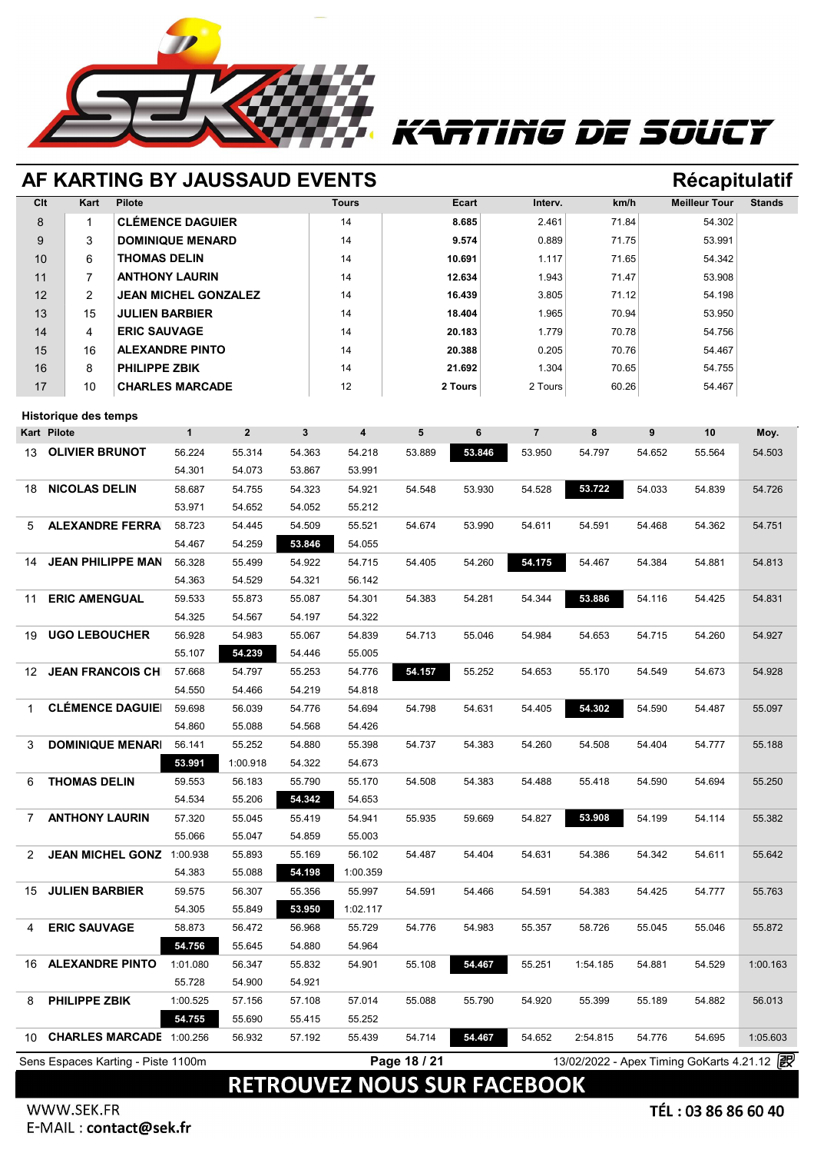![](_page_17_Picture_0.jpeg)

## ATING DE SOUCT

### **AF KARTING BY JAUSSAUD EVENTS Récapitulatif**

### **Clt Kart Pilote Tours Ecart Interv. km/h Meilleur Tour Stands** 8 1 **CLÉMENCE DAGUIER** 14 **8.685** 2.461 71.84 54.302 9 3 **DOMINIQUE MENARD** 14 **9.574** 0.889 71.75 53.991 10 6 **THOMAS DELIN** 14 **10.691** 1.117 71.65 54.342 11 7 **ANTHONY LAURIN** 14 **12.634** 1.943 71.47 53.908 12 2 **JEAN MICHEL GONZALEZ** 14 **16.439** 3.805 71.12 54.198 13 15 **JULIEN BARBIER** 14 **18.404** 1.965 70.94 53.950 14 4 **ERIC SAUVAGE** 14 **20.183** 1.779 70.78 54.756 15 16 **ALEXANDRE PINTO** 14 **20.388** 0.205 70.76 54.467 16 8 **PHILIPPE ZBIK** 14 **21.692** 1.304 70.65 54.755 17 10 **CHARLES MARCADE** 12 **2 Tours** 2 Tours 60.26 54.467

### **Historique des temps**

|                          | $\mathbf{1}$                                      | $\overline{2}$                                                                                     | $\overline{\mathbf{3}}$ | $\overline{\mathbf{4}}$ | 5      | 6            | $\overline{7}$ | 8        | 9      | 10     | Moy.                                       |
|--------------------------|---------------------------------------------------|----------------------------------------------------------------------------------------------------|-------------------------|-------------------------|--------|--------------|----------------|----------|--------|--------|--------------------------------------------|
| <b>OLIVIER BRUNOT</b>    | 56.224                                            | 55.314                                                                                             | 54.363                  | 54.218                  | 53.889 | 53.846       | 53.950         | 54.797   | 54.652 | 55.564 | 54.503                                     |
|                          | 54.301                                            | 54.073                                                                                             | 53.867                  | 53.991                  |        |              |                |          |        |        |                                            |
| <b>NICOLAS DELIN</b>     | 58.687                                            | 54.755                                                                                             | 54.323                  | 54.921                  | 54.548 | 53.930       | 54.528         | 53.722   | 54.033 | 54.839 | 54.726                                     |
|                          | 53.971                                            | 54.652                                                                                             | 54.052                  | 55.212                  |        |              |                |          |        |        |                                            |
| <b>ALEXANDRE FERRA</b>   | 58.723                                            | 54.445                                                                                             | 54.509                  | 55.521                  | 54.674 | 53.990       | 54.611         | 54.591   | 54.468 | 54.362 | 54.751                                     |
|                          | 54.467                                            | 54.259                                                                                             | 53.846                  | 54.055                  |        |              |                |          |        |        |                                            |
| <b>JEAN PHILIPPE MAN</b> | 56.328                                            | 55.499                                                                                             | 54.922                  | 54.715                  | 54.405 | 54.260       | 54.175         | 54.467   | 54.384 | 54.881 | 54.813                                     |
|                          | 54.363                                            | 54.529                                                                                             | 54.321                  | 56.142                  |        |              |                |          |        |        |                                            |
| <b>ERIC AMENGUAL</b>     | 59.533                                            | 55.873                                                                                             | 55.087                  | 54.301                  | 54.383 | 54.281       | 54.344         | 53.886   | 54.116 | 54.425 | 54.831                                     |
|                          | 54.325                                            | 54.567                                                                                             | 54.197                  | 54.322                  |        |              |                |          |        |        |                                            |
| <b>UGO LEBOUCHER</b>     | 56.928                                            | 54.983                                                                                             | 55.067                  | 54.839                  | 54.713 | 55.046       | 54.984         | 54.653   | 54.715 | 54.260 | 54.927                                     |
|                          | 55.107                                            | 54.239                                                                                             | 54.446                  | 55.005                  |        |              |                |          |        |        |                                            |
| <b>JEAN FRANCOIS CH</b>  | 57.668                                            | 54.797                                                                                             | 55.253                  | 54.776                  | 54.157 | 55.252       | 54.653         | 55.170   | 54.549 | 54.673 | 54.928                                     |
|                          | 54.550                                            | 54.466                                                                                             | 54.219                  | 54.818                  |        |              |                |          |        |        |                                            |
| <b>CLÉMENCE DAGUIE</b>   | 59.698                                            | 56.039                                                                                             | 54.776                  | 54.694                  | 54.798 | 54.631       | 54.405         | 54.302   | 54.590 | 54.487 | 55.097                                     |
|                          | 54.860                                            | 55.088                                                                                             | 54.568                  | 54.426                  |        |              |                |          |        |        |                                            |
| <b>DOMINIQUE MENARI</b>  | 56.141                                            | 55.252                                                                                             | 54.880                  | 55.398                  | 54.737 | 54.383       | 54.260         | 54.508   | 54.404 | 54.777 | 55.188                                     |
|                          | 53.991                                            | 1:00.918                                                                                           | 54.322                  | 54.673                  |        |              |                |          |        |        |                                            |
| <b>THOMAS DELIN</b>      | 59.553                                            | 56.183                                                                                             | 55.790                  | 55.170                  | 54.508 | 54.383       | 54.488         | 55.418   | 54.590 | 54.694 | 55.250                                     |
|                          | 54.534                                            | 55.206                                                                                             | 54.342                  | 54.653                  |        |              |                |          |        |        |                                            |
| <b>ANTHONY LAURIN</b>    | 57.320                                            | 55.045                                                                                             | 55.419                  | 54.941                  | 55.935 | 59.669       | 54.827         | 53.908   | 54.199 | 54.114 | 55.382                                     |
|                          | 55.066                                            | 55.047                                                                                             | 54.859                  | 55.003                  |        |              |                |          |        |        |                                            |
|                          |                                                   | 55.893                                                                                             | 55.169                  | 56.102                  | 54.487 | 54.404       | 54.631         | 54.386   | 54.342 | 54.611 | 55.642                                     |
|                          | 54.383                                            | 55.088                                                                                             | 54.198                  | 1:00.359                |        |              |                |          |        |        |                                            |
| <b>JULIEN BARBIER</b>    | 59.575                                            | 56.307                                                                                             | 55.356                  | 55.997                  | 54.591 | 54.466       | 54.591         | 54.383   | 54.425 | 54.777 | 55.763                                     |
|                          | 54.305                                            | 55.849                                                                                             | 53.950                  | 1:02.117                |        |              |                |          |        |        |                                            |
| <b>ERIC SAUVAGE</b>      | 58.873                                            | 56.472                                                                                             | 56.968                  | 55.729                  | 54.776 | 54.983       | 55.357         | 58.726   | 55.045 | 55.046 | 55.872                                     |
|                          | 54.756                                            | 55.645                                                                                             | 54.880                  | 54.964                  |        |              |                |          |        |        |                                            |
| <b>ALEXANDRE PINTO</b>   | 1:01.080                                          | 56.347                                                                                             | 55.832                  | 54.901                  | 55.108 | 54.467       | 55.251         | 1:54.185 | 54.881 | 54.529 | 1:00.163                                   |
|                          | 55.728                                            | 54.900                                                                                             | 54.921                  |                         |        |              |                |          |        |        |                                            |
| <b>PHILIPPE ZBIK</b>     | 1:00.525                                          | 57.156                                                                                             | 57.108                  | 57.014                  | 55.088 | 55.790       | 54.920         | 55.399   | 55.189 | 54.882 | 56.013                                     |
|                          | 54.755                                            | 55.690                                                                                             | 55.415                  | 55.252                  |        |              |                |          |        |        |                                            |
|                          |                                                   | 56.932                                                                                             | 57.192                  | 55.439                  | 54.714 | 54.467       | 54.652         | 2:54.815 | 54.776 | 54.695 | 1:05.603                                   |
|                          |                                                   |                                                                                                    |                         |                         |        |              |                |          |        |        |                                            |
|                          | <b>Historique des temps</b><br><b>Kart Pilote</b> | JEAN MICHEL GONZ 1:00.938<br><b>CHARLES MARCADE 1:00.256</b><br>Sens Espaces Karting - Piste 1100m |                         |                         |        | Page 18 / 21 |                |          |        |        | 13/02/2022 - Apex Timing GoKarts 4.21.12 2 |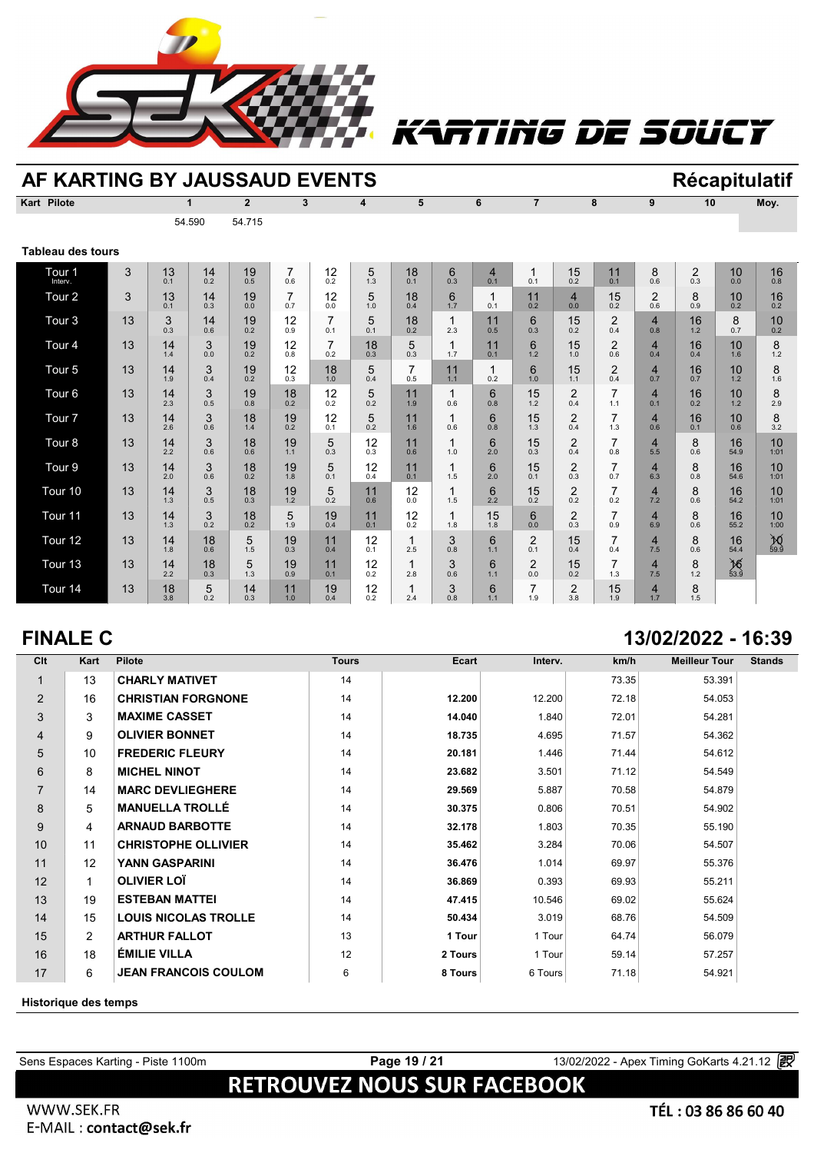![](_page_18_Picture_0.jpeg)

# RTING DE SOUCY

| AF KARTING BY JAUSSAUD EVENTS |    |           |              |                |                       |                       |           |           |           |                       |                |                       |                       |                                |                       |                   | <b>Récapitulatif</b> |
|-------------------------------|----|-----------|--------------|----------------|-----------------------|-----------------------|-----------|-----------|-----------|-----------------------|----------------|-----------------------|-----------------------|--------------------------------|-----------------------|-------------------|----------------------|
| <b>Kart Pilote</b>            |    |           | $\mathbf{1}$ | $\overline{2}$ | 3                     |                       | 4         | 5         |           | 6                     | $\overline{7}$ |                       | 8                     | 9                              | 10                    |                   | Moy.                 |
|                               |    |           | 54.590       | 54.715         |                       |                       |           |           |           |                       |                |                       |                       |                                |                       |                   |                      |
| <b>Tableau des tours</b>      |    |           |              |                |                       |                       |           |           |           |                       |                |                       |                       |                                |                       |                   |                      |
| Tour <sub>1</sub><br>Interv.  | 3  | 13<br>0.1 | 14<br>0.2    | 19<br>0.5      | $\overline{7}$<br>0.6 | 12<br>0.2             | 5<br>1.3  | 18<br>0.1 | 6<br>0.3  | $\overline{4}$<br>0.1 | 1<br>0.1       | 15<br>0.2             | 11<br>0.1             | 8<br>0.6                       | $\overline{2}$<br>0.3 | 10<br>0.0         | 16<br>0.8            |
| Tour <sub>2</sub>             | 3  | 13<br>0.1 | 14<br>0.3    | 19<br>0.0      | $\overline{7}$<br>0.7 | 12<br>0.0             | 5<br>1.0  | 18<br>0.4 | 6<br>1.7  | 1<br>0.1              | 11<br>0.2      | $\overline{4}$<br>0.0 | 15<br>0.2             | $\overline{2}$<br>0.6          | 8<br>0.9              | 10<br>0.2         | 16<br>0.2            |
| Tour <sub>3</sub>             | 13 | 3<br>0.3  | 14<br>0.6    | 19<br>0.2      | 12<br>0.9             | $\overline{7}$<br>0.1 | 5<br>0.1  | 18<br>0.2 | 1<br>2.3  | 11<br>0.5             | 6<br>0.3       | 15<br>0.2             | $\overline{2}$<br>0.4 | 4<br>0.8                       | 16<br>1.2             | 8<br>0.7          | 10<br>0.2            |
| Tour <sub>4</sub>             | 13 | 14<br>1.4 | 3<br>0.0     | 19<br>0.2      | 12<br>0.8             | $\overline{7}$<br>0.2 | 18<br>0.3 | 5<br>0.3  | 1<br>1.7  | 11<br>0.1             | 6<br>1.2       | 15<br>1.0             | 2<br>0.6              | 4<br>0.4                       | 16<br>0.4             | 10<br>1.6         | 8<br>1.2             |
| Tour <sub>5</sub>             | 13 | 14<br>1.9 | 3<br>0.4     | 19<br>0.2      | 12<br>0.3             | 18<br>1.0             | 5<br>0.4  | 0.5       | 11<br>1.1 | 0.2                   | 6<br>1.0       | 15<br>1.1             | $\overline{2}$<br>0.4 | $\overline{\mathbf{4}}$<br>0.7 | 16<br>0.7             | 10<br>1.2         | 8<br>1.6             |
| Tour <sub>6</sub>             | 13 | 14<br>2.3 | 3<br>0.5     | 19<br>0.8      | 18<br>0.2             | 12<br>0.2             | 5<br>0.2  | 11<br>1.9 | 0.6       | 6<br>0.8              | 15<br>1.2      | $\overline{2}$<br>0.4 | $\overline{7}$<br>1.1 | 4<br>0.1                       | 16<br>0.2             | 10<br>1.2         | 8<br>2.9             |
| Tour <sub>7</sub>             | 13 | 14<br>2.6 | 3<br>0.6     | 18<br>1.4      | 19<br>0.2             | 12<br>0.1             | 5<br>0.2  | 11<br>1.6 | 1<br>0.6  | 6<br>0.8              | 15<br>1.3      | $\overline{2}$<br>0.4 | $\overline{7}$<br>1.3 | 4<br>0.6                       | 16<br>0.1             | 10<br>0.6         | 8<br>3.2             |
| Tour <sub>8</sub>             | 13 | 14<br>2.2 | 3<br>0.6     | 18<br>0.6      | 19<br>1.1             | 5<br>0.3              | 12<br>0.3 | 11<br>0.6 | 1<br>1.0  | 6<br>2.0              | 15<br>0.3      | $\overline{2}$<br>0.4 | 7<br>0.8              | 4<br>5.5                       | 8<br>0.6              | 16<br>54.9        | 10<br>1:01           |
| Tour <sub>9</sub>             | 13 | 14<br>2.0 | 3<br>0.6     | 18<br>0.2      | 19<br>1.8             | 5<br>0.1              | 12<br>0.4 | 11<br>0.1 | 1<br>1.5  | 6<br>2.0              | 15<br>0.1      | $\overline{2}$<br>0.3 | $\overline{7}$<br>0.7 | 4<br>6.3                       | 8<br>0.8              | 16<br>54.6        | 10<br>1:01           |
| Tour <sub>10</sub>            | 13 | 14<br>1.3 | 3<br>0.5     | 18<br>0.3      | 19<br>1.2             | 5<br>0.2              | 11<br>0.6 | 12<br>0.0 | 1<br>1.5  | 6<br>2.2              | 15<br>0.2      | $\overline{2}$<br>0.2 | 7<br>0.2              | 4<br>7.2                       | 8<br>0.6              | 16<br>54.2        | 10<br>1:01           |
| Tour <sub>11</sub>            | 13 | 14<br>1.3 | 3<br>0.2     | 18<br>0.2      | 5<br>1.9              | 19<br>0.4             | 11<br>0.1 | 12<br>0.2 | 1<br>1.8  | 15<br>1.8             | 6<br>0.0       | $\overline{2}$<br>0.3 | 7<br>0.9              | 4<br>6.9                       | 8<br>0.6              | 16<br>55.2        | 10<br>1:00           |
| Tour <sub>12</sub>            | 13 | 14<br>1.8 | 18<br>0.6    | 5<br>1.5       | 19<br>0.3             | 11<br>0.4             | 12<br>0.1 | 2.5       | 3<br>0.8  | 6<br>1.1              | 2<br>0.1       | 15<br>0.4             | 7<br>0.4              | $\overline{\mathbf{4}}$<br>7.5 | 8<br>0.6              | 16<br>54.4        | $\cancel{10}_{59.9}$ |
| Tour <sub>13</sub>            | 13 | 14<br>2.2 | 18<br>0.3    | 5<br>1.3       | 19<br>0.9             | 11<br>0.1             | 12<br>0.2 | 2.8       | 3<br>0.6  | 6<br>1.1              | 2<br>0.0       | 15<br>0.2             | 7<br>1.3              | 4<br>7.5                       | 8<br>1.2              | $\frac{16}{53.9}$ |                      |
| Tour <sub>14</sub>            | 13 | 18<br>3.8 | 5<br>0.2     | 14<br>0.3      | 11<br>1.0             | 19<br>0.4             | 12<br>0.2 | 2.4       | 3<br>0.8  | 6<br>1.1              | 7<br>1.9       | $\overline{2}$<br>3.8 | 15<br>1.9             | 4<br>1.7                       | 8<br>1.5              |                   |                      |

### **FINALE C 13/02/2022 - 16:39**

| Clt            | Kart           | <b>Pilote</b>               | <b>Tours</b> | Ecart   | Interv. | km/h  | <b>Meilleur Tour</b> | <b>Stands</b> |
|----------------|----------------|-----------------------------|--------------|---------|---------|-------|----------------------|---------------|
|                | 13             | <b>CHARLY MATIVET</b>       | 14           |         |         | 73.35 | 53.391               |               |
| 2              | 16             | <b>CHRISTIAN FORGNONE</b>   | 14           | 12.200  | 12.200  | 72.18 | 54.053               |               |
| 3              | 3              | <b>MAXIME CASSET</b>        | 14           | 14.040  | 1.840   | 72.01 | 54.281               |               |
| $\overline{4}$ | 9              | <b>OLIVIER BONNET</b>       | 14           | 18.735  | 4.695   | 71.57 | 54.362               |               |
| 5              | 10             | <b>FREDERIC FLEURY</b>      | 14           | 20.181  | 1.446   | 71.44 | 54.612               |               |
| 6              | 8              | <b>MICHEL NINOT</b>         | 14           | 23.682  | 3.501   | 71.12 | 54.549               |               |
| $\overline{7}$ | 14             | <b>MARC DEVLIEGHERE</b>     | 14           | 29.569  | 5.887   | 70.58 | 54.879               |               |
| 8              | 5              | <b>MANUELLA TROLLÉ</b>      | 14           | 30.375  | 0.806   | 70.51 | 54.902               |               |
| 9              | 4              | <b>ARNAUD BARBOTTE</b>      | 14           | 32.178  | 1.803   | 70.35 | 55.190               |               |
| 10             | 11             | <b>CHRISTOPHE OLLIVIER</b>  | 14           | 35.462  | 3.284   | 70.06 | 54.507               |               |
| 11             | 12             | <b>YANN GASPARINI</b>       | 14           | 36.476  | 1.014   | 69.97 | 55.376               |               |
| 12             | $\mathbf{1}$   | <b>OLIVIER LOT</b>          | 14           | 36.869  | 0.393   | 69.93 | 55.211               |               |
| 13             | 19             | <b>ESTEBAN MATTEI</b>       | 14           | 47.415  | 10.546  | 69.02 | 55.624               |               |
| 14             | 15             | <b>LOUIS NICOLAS TROLLE</b> | 14           | 50.434  | 3.019   | 68.76 | 54.509               |               |
| 15             | $\overline{2}$ | <b>ARTHUR FALLOT</b>        | 13           | 1 Tour  | 1 Tour  | 64.74 | 56.079               |               |
| 16             | 18             | <b>ÉMILIE VILLA</b>         | 12           | 2 Tours | 1 Tour  | 59.14 | 57.257               |               |
| 17             | 6              | <b>JEAN FRANCOIS COULOM</b> | 6            | 8 Tours | 6 Tours | 71.18 | 54.921               |               |

Sens Espaces Karting - Piste 1100m<br> **RETROUVEZ NOUS SUR FACEBOOK**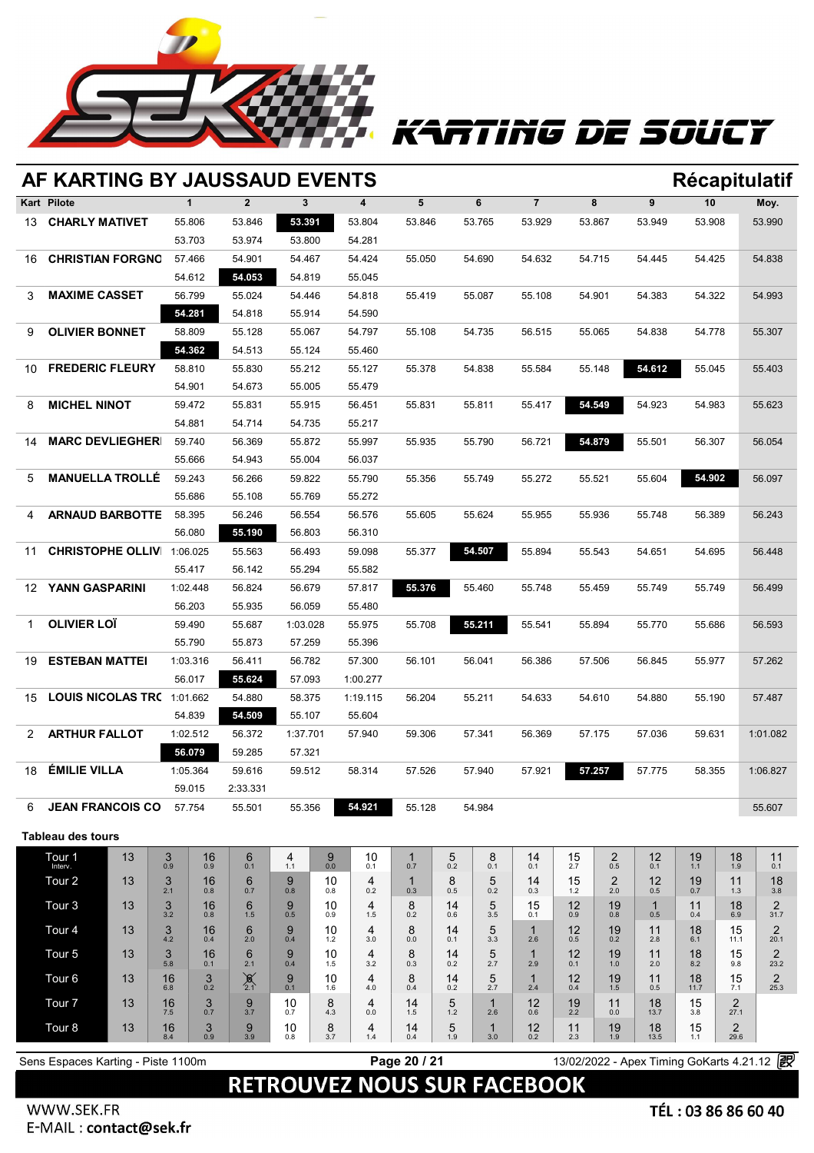![](_page_19_Picture_0.jpeg)

# KARTING DE SOUCY

|                          | AF KARTING BY JAUSSAUD EVENTS<br>Récapitulatif |                    |                  |                    |                  |                  |                  |                                    |                  |                  |                    |                     |           |                       |            |                  |                        |                                            |  |
|--------------------------|------------------------------------------------|--------------------|------------------|--------------------|------------------|------------------|------------------|------------------------------------|------------------|------------------|--------------------|---------------------|-----------|-----------------------|------------|------------------|------------------------|--------------------------------------------|--|
| Kart Pilote              |                                                |                    | $\mathbf{1}$     |                    | $\overline{2}$   | 3                |                  | 4                                  | 5                |                  | 6                  | $\overline{7}$      |           | 8                     | 9          | 10               |                        | Moy.                                       |  |
| 13.                      | <b>CHARLY MATIVET</b>                          |                    | 55.806           |                    | 53.846           | 53.391           |                  | 53.804                             | 53.846           |                  | 53.765             | 53.929              | 53.867    |                       | 53.949     | 53.908           |                        | 53.990                                     |  |
|                          |                                                |                    | 53.703           |                    | 53.974           | 53.800           |                  | 54.281                             |                  |                  |                    |                     |           |                       |            |                  |                        |                                            |  |
| 16                       | <b>CHRISTIAN FORGNO</b>                        |                    | 57.466           |                    | 54.901           | 54.467           |                  | 54.424                             | 55.050           |                  | 54.690             | 54.632              | 54.715    |                       | 54.445     | 54.425           |                        | 54.838                                     |  |
|                          |                                                |                    | 54.612           |                    | 54.053           | 54.819           |                  | 55.045                             |                  |                  |                    |                     |           |                       |            |                  |                        |                                            |  |
| 3                        | <b>MAXIME CASSET</b>                           |                    | 56.799           |                    | 55.024           | 54.446           |                  | 54.818                             | 55.419           |                  | 55.087             | 55.108              | 54.901    |                       | 54.383     | 54.322           |                        | 54.993                                     |  |
|                          |                                                |                    | 54.281           |                    | 54.818           | 55.914           |                  | 54.590                             |                  |                  |                    |                     |           |                       |            |                  |                        |                                            |  |
| 9                        | <b>OLIVIER BONNET</b>                          |                    | 58.809           |                    | 55.128           | 55.067           |                  | 54.797                             | 55.108           |                  | 54.735             | 56.515              |           | 55.065                | 54.838     | 54.778           |                        | 55.307                                     |  |
|                          |                                                |                    | 54.362           |                    | 54.513           | 55.124           |                  | 55.460                             |                  |                  |                    |                     |           |                       |            |                  |                        |                                            |  |
| 10                       | <b>FREDERIC FLEURY</b>                         |                    | 58.810           |                    | 55.830           | 55.212           |                  | 55.127                             | 55.378           |                  | 54.838<br>55.584   |                     | 55.148    |                       |            | 54.612<br>55.045 |                        | 55.403                                     |  |
|                          |                                                |                    | 54.901           |                    | 54.673           | 55.005           |                  | 55.479                             |                  |                  |                    |                     |           |                       |            |                  |                        |                                            |  |
| 8                        | <b>MICHEL NINOT</b>                            |                    | 59.472           |                    | 55.831           | 55.915           |                  | 56.451                             | 55.831           |                  | 55.811             | 55.417              |           | 54.549                | 54.923     | 54.983           |                        | 55.623                                     |  |
|                          |                                                |                    | 54.881           |                    | 54.714           | 54.735           |                  | 55.217                             |                  |                  |                    |                     |           |                       |            |                  |                        |                                            |  |
| 14                       | <b>MARC DEVLIEGHER</b>                         |                    | 59.740           |                    | 56.369           | 55.872           |                  | 55.997                             | 55.935<br>55.790 |                  |                    | 54.879<br>56.721    |           | 55.501                | 56.307     |                  | 56.054                 |                                            |  |
|                          |                                                |                    | 55.666           |                    | 54.943           | 55.004           |                  | 56.037                             |                  |                  |                    |                     |           |                       |            |                  |                        |                                            |  |
| 5.                       | <b>MANUELLA TROLLÉ</b>                         |                    | 59.243           |                    | 56.266           | 59.822           |                  | 55.790                             | 55.356<br>55.749 |                  |                    | 55.272<br>55.521    |           | 55.604                | 54.902     |                  | 56.097                 |                                            |  |
|                          |                                                |                    | 55.686           |                    | 55.108           | 55.769           |                  | 55.272                             |                  |                  |                    |                     |           |                       |            |                  |                        |                                            |  |
| 4                        | <b>ARNAUD BARBOTTE</b>                         |                    | 58.395<br>56.080 |                    | 56.246           | 56.554<br>56.803 |                  | 56.576                             |                  | 55.605<br>55.624 |                    | 55.955<br>55.936    |           | 55.748<br>56.389      |            |                  | 56.243                 |                                            |  |
|                          |                                                |                    |                  |                    | 55.190           |                  |                  | 56.310                             |                  |                  |                    |                     |           |                       |            |                  |                        |                                            |  |
|                          | <b>CHRISTOPHE OLLIV</b><br>11                  |                    |                  | 1:06.025           | 55.563           | 56.493<br>55.294 |                  | 59.098<br>55.582                   |                  | 55.377<br>54.507 |                    | 55.894              | 55.543    |                       |            | 54.651<br>54.695 |                        | 56.448                                     |  |
| YANN GASPARINI           |                                                | 55.417             |                  | 56.142             |                  |                  |                  |                                    |                  |                  |                    |                     |           |                       |            |                  |                        |                                            |  |
| 12                       |                                                | 1:02.448<br>56.203 |                  | 56.824<br>55.935   | 56.679<br>56.059 |                  | 57.817<br>55.480 |                                    | 55.376<br>55.460 |                  | 55.748             | 55.459              |           | 55.749                | 55.749     |                  | 56.499                 |                                            |  |
| <b>OLIVIER LOÏ</b><br>1. |                                                | 59.490             |                  | 55.687             | 1:03.028         |                  | 55.975           | 55.708                             |                  | 55.211           | 55.541             | 55.894              |           | 55.770                | 55.686     |                  | 56.593                 |                                            |  |
|                          |                                                | 55.790             |                  | 55.873             | 57.259           |                  | 55.396           |                                    |                  |                  |                    |                     |           |                       |            |                  |                        |                                            |  |
| 19                       | <b>ESTEBAN MATTEI</b>                          |                    | 1:03.316         |                    | 56.411           | 56.782           |                  | 57.300                             |                  | 56.101<br>56.041 |                    | 56.386<br>57.506    |           | 56.845                | 55.977     |                  | 57.262                 |                                            |  |
|                          |                                                | 56.017             |                  | 55.624             | 57.093           |                  | 1:00.277         |                                    |                  |                  |                    |                     |           |                       |            |                  |                        |                                            |  |
| 15                       | LOUIS NICOLAS TR( 1:01.662                     |                    |                  |                    | 54.880           | 58.375           |                  | 1:19.115                           | 56.204<br>55.211 |                  | 54.633             |                     | 54.610    | 54.880                | 55.190     |                  | 57.487                 |                                            |  |
|                          |                                                |                    | 54.839           |                    | 54.509           | 55.107           |                  | 55.604                             |                  |                  |                    |                     |           |                       |            |                  |                        |                                            |  |
| $\mathbf{2}^-$           | <b>ARTHUR FALLOT</b>                           |                    |                  | 1:02.512<br>56.372 |                  | 1:37.701         |                  | 57.940                             | 59.306           |                  | 57.341             | 56.369              |           | 57.175                | 57.036     | 59.631           |                        | 1:01.082                                   |  |
|                          |                                                |                    | 56.079           |                    | 59.285           | 57.321           |                  |                                    |                  |                  |                    |                     |           |                       |            |                  |                        |                                            |  |
| 18                       | <b>ÉMILIE VILLA</b>                            |                    | 1:05.364         |                    | 59.616           | 59.512           |                  | 58.314                             |                  | 57.526<br>57.940 |                    | 57.921              |           | 57.257                | 57.775     | 58.355           |                        | 1:06.827                                   |  |
|                          |                                                |                    | 59.015           |                    | 2:33.331         |                  |                  |                                    |                  |                  |                    |                     |           |                       |            |                  |                        |                                            |  |
| 6                        | <b>JEAN FRANCOIS CO</b>                        |                    | 57.754           |                    | 55.501           | 55.356           |                  | 54.921                             | 55.128           |                  | 54.984             |                     |           |                       |            |                  |                        | 55.607                                     |  |
|                          |                                                |                    |                  |                    |                  |                  |                  |                                    |                  |                  |                    |                     |           |                       |            |                  |                        |                                            |  |
|                          | <b>Tableau des tours</b>                       |                    |                  |                    |                  |                  |                  |                                    |                  |                  |                    |                     |           |                       |            |                  |                        |                                            |  |
|                          | Tour 1<br>Interv.                              | 13                 | 3<br>0.9         | 16<br>0.9          | 6<br>0.1         | 4<br>1.1         | 9<br>0.0         | 10<br>0.1                          | 1<br>0.7         | 5<br>0.2         | 8<br>0.1           | 14<br>0.1           | 15<br>2.7 | $\overline{c}$<br>0.5 | 12<br>0.1  | 19<br>1.1        | 18<br>1.9              | 11<br>0.1                                  |  |
|                          | Tour <sub>2</sub>                              | 13                 | 3<br>2.1         | 16<br>0.8          | 6<br>0.7         | 9<br>0.8         | 10<br>0.8        | 4<br>0.2                           | -1<br>0.3        | 8<br>0.5         | 5<br>0.2           | 14<br>0.3           | 15<br>1.2 | $\overline{2}$<br>2.0 | 12<br>0.5  | 19<br>0.7        | 11<br>1.3              | 18<br>3.8                                  |  |
|                          | Tour <sub>3</sub>                              | 13                 | 3                | 16                 | 6                | 9                | 10               | 4                                  | 8                | 14               | 5                  | 15                  | 12        | 19                    | 1          | 11               | 18                     | 2                                          |  |
|                          |                                                |                    | 3.2              | 0.8                | 1.5              | 0.5<br>9         | 0.9              | $1.5$<br>4                         | 0.2<br>8         | 0.6              | 3.5<br>5           | 0.1                 | 0.9       | 0.8                   | 0.5        | 0.4              | 6.9<br>15              | 31.7<br>$\overline{2}$                     |  |
|                          | Tour <sub>4</sub>                              | 13                 | 3<br>4.2         | 16<br>0.4          | 6<br>2.0         | 0.4              | 10<br>1.2        | 3.0                                | 0.0              | 14<br>0.1        | 3.3                | $\mathbf{1}$<br>2.6 | 12<br>0.5 | 19<br>0.2             | 11<br>2.8  | 18<br>6.1        | 11.1                   | 20.1                                       |  |
|                          | Tour <sub>5</sub>                              | 13                 | 3<br>5.8         | 16<br>0.1          | 6<br>2.1         | 9<br>0.4         | 10<br>1.5        | 4<br>3.2                           | 8<br>0.3         | 14<br>0.2        | 5<br>2.7           | $\mathbf 1$<br>2.9  | 12<br>0.1 | 19<br>1.0             | 11<br>2.0  | 18<br>8.2        | 15<br>9.8              | $\overline{2}$<br>23.2                     |  |
|                          | Tour <sub>6</sub>                              | 13                 | 16               | 3                  | $\sum_{2.1}$     | 9                | 10               | 4                                  | 8                | 14               | 5                  | $\mathbf 1$         | 12        | 19                    | 11         | 18               | 15                     | $\overline{2}$                             |  |
|                          | Tour <sub>7</sub>                              | 13                 | 6.8<br>16        | 0.2<br>3           |                  | 0.1<br>10        | 1.6<br>8         | 4.0<br>4                           | 0.4<br>14        | 0.2<br>5         | 2.7<br>$\mathbf 1$ | 2.4<br>12           | 0.4<br>19 | 1.5<br>11             | 0.5<br>18  | 11.7<br>15       | 7.1<br>$\overline{2}$  | 25.3                                       |  |
|                          |                                                |                    | 7.5              | 0.7                | $9 \choose 3.7$  | 0.7              | 4.3              | 0.0                                | 1.5              | 1.2              | 2.6                | 0.6                 | 2.2       | 0.0                   | 13.7       | 3.8              | 27.1                   |                                            |  |
|                          | Tour <sub>8</sub>                              | 13                 | 16<br>8.4        | 3<br>0.9           | 9<br>3.9         | 10<br>0.8        | 8<br>3.7         | 4<br>1.4                           | 14<br>0.4        | 5<br>1.9         | $\mathbf 1$<br>3.0 | 12<br>0.2           | 11<br>2.3 | 19<br>1.9             | 18<br>13.5 | 15<br>1.1        | $\overline{2}$<br>29.6 |                                            |  |
|                          | Sens Espaces Karting - Piste 1100m             |                    |                  |                    |                  |                  |                  |                                    | Page 20 / 21     |                  |                    |                     |           |                       |            |                  |                        | 13/02/2022 - Apex Timing GoKarts 4.21.12 2 |  |
|                          |                                                |                    |                  |                    |                  |                  |                  |                                    |                  |                  |                    |                     |           |                       |            |                  |                        |                                            |  |
|                          |                                                |                    |                  |                    |                  |                  |                  | <b>RETROUVEZ NOUS SUR FACEBOOK</b> |                  |                  |                    |                     |           |                       |            |                  |                        |                                            |  |

Appling solutions and services go-karting motorsports and services go-karting motorsports circuit rental racing motorsports and services go-karting track live timing track live timing softwares https://www.apex-timing.com/ WWW.SEK.FR